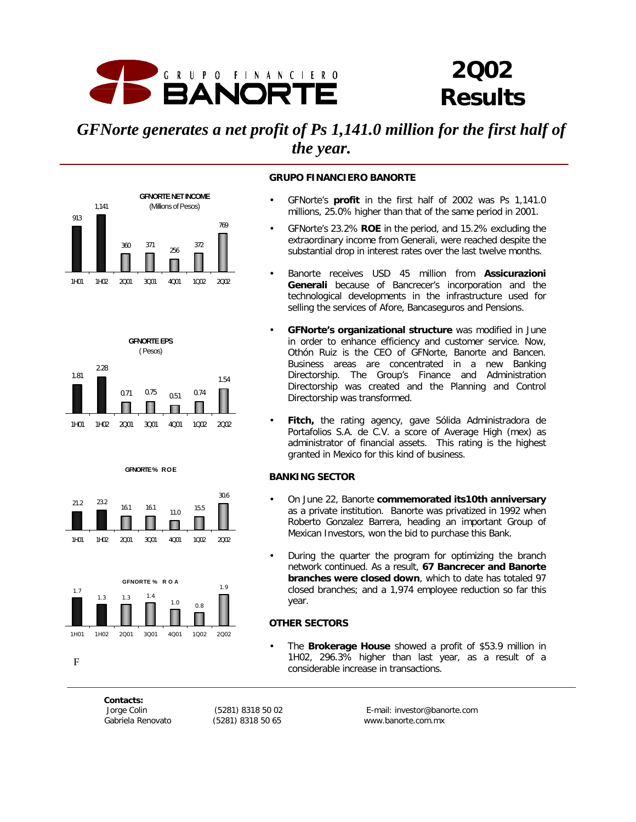

# *2Q02 Results*

# *GFNorte generates a net profit of Ps 1,141.0 million for the first half of the year.*











#### **GRUPO FINANCIERO BANORTE**

- GFNorte's **profit** in the first half of 2002 was Ps 1,141.0 millions, 25.0% higher than that of the same period in 2001.
- GFNorte's 23.2% **ROE** in the period, and 15.2% excluding the extraordinary income from Generali, were reached despite the substantial drop in interest rates over the last twelve months.
- Banorte receives USD 45 million from **Assicurazioni Generali** because of Bancrecer's incorporation and the technological developments in the infrastructure used for selling the services of Afore, Bancaseguros and Pensions.
- **GFNorte's organizational structure** was modified in June in order to enhance efficiency and customer service. Now, Othón Ruiz is the CEO of GFNorte, Banorte and Bancen. Business areas are concentrated in a new Banking Directorship. The Group's Finance and Administration Directorship was created and the Planning and Control Directorship was transformed.
- Fitch, the rating agency, gave Sólida Administradora de Portafolios S.A. de C.V. a score of Average High (mex) as administrator of financial assets. This rating is the highest granted in Mexico for this kind of business.

#### **BANKING SECTOR**

- On June 22, Banorte **commemorated its10th anniversary** as a private institution. Banorte was privatized in 1992 when Roberto Gonzalez Barrera, heading an important Group of Mexican Investors, won the bid to purchase this Bank.
- During the quarter the program for optimizing the branch network continued. As a result, **67 Bancrecer and Banorte branches were closed down**, which to date has totaled 97 closed branches; and a 1,974 employee reduction so far this year.

#### **OTHER SECTORS**

• The **Brokerage House** showed a profit of \$53.9 million in 1H02, 296.3% higher than last year, as a result of a considerable increase in transactions.

*Contacts:*

F

 *Jorge Colin (5281) 8318 50 02 E-mail: investor@banorte.com Gabriela Renovato (5281) 8318 50 65 www.banorte.com.mx*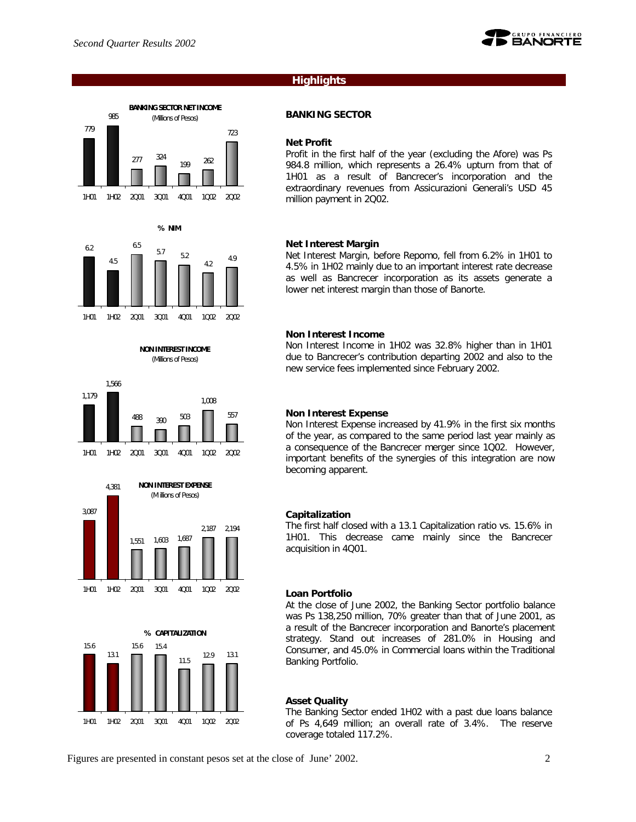985

4.5



#### **Highlights**

#### **BANKING SECTOR**

#### **Net Profit**

Profit in the first half of the year (excluding the Afore) was Ps 984.8 million, which represents a 26.4% upturn from that of 1H01 as a result of Bancrecer's incorporation and the extraordinary revenues from Assicurazioni Generali's USD 45 million payment in 2Q02.

#### **Net Interest Margin**

Net Interest Margin, before Repomo, fell from 6.2% in 1H01 to 4.5% in 1H02 mainly due to an important interest rate decrease as well as Bancrecer incorporation as its assets generate a lower net interest margin than those of Banorte.

#### **Non Interest Income**

Non Interest Income in 1H02 was 32.8% higher than in 1H01 due to Bancrecer's contribution departing 2002 and also to the new service fees implemented since February 2002.

#### **Non Interest Expense**

Non Interest Expense increased by 41.9% in the first six months of the year, as compared to the same period last year mainly as a consequence of the Bancrecer merger since 1Q02. However, important benefits of the synergies of this integration are now becoming apparent.

#### **Capitalization**

The first half closed with a 13.1 Capitalization ratio vs. 15.6% in 1H01. This decrease came mainly since the Bancrecer acquisition in 4Q01.

#### **Loan Portfolio**

At the close of June 2002, the Banking Sector portfolio balance was Ps 138,250 million, 70% greater than that of June 2001, as a result of the Bancrecer incorporation and Banorte's placement strategy. Stand out increases of 281.0% in Housing and Consumer, and 45.0% in Commercial loans within the Traditional Banking Portfolio.

#### **Asset Quality**

The Banking Sector ended 1H02 with a past due loans balance of Ps 4,649 million; an overall rate of 3.4%. The reserve coverage totaled 117.2%.

Figures are presented in constant pesos set at the close of June' 2002. 2

12.9 13.1







**% CAPITALIZATION**

11.5

15.6 15.4

1H01 1H02 2Q01 3Q01 4Q01 1Q02 2Q02

15.6

13.1



1H01 1H02 2Q01 3Q01 4Q01 1Q02 2Q02

**NON INTEREST INCOME** (Millions of Pesos)

4.2

4.9

**BANKING SECTOR NET INCOME** (Millions of Pesos)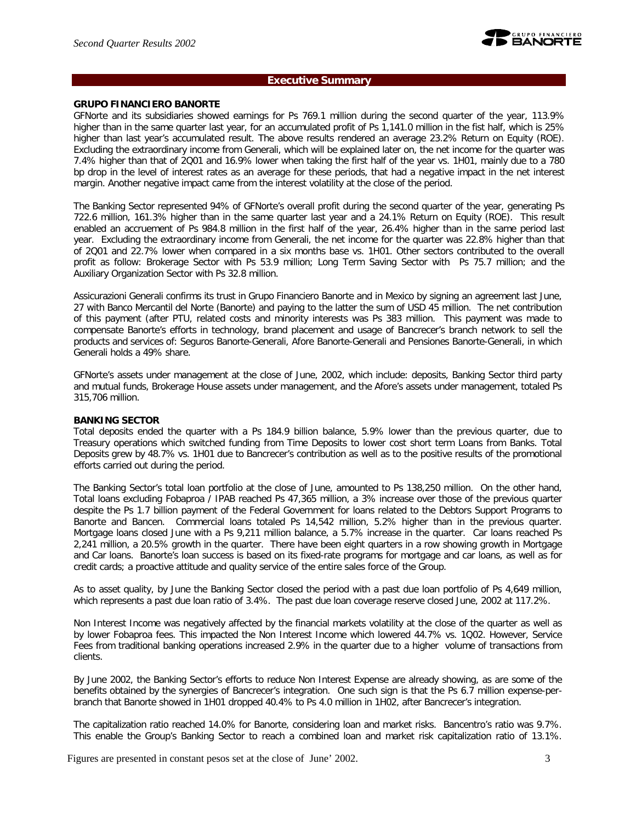

#### **Executive Summary**

#### **GRUPO FINANCIERO BANORTE**

GFNorte and its subsidiaries showed earnings for Ps 769.1 million during the second quarter of the year, 113.9% higher than in the same quarter last year, for an accumulated profit of Ps 1,141.0 million in the fist half, which is 25% higher than last year's accumulated result. The above results rendered an average 23.2% Return on Equity (ROE). Excluding the extraordinary income from Generali, which will be explained later on, the net income for the quarter was 7.4% higher than that of 2Q01 and 16.9% lower when taking the first half of the year vs. 1H01, mainly due to a 780 bp drop in the level of interest rates as an average for these periods, that had a negative impact in the net interest margin. Another negative impact came from the interest volatility at the close of the period.

The Banking Sector represented 94% of GFNorte's overall profit during the second quarter of the year, generating Ps 722.6 million, 161.3% higher than in the same quarter last year and a 24.1% Return on Equity (ROE). This result enabled an accruement of Ps 984.8 million in the first half of the year, 26.4% higher than in the same period last year. Excluding the extraordinary income from Generali, the net income for the quarter was 22.8% higher than that of 2Q01 and 22.7% lower when compared in a six months base vs. 1H01. Other sectors contributed to the overall profit as follow: Brokerage Sector with Ps 53.9 million; Long Term Saving Sector with Ps 75.7 million; and the Auxiliary Organization Sector with Ps 32.8 million.

Assicurazioni Generali confirms its trust in Grupo Financiero Banorte and in Mexico by signing an agreement last June, 27 with Banco Mercantil del Norte (Banorte) and paying to the latter the sum of USD 45 million. The net contribution of this payment (after PTU, related costs and minority interests was Ps 383 million. This payment was made to compensate Banorte's efforts in technology, brand placement and usage of Bancrecer's branch network to sell the products and services of: Seguros Banorte-Generali, Afore Banorte-Generali and Pensiones Banorte-Generali, in which Generali holds a 49% share.

GFNorte's assets under management at the close of June, 2002, which include: deposits, Banking Sector third party and mutual funds, Brokerage House assets under management, and the Afore's assets under management, totaled Ps 315,706 million.

#### **BANKING SECTOR**

Total deposits ended the quarter with a Ps 184.9 billion balance, 5.9% lower than the previous quarter, due to Treasury operations which switched funding from Time Deposits to lower cost short term Loans from Banks. Total Deposits grew by 48.7% vs. 1H01 due to Bancrecer's contribution as well as to the positive results of the promotional efforts carried out during the period.

The Banking Sector's total loan portfolio at the close of June, amounted to Ps 138,250 million. On the other hand, Total loans excluding Fobaproa / IPAB reached Ps 47,365 million, a 3% increase over those of the previous quarter despite the Ps 1.7 billion payment of the Federal Government for loans related to the Debtors Support Programs to Banorte and Bancen. Commercial loans totaled Ps 14,542 million, 5.2% higher than in the previous quarter. Mortgage loans closed June with a Ps 9,211 million balance, a 5.7% increase in the quarter. Car loans reached Ps 2,241 million, a 20.5% growth in the quarter. There have been eight quarters in a row showing growth in Mortgage and Car loans. Banorte's loan success is based on its fixed-rate programs for mortgage and car loans, as well as for credit cards; a proactive attitude and quality service of the entire sales force of the Group.

As to asset quality, by June the Banking Sector closed the period with a past due loan portfolio of Ps 4,649 million, which represents a past due loan ratio of 3.4%. The past due loan coverage reserve closed June, 2002 at 117.2%.

Non Interest Income was negatively affected by the financial markets volatility at the close of the quarter as well as by lower Fobaproa fees. This impacted the Non Interest Income which lowered 44.7% vs. 1Q02. However, Service Fees from traditional banking operations increased 2.9% in the quarter due to a higher volume of transactions from clients.

By June 2002, the Banking Sector's efforts to reduce Non Interest Expense are already showing, as are some of the benefits obtained by the synergies of Bancrecer's integration. One such sign is that the Ps 6.7 million expense-perbranch that Banorte showed in 1H01 dropped 40.4% to Ps 4.0 million in 1H02, after Bancrecer's integration.

The capitalization ratio reached 14.0% for Banorte, considering loan and market risks. Bancentro's ratio was 9.7%. This enable the Group's Banking Sector to reach a combined loan and market risk capitalization ratio of 13.1%.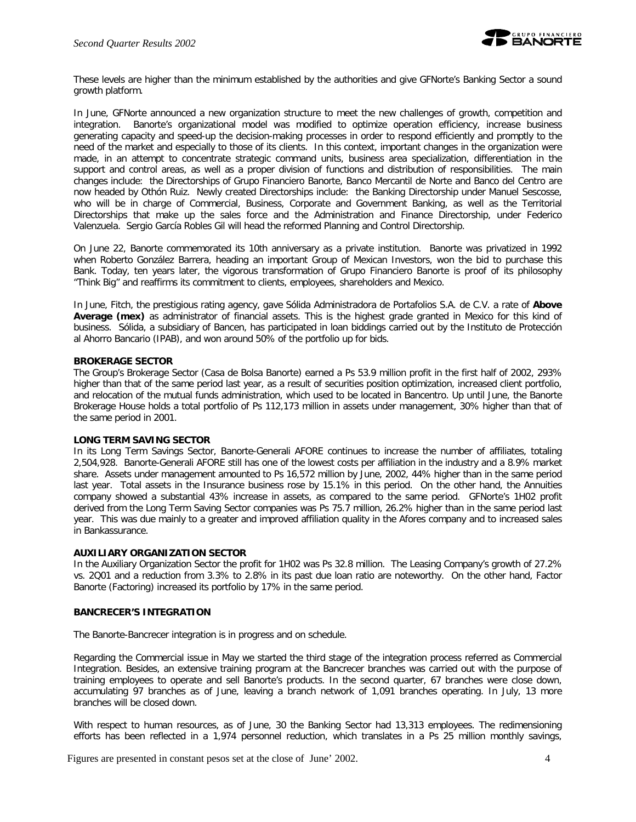

These levels are higher than the minimum established by the authorities and give GFNorte's Banking Sector a sound growth platform.

In June, GFNorte announced a new organization structure to meet the new challenges of growth, competition and integration. Banorte's organizational model was modified to optimize operation efficiency, increase business generating capacity and speed-up the decision-making processes in order to respond efficiently and promptly to the need of the market and especially to those of its clients. In this context, important changes in the organization were made, in an attempt to concentrate strategic command units, business area specialization, differentiation in the support and control areas, as well as a proper division of functions and distribution of responsibilities. The main changes include: the Directorships of Grupo Financiero Banorte, Banco Mercantil de Norte and Banco del Centro are now headed by Othón Ruiz. Newly created Directorships include: the Banking Directorship under Manuel Sescosse, who will be in charge of Commercial, Business, Corporate and Government Banking, as well as the Territorial Directorships that make up the sales force and the Administration and Finance Directorship, under Federico Valenzuela. Sergio García Robles Gil will head the reformed Planning and Control Directorship.

On June 22, Banorte commemorated its 10th anniversary as a private institution. Banorte was privatized in 1992 when Roberto González Barrera, heading an important Group of Mexican Investors, won the bid to purchase this Bank. Today, ten years later, the vigorous transformation of Grupo Financiero Banorte is proof of its philosophy "Think Big" and reaffirms its commitment to clients, employees, shareholders and Mexico.

In June, Fitch, the prestigious rating agency, gave Sólida Administradora de Portafolios S.A. de C.V. a rate of **Above Average (mex)** as administrator of financial assets. This is the highest grade granted in Mexico for this kind of business. Sólida, a subsidiary of Bancen, has participated in loan biddings carried out by the Instituto de Protección al Ahorro Bancario (IPAB), and won around 50% of the portfolio up for bids.

#### **BROKERAGE SECTOR**

The Group's Brokerage Sector (Casa de Bolsa Banorte) earned a Ps 53.9 million profit in the first half of 2002, 293% higher than that of the same period last year, as a result of securities position optimization, increased client portfolio, and relocation of the mutual funds administration, which used to be located in Bancentro. Up until June, the Banorte Brokerage House holds a total portfolio of Ps 112,173 million in assets under management, 30% higher than that of the same period in 2001.

#### **LONG TERM SAVING SECTOR**

In its Long Term Savings Sector, Banorte-Generali AFORE continues to increase the number of affiliates, totaling 2,504,928. Banorte-Generali AFORE still has one of the lowest costs per affiliation in the industry and a 8.9% market share. Assets under management amounted to Ps 16,572 million by June, 2002, 44% higher than in the same period last year. Total assets in the Insurance business rose by 15.1% in this period. On the other hand, the Annuities company showed a substantial 43% increase in assets, as compared to the same period. GFNorte's 1H02 profit derived from the Long Term Saving Sector companies was Ps 75.7 million, 26.2% higher than in the same period last year. This was due mainly to a greater and improved affiliation quality in the Afores company and to increased sales in Bankassurance.

#### **AUXILIARY ORGANIZATION SECTOR**

In the Auxiliary Organization Sector the profit for 1H02 was Ps 32.8 million. The Leasing Company's growth of 27.2% vs. 2Q01 and a reduction from 3.3% to 2.8% in its past due loan ratio are noteworthy. On the other hand, Factor Banorte (Factoring) increased its portfolio by 17% in the same period.

#### **BANCRECER'S INTEGRATION**

The Banorte-Bancrecer integration is in progress and on schedule.

Regarding the Commercial issue in May we started the third stage of the integration process referred as Commercial Integration. Besides, an extensive training program at the Bancrecer branches was carried out with the purpose of training employees to operate and sell Banorte's products. In the second quarter, 67 branches were close down, accumulating 97 branches as of June, leaving a branch network of 1,091 branches operating. In July, 13 more branches will be closed down.

With respect to human resources, as of June, 30 the Banking Sector had 13,313 employees. The redimensioning efforts has been reflected in a 1,974 personnel reduction, which translates in a Ps 25 million monthly savings,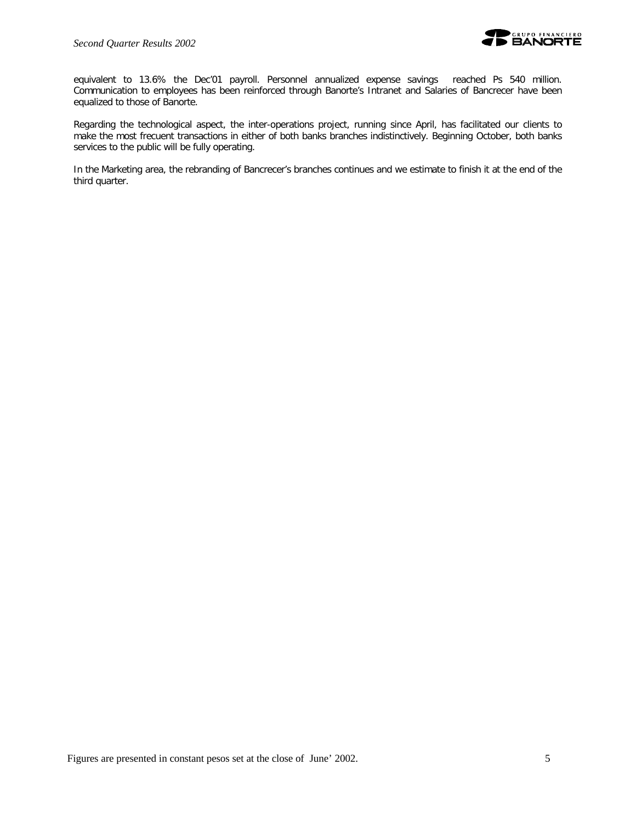

equivalent to 13.6% the Dec'01 payroll. Personnel annualized expense savings reached Ps 540 million. Communication to employees has been reinforced through Banorte's Intranet and Salaries of Bancrecer have been equalized to those of Banorte.

Regarding the technological aspect, the inter-operations project, running since April, has facilitated our clients to make the most frecuent transactions in either of both banks branches indistinctively. Beginning October, both banks services to the public will be fully operating.

In the Marketing area, the rebranding of Bancrecer's branches continues and we estimate to finish it at the end of the third quarter.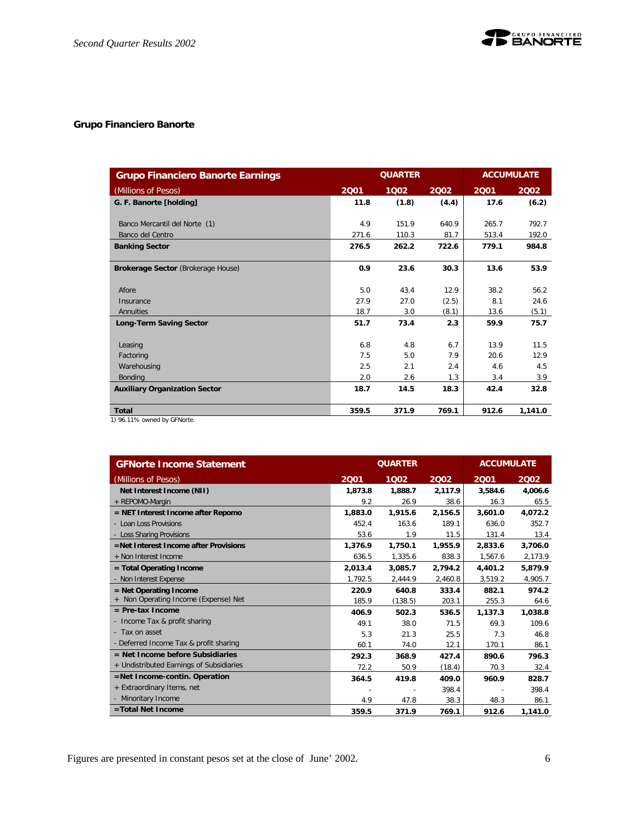

# **Grupo Financiero Banorte**

| <b>Grupo Financiero Banorte Earnings</b>  |       | <b>ACCUMULATE</b> |       |       |         |
|-------------------------------------------|-------|-------------------|-------|-------|---------|
| (Millions of Pesos)                       | 2001  | 1002              | 2002  | 2001  | 2002    |
| G. F. Banorte [holding]                   | 11.8  | (1.8)             | (4.4) | 17.6  | (6.2)   |
| Banco Mercantil del Norte (1)             | 4.9   | 151.9             | 640.9 | 265.7 | 792.7   |
| Banco del Centro                          | 271.6 | 110.3             | 81.7  | 513.4 | 192.0   |
| <b>Banking Sector</b>                     | 276.5 | 262.2             | 722.6 | 779.1 | 984.8   |
|                                           |       |                   |       |       |         |
| <b>Brokerage Sector (Brokerage House)</b> | 0.9   | 23.6              | 30.3  | 13.6  | 53.9    |
|                                           |       |                   |       |       |         |
| Afore                                     | 5.0   | 43.4              | 12.9  | 38.2  | 56.2    |
| Insurance                                 | 27.9  | 27.0              | (2.5) | 8.1   | 24.6    |
| Annuities                                 | 18.7  | 3.0               | (8.1) | 13.6  | (5.1)   |
| <b>Long-Term Saving Sector</b>            | 51.7  | 73.4              | 2.3   | 59.9  | 75.7    |
|                                           |       |                   |       |       |         |
| Leasing                                   | 6.8   | 4.8               | 6.7   | 13.9  | 11.5    |
| Factoring                                 | 7.5   | 5.0               | 7.9   | 20.6  | 12.9    |
| Warehousing                               | 2.5   | 2.1               | 2.4   | 4.6   | 4.5     |
| <b>Bonding</b>                            | 2.0   | 2.6               | 1.3   | 3.4   | 3.9     |
| <b>Auxiliary Organization Sector</b>      | 18.7  | 14.5              | 18.3  | 42.4  | 32.8    |
|                                           |       |                   |       |       |         |
| <b>Total</b>                              | 359.5 | 371.9             | 769.1 | 912.6 | 1,141.0 |

1) 96.11% owned by GFNorte.

| <b>GFNorte Income Statement</b>          | <b>QUARTER</b> | <b>ACCUMULATE</b> |         |         |         |
|------------------------------------------|----------------|-------------------|---------|---------|---------|
| (Millions of Pesos)                      | 2001           | 1002              | 2002    | 2001    | 2002    |
| Net Interest Income (NII)                | 1,873.8        | 1,888.7           | 2,117.9 | 3,584.6 | 4,006.6 |
| + REPOMO-Margin                          | 9.2            | 26.9              | 38.6    | 16.3    | 65.5    |
| $=$ NET Interest Income after Repomo     | 1,883.0        | 1,915.6           | 2,156.5 | 3,601.0 | 4,072.2 |
| - Loan Loss Provisions                   | 452.4          | 163.6             | 189.1   | 636.0   | 352.7   |
| - Loss Sharing Provisions                | 53.6           | 1.9               | 11.5    | 131.4   | 13.4    |
| =Net Interest Income after Provisions    | 1,376.9        | 1,750.1           | 1,955.9 | 2.833.6 | 3.706.0 |
| + Non Interest Income                    | 636.5          | 1,335.6           | 838.3   | 1,567.6 | 2,173.9 |
| = Total Operating Income                 | 2,013.4        | 3,085.7           | 2.794.2 | 4,401.2 | 5,879.9 |
| - Non Interest Expense                   | 1,792.5        | 2,444.9           | 2,460.8 | 3,519.2 | 4,905.7 |
| $=$ Net Operating Income                 | 220.9          | 640.8             | 333.4   | 882.1   | 974.2   |
| Non Operating Income (Expense) Net       | 185.9          | (138.5)           | 203.1   | 255.3   | 64.6    |
| $=$ Pre-tax Income                       | 406.9          | 502.3             | 536.5   | 1,137.3 | 1.038.8 |
| - Income Tax & profit sharing            | 49.1           | 38.0              | 71.5    | 69.3    | 109.6   |
| - Tax on asset                           | 5.3            | 21.3              | 25.5    | 7.3     | 46.8    |
| - Deferred Income Tax & profit sharing   | 60.1           | 74.0              | 12.1    | 170.1   | 86.1    |
| $=$ Net Income before Subsidiaries       | 292.3          | 368.9             | 427.4   | 890.6   | 796.3   |
| + Undistributed Earnings of Subsidiaries | 72.2           | 50.9              | (18.4)  | 70.3    | 32.4    |
| =Net Income-contin. Operation            | 364.5          | 419.8             | 409.0   | 960.9   | 828.7   |
| + Extraordinary Items, net               |                |                   | 398.4   |         | 398.4   |
| - Minoritary Income                      | 4.9            | 47.8              | 38.3    | 48.3    | 86.1    |
| =Total Net Income                        | 359.5          | 371.9             | 769.1   | 912.6   | 1,141.0 |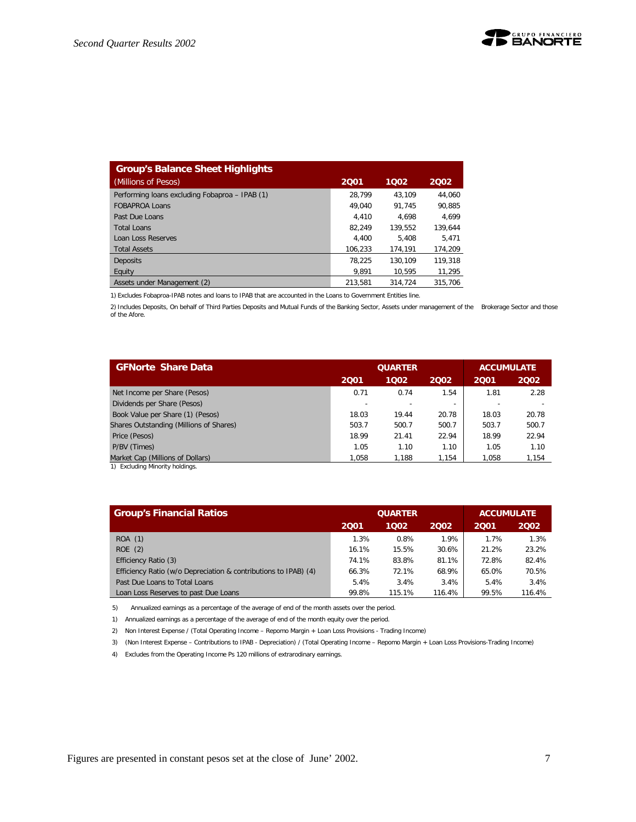| <b>Group's Balance Sheet Highlights</b>        |         |         |         |
|------------------------------------------------|---------|---------|---------|
| (Millions of Pesos)                            | 2001    | 1002    | 2002    |
| Performing loans excluding Fobaproa - IPAB (1) | 28.799  | 43.109  | 44.060  |
| <b>FOBAPROA Loans</b>                          | 49.040  | 91.745  | 90.885  |
| Past Due Loans                                 | 4.410   | 4.698   | 4.699   |
| Total Loans                                    | 82.249  | 139.552 | 139.644 |
| Loan Loss Reserves                             | 4.400   | 5.408   | 5.471   |
| <b>Total Assets</b>                            | 106,233 | 174.191 | 174,209 |
| <b>Deposits</b>                                | 78.225  | 130.109 | 119,318 |
| Equity                                         | 9.891   | 10.595  | 11,295  |
| Assets under Management (2)                    | 213.581 | 314.724 | 315.706 |

1) Excludes Fobaproa-IPAB notes and loans to IPAB that are accounted in the Loans to Government Entities line.

2) Includes Deposits, On behalf of Third Parties Deposits and Mutual Funds of the Banking Sector, Assets under management of the Brokerage Sector and those of the Afore.

| <b>GFNorte Share Data</b>               |       | <b>QUARTER</b> | <b>ACCUMULATE</b>        |       |       |
|-----------------------------------------|-------|----------------|--------------------------|-------|-------|
|                                         | 2001  | 1002           | 2002                     | 2001  | 2002  |
| Net Income per Share (Pesos)            | 0.71  | 0.74           | 1.54                     | 1.81  | 2.28  |
| Dividends per Share (Pesos)             |       |                | $\overline{\phantom{a}}$ |       |       |
| Book Value per Share (1) (Pesos)        | 18.03 | 19.44          | 20.78                    | 18.03 | 20.78 |
| Shares Outstanding (Millions of Shares) | 503.7 | 500.7          | 500.7                    | 503.7 | 500.7 |
| Price (Pesos)                           | 18.99 | 21.41          | 22.94                    | 18.99 | 22.94 |
| P/BV (Times)                            | 1.05  | 1.10           | 1.10                     | 1.05  | 1.10  |
| Market Cap (Millions of Dollars)        | 1.058 | 1.188          | 1.154                    | 1.058 | 1,154 |

1) Excluding Minority holdings.

| <b>Group's Financial Ratios</b>                                 |       | <b>QUARTER</b> | <b>ACCUMULATE</b> |       |        |
|-----------------------------------------------------------------|-------|----------------|-------------------|-------|--------|
|                                                                 | 2001  | 1002           | 2002              | 2001  | 2002   |
| ROA (1)                                                         | 1.3%  | 0.8%           | 1.9%              | 1.7%  | 1.3%   |
| ROE(2)                                                          | 16.1% | 15.5%          | 30.6%             | 21.2% | 23.2%  |
| Efficiency Ratio (3)                                            | 74.1% | 83.8%          | 81.1%             | 72.8% | 82.4%  |
| Efficiency Ratio (w/o Depreciation & contributions to IPAB) (4) | 66.3% | 72.1%          | 68.9%             | 65.0% | 70.5%  |
| Past Due Loans to Total Loans                                   | 5.4%  | 3.4%           | 3.4%              | 5.4%  | 3.4%   |
| Loan Loss Reserves to past Due Loans                            | 99.8% | 115.1%         | 116.4%            | 99.5% | 116.4% |

5) Annualized earnings as a percentage of the average of end of the month assets over the period.

1) Annualized earnings as a percentage of the average of end of the month equity over the period.

2) Non Interest Expense / (Total Operating Income – Repomo Margin + Loan Loss Provisions - Trading Income)

3) (Non Interest Expense – Contributions to IPAB - Depreciation) / (Total Operating Income – Repomo Margin + Loan Loss Provisions-Trading Income)

4) Excludes from the Operating Income Ps 120 millions of extrarodinary earnings.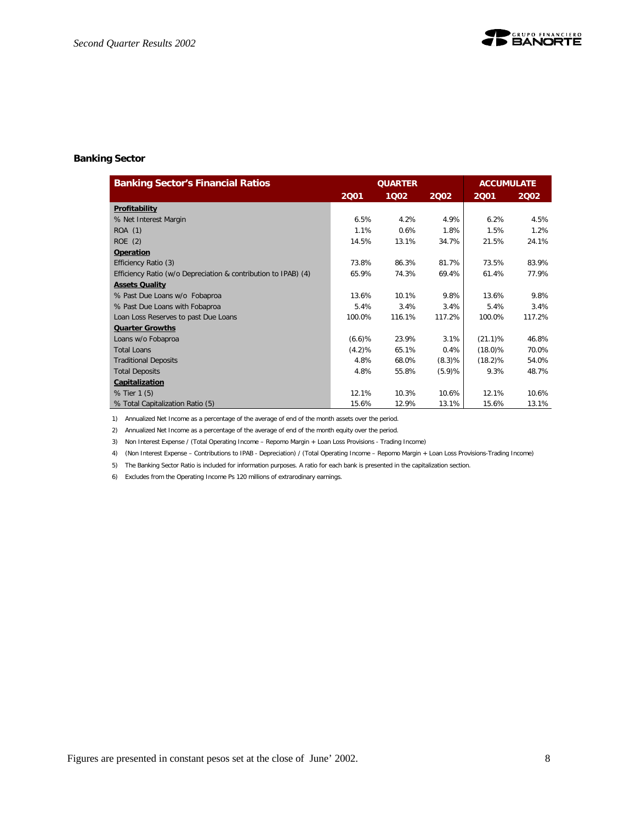#### **Banking Sector**

| <b>Banking Sector's Financial Ratios</b>                       |           | <b>QUARTER</b> |        | <b>ACCUMULATE</b> |        |
|----------------------------------------------------------------|-----------|----------------|--------|-------------------|--------|
|                                                                | 2001      | 1002           | 2002   | 2001              | 2002   |
| Profitability                                                  |           |                |        |                   |        |
| % Net Interest Margin                                          | 6.5%      | 4.2%           | 4.9%   | 6.2%              | 4.5%   |
| ROA (1)                                                        | 1.1%      | 0.6%           | 1.8%   | 1.5%              | 1.2%   |
| ROE(2)                                                         | 14.5%     | 13.1%          | 34.7%  | 21.5%             | 24.1%  |
| Operation                                                      |           |                |        |                   |        |
| Efficiency Ratio (3)                                           | 73.8%     | 86.3%          | 81.7%  | 73.5%             | 83.9%  |
| Efficiency Ratio (w/o Depreciation & contribution to IPAB) (4) | 65.9%     | 74.3%          | 69.4%  | 61.4%             | 77.9%  |
| <b>Assets Quality</b>                                          |           |                |        |                   |        |
| % Past Due Loans w/o Fobaproa                                  | 13.6%     | 10.1%          | 9.8%   | 13.6%             | 9.8%   |
| % Past Due Loans with Fobaproa                                 | 5.4%      | 3.4%           | 3.4%   | 5.4%              | 3.4%   |
| Loan Loss Reserves to past Due Loans                           | 100.0%    | 116.1%         | 117.2% | 100.0%            | 117.2% |
| <b>Quarter Growths</b>                                         |           |                |        |                   |        |
| Loans w/o Fobaproa                                             | (6.6)%    | 23.9%          | 3.1%   | $(21.1)\%$        | 46.8%  |
| Total Loans                                                    | $(4.2)\%$ | 65.1%          | 0.4%   | $(18.0)\%$        | 70.0%  |
| <b>Traditional Deposits</b>                                    | 4.8%      | 68.0%          | (8.3)% | $(18.2)\%$        | 54.0%  |
| <b>Total Deposits</b>                                          | 4.8%      | 55.8%          | (5.9)% | 9.3%              | 48.7%  |
| Capitalization                                                 |           |                |        |                   |        |
| % Tier 1 (5)                                                   | 12.1%     | 10.3%          | 10.6%  | 12.1%             | 10.6%  |
| % Total Capitalization Ratio (5)                               | 15.6%     | 12.9%          | 13.1%  | 15.6%             | 13.1%  |

1) Annualized Net Income as a percentage of the average of end of the month assets over the period.

2) Annualized Net Income as a percentage of the average of end of the month equity over the period.

3) Non Interest Expense / (Total Operating Income – Repomo Margin + Loan Loss Provisions - Trading Income)

4) (Non Interest Expense – Contributions to IPAB - Depreciation) / (Total Operating Income – Repomo Margin + Loan Loss Provisions-Trading Income)

5) The Banking Sector Ratio is included for information purposes. A ratio for each bank is presented in the capitalization section.

6) Excludes from the Operating Income Ps 120 millions of extrarodinary earnings.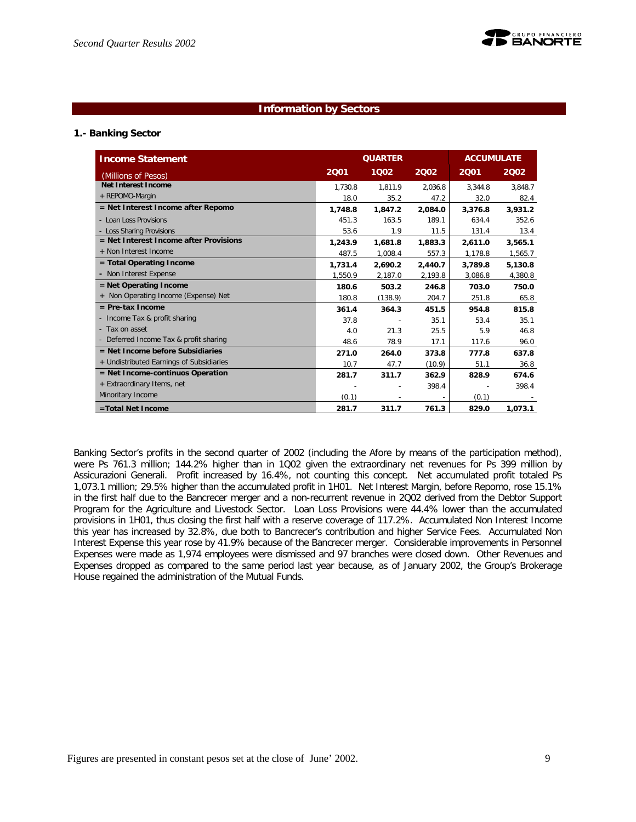

#### **Information by Sectors**

#### **1.- Banking Sector**

| <b>Income Statement</b>                  | <b>QUARTER</b><br><b>ACCUMULATE</b> |         |         |         |         |  |
|------------------------------------------|-------------------------------------|---------|---------|---------|---------|--|
| (Millions of Pesos)                      | 2001                                | 1002    | 2002    | 2001    | 2002    |  |
| Net Interest Income                      | 1.730.8                             | 1.811.9 | 2.036.8 | 3.344.8 | 3,848.7 |  |
| + REPOMO-Margin                          | 18.0                                | 35.2    | 47.2    | 32.0    | 82.4    |  |
| $=$ Net Interest Income after Repomo     | 1,748.8                             | 1.847.2 | 2,084.0 | 3,376.8 | 3.931.2 |  |
| - Loan Loss Provisions                   | 451.3                               | 163.5   | 189.1   | 634.4   | 352.6   |  |
| - Loss Sharing Provisions                | 53.6                                | 1.9     | 11.5    | 131.4   | 13.4    |  |
| $=$ Net Interest Income after Provisions | 1.243.9                             | 1.681.8 | 1.883.3 | 2.611.0 | 3.565.1 |  |
| + Non Interest Income                    | 487.5                               | 1,008.4 | 557.3   | 1,178.8 | 1,565.7 |  |
| $=$ Total Operating Income               | 1.731.4                             | 2.690.2 | 2,440.7 | 3,789.8 | 5,130.8 |  |
| - Non Interest Expense                   | 1,550.9                             | 2,187.0 | 2,193.8 | 3,086.8 | 4,380.8 |  |
| $=$ Net Operating Income                 | 180.6                               | 503.2   | 246.8   | 703.0   | 750.0   |  |
| + Non Operating Income (Expense) Net     | 180.8                               | (138.9) | 204.7   | 251.8   | 65.8    |  |
| $=$ Pre-tax Income                       | 361.4                               | 364.3   | 451.5   | 954.8   | 815.8   |  |
| - Income Tax & profit sharing            | 37.8                                |         | 35.1    | 53.4    | 35.1    |  |
| - Tax on asset                           | 4.0                                 | 21.3    | 25.5    | 5.9     | 46.8    |  |
| - Deferred Income Tax & profit sharing   | 48.6                                | 78.9    | 17.1    | 117.6   | 96.0    |  |
| $=$ Net Income before Subsidiaries       | 271.0                               | 264.0   | 373.8   | 777.8   | 637.8   |  |
| + Undistributed Earnings of Subsidiaries | 10.7                                | 47.7    | (10.9)  | 51.1    | 36.8    |  |
| $=$ Net Income-continuos Operation       | 281.7                               | 311.7   | 362.9   | 828.9   | 674.6   |  |
| + Extraordinary Items, net               |                                     |         | 398.4   |         | 398.4   |  |
| Minoritary Income                        | (0.1)                               |         |         | (0.1)   |         |  |
| =Total Net Income                        | 281.7                               | 311.7   | 761.3   | 829.0   | 1,073.1 |  |

Banking Sector's profits in the second quarter of 2002 (including the Afore by means of the participation method), were Ps 761.3 million; 144.2% higher than in 1Q02 given the extraordinary net revenues for Ps 399 million by Assicurazioni Generali. Profit increased by 16.4%, not counting this concept. Net accumulated profit totaled Ps 1,073.1 million; 29.5% higher than the accumulated profit in 1H01. Net Interest Margin, before Repomo, rose 15.1% in the first half due to the Bancrecer merger and a non-recurrent revenue in 2Q02 derived from the Debtor Support Program for the Agriculture and Livestock Sector. Loan Loss Provisions were 44.4% lower than the accumulated provisions in 1H01, thus closing the first half with a reserve coverage of 117.2%. Accumulated Non Interest Income this year has increased by 32.8%, due both to Bancrecer's contribution and higher Service Fees. Accumulated Non Interest Expense this year rose by 41.9% because of the Bancrecer merger. Considerable improvements in Personnel Expenses were made as 1,974 employees were dismissed and 97 branches were closed down. Other Revenues and Expenses dropped as compared to the same period last year because, as of January 2002, the Group's Brokerage House regained the administration of the Mutual Funds.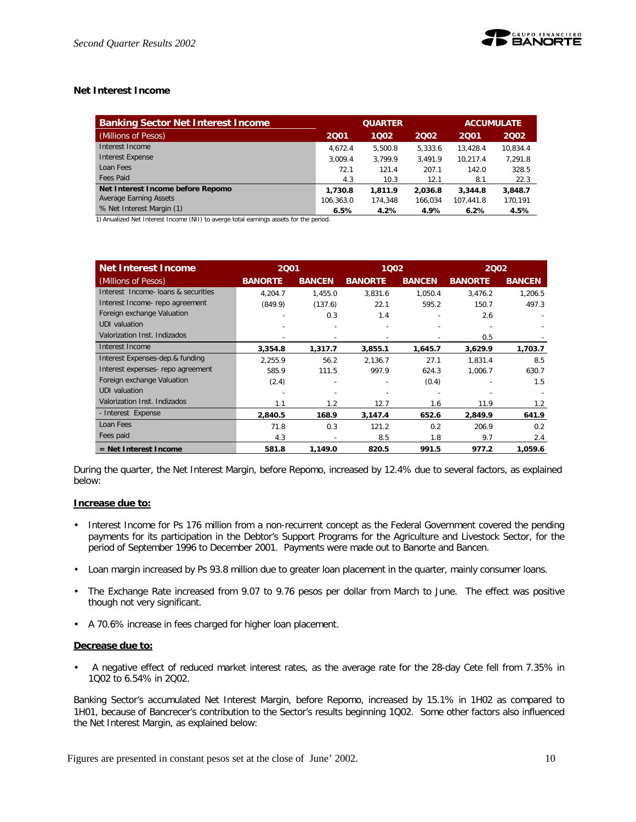#### **Net Interest Income**

| <b>Banking Sector Net Interest Income</b> |           | <b>QUARTER</b> | <b>ACCUMULATE</b> |           |          |
|-------------------------------------------|-----------|----------------|-------------------|-----------|----------|
| (Millions of Pesos)                       | 2001      | 1002           | 2002              | 2001      | 2002     |
| Interest Income                           | 4.672.4   | 5.500.8        | 5.333.6           | 13.428.4  | 10.834.4 |
| <b>Interest Expense</b>                   | 3.009.4   | 3.799.9        | 3.491.9           | 10.217.4  | 7.291.8  |
| Loan Fees                                 | 72.1      | 121.4          | 207.1             | 142.0     | 328.5    |
| Fees Paid                                 | 4.3       | 10.3           | 12.1              | 8.1       | 22.3     |
| Net Interest Income before Repomo         | 1,730.8   | 1.811.9        | 2.036.8           | 3,344.8   | 3,848.7  |
| Average Earning Assets                    | 106.363.0 | 174.348        | 166.034           | 107.441.8 | 170,191  |
| % Net Interest Margin (1)                 | 6.5%      | 4.2%           | 4.9%              | 6.2%      | 4.5%     |

1) Anualized Net Interest Income (NII) to averge total earnings assets for the period.

| Net Interest Income                 | 2001           |               | 1002           |               | 2002           |               |
|-------------------------------------|----------------|---------------|----------------|---------------|----------------|---------------|
| (Millions of Pesos)                 | <b>BANORTE</b> | <b>BANCEN</b> | <b>BANORTE</b> | <b>BANCEN</b> | <b>BANORTE</b> | <b>BANCEN</b> |
| Interest Income- loans & securities | 4.204.7        | 1,455.0       | 3,831.6        | 1,050.4       | 3,476.2        | 1,206.5       |
| Interest Income- repo agreement     | (849.9)        | (137.6)       | 22.1           | 595.2         | 150.7          | 497.3         |
| Foreign exchange Valuation          |                | 0.3           | 1.4            |               | 2.6            |               |
| UDI valuation                       |                |               |                |               |                |               |
| Valorization Inst. Indizados        |                |               |                |               | 0.5            |               |
| Interest Income                     | 3,354.8        | 1,317.7       | 3,855.1        | 1,645.7       | 3,629.9        | 1,703.7       |
| Interest Expenses-dep.& funding     | 2.255.9        | 56.2          | 2.136.7        | 27.1          | 1.831.4        | 8.5           |
| Interest expenses- repo agreement   | 585.9          | 111.5         | 997.9          | 624.3         | 1,006.7        | 630.7         |
| Foreign exchange Valuation          | (2.4)          |               |                | (0.4)         |                | 1.5           |
| <b>UDI</b> valuation                |                |               |                |               |                |               |
| Valorization Inst. Indizados        | 1.1            | 1.2           | 12.7           | 1.6           | 11.9           | 1.2           |
| - Interest Expense                  | 2,840.5        | 168.9         | 3,147.4        | 652.6         | 2,849.9        | 641.9         |
| Loan Fees                           | 71.8           | 0.3           | 121.2          | 0.2           | 206.9          | 0.2           |
| Fees paid                           | 4.3            |               | 8.5            | 1.8           | 9.7            | 2.4           |
| $=$ Net Interest Income             | 581.8          | 1,149.0       | 820.5          | 991.5         | 977.2          | 1,059.6       |

During the quarter, the Net Interest Margin, before Repomo, increased by 12.4% due to several factors, as explained below:

#### **Increase due to:**

- Interest Income for Ps 176 million from a non-recurrent concept as the Federal Government covered the pending payments for its participation in the Debtor's Support Programs for the Agriculture and Livestock Sector, for the period of September 1996 to December 2001. Payments were made out to Banorte and Bancen.
- Loan margin increased by Ps 93.8 million due to greater loan placement in the quarter, mainly consumer loans.
- The Exchange Rate increased from 9.07 to 9.76 pesos per dollar from March to June. The effect was positive though not very significant.
- A 70.6% increase in fees charged for higher loan placement.

#### **Decrease due to:**

• A negative effect of reduced market interest rates, as the average rate for the 28-day Cete fell from 7.35% in 1Q02 to 6.54% in 2Q02.

Banking Sector's accumulated Net Interest Margin, before Repomo, increased by 15.1% in 1H02 as compared to 1H01, because of Bancrecer's contribution to the Sector's results beginning 1Q02. Some other factors also influenced the Net Interest Margin, as explained below: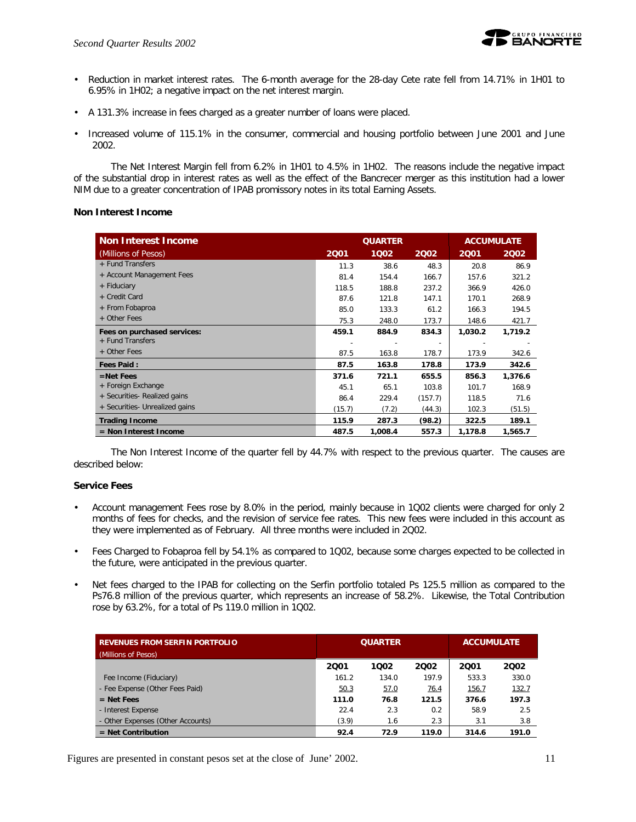

- Reduction in market interest rates. The 6-month average for the 28-day Cete rate fell from 14.71% in 1H01 to 6.95% in 1H02; a negative impact on the net interest margin.
- A 131.3% increase in fees charged as a greater number of loans were placed.
- Increased volume of 115.1% in the consumer, commercial and housing portfolio between June 2001 and June 2002.

The Net Interest Margin fell from 6.2% in 1H01 to 4.5% in 1H02. The reasons include the negative impact of the substantial drop in interest rates as well as the effect of the Bancrecer merger as this institution had a lower NIM due to a greater concentration of IPAB promissory notes in its total Earning Assets.

#### **Non Interest Income**

| <b>Non Interest Income</b>     | <b>QUARTER</b> |         |                          |         | <b>ACCUMULATE</b> |
|--------------------------------|----------------|---------|--------------------------|---------|-------------------|
| (Millions of Pesos)            | 2001           | 1002    | 2002                     | 2001    | 2002              |
| + Fund Transfers               | 11.3           | 38.6    | 48.3                     | 20.8    | 86.9              |
| + Account Management Fees      | 81.4           | 154.4   | 166.7                    | 157.6   | 321.2             |
| + Fiduciary                    | 118.5          | 188.8   | 237.2                    | 366.9   | 426.0             |
| + Credit Card                  | 87.6           | 121.8   | 147.1                    | 170.1   | 268.9             |
| + From Fobaproa                | 85.0           | 133.3   | 61.2                     | 166.3   | 194.5             |
| + Other Fees                   | 75.3           | 248.0   | 173.7                    | 148.6   | 421.7             |
| Fees on purchased services:    | 459.1          | 884.9   | 834.3                    | 1,030.2 | 1,719.2           |
| + Fund Transfers               |                |         | $\overline{\phantom{a}}$ |         |                   |
| + Other Fees                   | 87.5           | 163.8   | 178.7                    | 173.9   | 342.6             |
| <b>Fees Paid:</b>              | 87.5           | 163.8   | 178.8                    | 173.9   | 342.6             |
| $=$ Net Fees                   | 371.6          | 721.1   | 655.5                    | 856.3   | 1,376.6           |
| + Foreign Exchange             | 45.1           | 65.1    | 103.8                    | 101.7   | 168.9             |
| + Securities- Realized gains   | 86.4           | 229.4   | (157.7)                  | 118.5   | 71.6              |
| + Securities- Unrealized gains | (15.7)         | (7.2)   | (44.3)                   | 102.3   | (51.5)            |
| <b>Trading Income</b>          | 115.9          | 287.3   | (98.2)                   | 322.5   | 189.1             |
| $=$ Non Interest Income        | 487.5          | 1,008.4 | 557.3                    | 1,178.8 | 1,565.7           |

The Non Interest Income of the quarter fell by 44.7% with respect to the previous quarter. The causes are described below:

#### **Service Fees**

- Account management Fees rose by 8.0% in the period, mainly because in 1Q02 clients were charged for only 2 months of fees for checks, and the revision of service fee rates. This new fees were included in this account as they were implemented as of February. All three months were included in 2Q02.
- Fees Charged to Fobaproa fell by 54.1% as compared to 1Q02, because some charges expected to be collected in the future, were anticipated in the previous quarter.
- Net fees charged to the IPAB for collecting on the Serfin portfolio totaled Ps 125.5 million as compared to the Ps76.8 million of the previous quarter, which represents an increase of 58.2%. Likewise, the Total Contribution rose by 63.2%, for a total of Ps 119.0 million in 1Q02.

| <b>REVENUES FROM SERFIN PORTFOLIO</b><br>(Millions of Pesos) |       | <b>QUARTER</b> | <b>ACCUMULATE</b> |       |       |
|--------------------------------------------------------------|-------|----------------|-------------------|-------|-------|
|                                                              | 2001  | 1002           | 2002              | 2001  | 2002  |
| Fee Income (Fiduciary)                                       | 161.2 | 134.0          | 197.9             | 533.3 | 330.0 |
| - Fee Expense (Other Fees Paid)                              | 50.3  | 57.0           | 76.4              | 156.7 | 132.7 |
| $=$ Net Fees                                                 | 111.0 | 76.8           | 121.5             | 376.6 | 197.3 |
| - Interest Expense                                           | 22.4  | 2.3            | 0.2               | 58.9  | 2.5   |
| - Other Expenses (Other Accounts)                            | (3.9) | 1.6            | 2.3               | 3.1   | 3.8   |
| $=$ Net Contribution                                         | 92.4  | 72.9           | 119.0             | 314.6 | 191.0 |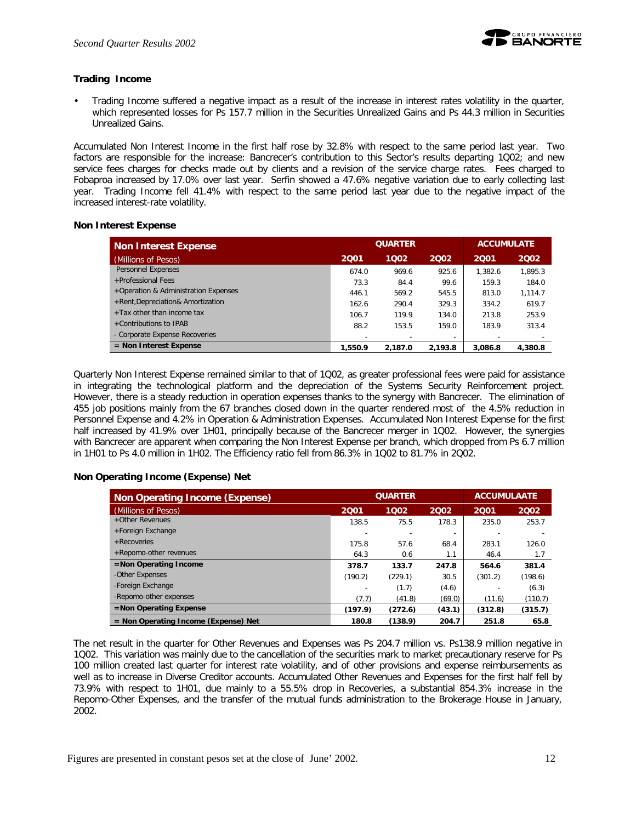

#### **Trading Income**

• Trading Income suffered a negative impact as a result of the increase in interest rates volatility in the quarter, which represented losses for Ps 157.7 million in the Securities Unrealized Gains and Ps 44.3 million in Securities Unrealized Gains.

Accumulated Non Interest Income in the first half rose by 32.8% with respect to the same period last year. Two factors are responsible for the increase: Bancrecer's contribution to this Sector's results departing 1Q02; and new service fees charges for checks made out by clients and a revision of the service charge rates. Fees charged to Fobaproa increased by 17.0% over last year. Serfin showed a 47.6% negative variation due to early collecting last year. Trading Income fell 41.4% with respect to the same period last year due to the negative impact of the increased interest-rate volatility.

#### **Non Interest Expense**

| <b>Non Interest Expense</b>          |                          | <b>QUARTER</b> | <b>ACCUMULATE</b>        |         |         |
|--------------------------------------|--------------------------|----------------|--------------------------|---------|---------|
| (Millions of Pesos)                  | 2001                     | 1002           | 2002                     | 2001    | 2002    |
| Personnel Expenses                   | 674.0                    | 969.6          | 925.6                    | 1.382.6 | 1,895.3 |
| +Professional Fees                   | 73.3                     | 84.4           | 99.6                     | 159.3   | 184.0   |
| +Operation & Administration Expenses | 446.1                    | 569.2          | 545.5                    | 813.0   | 1.114.7 |
| +Rent, Depreciation& Amortization    | 162.6                    | 290.4          | 329.3                    | 334.2   | 619.7   |
| $+$ Tax other than income tax        | 106.7                    | 119.9          | 134.0                    | 213.8   | 253.9   |
| +Contributions to IPAB               | 88.2                     | 153.5          | 159.0                    | 183.9   | 313.4   |
| - Corporate Expense Recoveries       | $\overline{\phantom{a}}$ |                | $\overline{\phantom{a}}$ |         |         |
| $=$ Non Interest Expense             | 1.550.9                  | 2.187.0        | 2.193.8                  | 3.086.8 | 4,380.8 |

Quarterly Non Interest Expense remained similar to that of 1Q02, as greater professional fees were paid for assistance in integrating the technological platform and the depreciation of the Systems Security Reinforcement project. However, there is a steady reduction in operation expenses thanks to the synergy with Bancrecer. The elimination of 455 job positions mainly from the 67 branches closed down in the quarter rendered most of the 4.5% reduction in Personnel Expense and 4.2% in Operation & Administration Expenses. Accumulated Non Interest Expense for the first half increased by 41.9% over 1H01, principally because of the Bancrecer merger in 1Q02. However, the synergies with Bancrecer are apparent when comparing the Non Interest Expense per branch, which dropped from Ps 6.7 million in 1H01 to Ps 4.0 million in 1H02. The Efficiency ratio fell from 86.3% in 1Q02 to 81.7% in 2Q02.

#### **Non Operating Income (Expense) Net**

| <b>Non Operating Income (Expense)</b>  |         | <b>QUARTER</b> |                          |         | <b>ACCUMULAATE</b> |
|----------------------------------------|---------|----------------|--------------------------|---------|--------------------|
| (Millions of Pesos)                    | 2001    | 1002           | 2002                     | 2001    | 2002               |
| +Other Revenues                        | 138.5   | 75.5           | 178.3                    | 235.0   | 253.7              |
| +Foreign Exchange                      |         |                | $\overline{\phantom{a}}$ |         |                    |
| + Recoveries                           | 175.8   | 57.6           | 68.4                     | 283.1   | 126.0              |
| +Repomo-other revenues                 | 64.3    | 0.6            | 1.1                      | 46.4    | 1.7                |
| $=$ Non Operating Income               | 378.7   | 133.7          | 247.8                    | 564.6   | 381.4              |
| -Other Expenses                        | (190.2) | (229.1)        | 30.5                     | (301.2) | (198.6)            |
| -Foreign Exchange                      |         | (1.7)          | (4.6)                    |         | (6.3)              |
| -Repomo-other expenses                 | (7.7)   | (41.8)         | (69.0)                   | (11.6)  | (110.7)            |
| $=$ Non Operating Expense              | (197.9) | (272.6)        | (43.1)                   | (312.8) | (315.7)            |
| $=$ Non Operating Income (Expense) Net | 180.8   | (138.9)        | 204.7                    | 251.8   | 65.8               |

The net result in the quarter for Other Revenues and Expenses was Ps 204.7 million vs. Ps138.9 million negative in 1Q02. This variation was mainly due to the cancellation of the securities mark to market precautionary reserve for Ps 100 million created last quarter for interest rate volatility, and of other provisions and expense reimbursements as well as to increase in Diverse Creditor accounts. Accumulated Other Revenues and Expenses for the first half fell by 73.9% with respect to 1H01, due mainly to a 55.5% drop in Recoveries, a substantial 854.3% increase in the Repomo-Other Expenses, and the transfer of the mutual funds administration to the Brokerage House in January, 2002.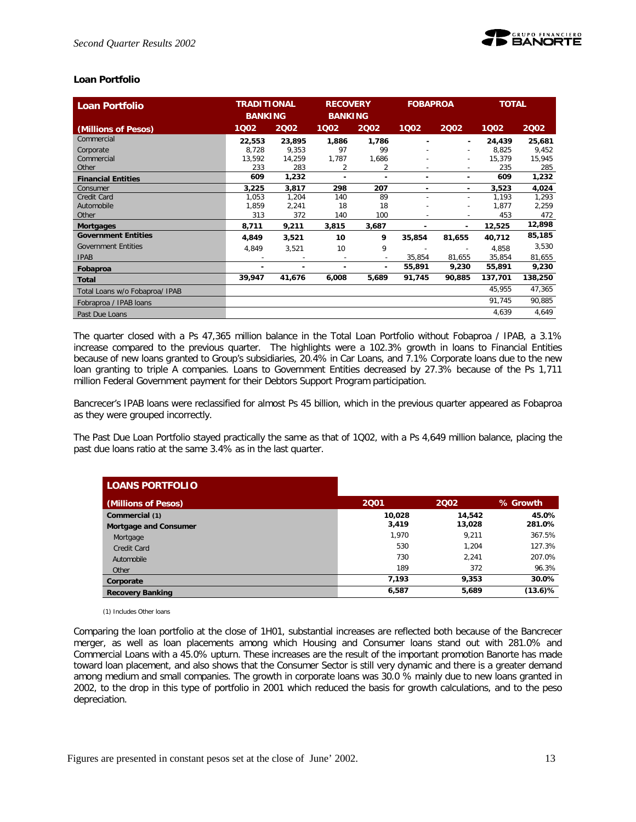

#### **Loan Portfolio**

| <b>Loan Portfolio</b>          | <b>TRADITIONAL</b> |        | <b>RECOVERY</b> |                          | <b>FOBAPROA</b>          |                          | <b>TOTAL</b> |         |
|--------------------------------|--------------------|--------|-----------------|--------------------------|--------------------------|--------------------------|--------------|---------|
|                                | <b>BANKING</b>     |        | <b>BANKING</b>  |                          |                          |                          |              |         |
| (Millions of Pesos)            | 1002               | 2002   | 1002            | 2002                     | 1002                     | 2002                     | 1002         | 2002    |
| Commercial                     | 22,553             | 23,895 | 1,886           | 1,786                    |                          | ٠                        | 24,439       | 25,681  |
| Corporate                      | 8.728              | 9,353  | 97              | 99                       |                          | $\overline{\phantom{0}}$ | 8.825        | 9,452   |
| Commercial                     | 13,592             | 14,259 | 1,787           | 1,686                    |                          | ٠                        | 15,379       | 15,945  |
| Other                          | 233                | 283    | 2               | 2                        | $\overline{\phantom{a}}$ | $\sim$                   | 235          | 285     |
| <b>Financial Entities</b>      | 609                | 1,232  |                 | ٠                        |                          | ٠                        | 609          | 1,232   |
| Consumer                       | 3,225              | 3,817  | 298             | 207                      | ٠                        | ٠                        | 3,523        | 4,024   |
| Credit Card                    | 1,053              | 1,204  | 140             | 89                       |                          | ۰                        | 1,193        | 1,293   |
| Automobile                     | 1,859              | 2,241  | 18              | 18                       |                          | ٠                        | 1,877        | 2,259   |
| Other                          | 313                | 372    | 140             | 100                      |                          | ٠                        | 453          | 472     |
| <b>Mortgages</b>               | 8,711              | 9,211  | 3,815           | 3,687                    | $\blacksquare$           | ۰                        | 12,525       | 12,898  |
| <b>Government Entities</b>     | 4,849              | 3,521  | 10              | 9                        | 35,854                   | 81,655                   | 40,712       | 85,185  |
| <b>Government Entities</b>     | 4,849              | 3,521  | 10              | 9                        |                          | $\overline{\phantom{a}}$ | 4,858        | 3,530   |
| <b>IPAB</b>                    |                    |        |                 | $\overline{\phantom{a}}$ | 35,854                   | 81,655                   | 35,854       | 81,655  |
| Fobaproa                       | ۰                  |        |                 | -                        | 55,891                   | 9,230                    | 55,891       | 9,230   |
| <b>Total</b>                   | 39,947             | 41,676 | 6,008           | 5,689                    | 91,745                   | 90,885                   | 137,701      | 138,250 |
| Total Loans w/o Fobaproa/ IPAB |                    |        |                 |                          |                          |                          | 45,955       | 47,365  |
| Fobraproa / IPAB loans         |                    |        |                 |                          |                          |                          | 91,745       | 90,885  |
| Past Due Loans                 |                    |        |                 |                          |                          |                          | 4,639        | 4,649   |

The quarter closed with a Ps 47,365 million balance in the Total Loan Portfolio without Fobaproa / IPAB, a 3.1% increase compared to the previous quarter. The highlights were a 102.3% growth in loans to Financial Entities because of new loans granted to Group's subsidiaries, 20.4% in Car Loans, and 7.1% Corporate loans due to the new loan granting to triple A companies. Loans to Government Entities decreased by 27.3% because of the Ps 1,711 million Federal Government payment for their Debtors Support Program participation.

Bancrecer's IPAB loans were reclassified for almost Ps 45 billion, which in the previous quarter appeared as Fobaproa as they were grouped incorrectly.

The Past Due Loan Portfolio stayed practically the same as that of 1Q02, with a Ps 4,649 million balance, placing the past due loans ratio at the same 3.4% as in the last quarter.

| <b>LOANS PORTFOLIO</b>       |        |        |            |
|------------------------------|--------|--------|------------|
| (Millions of Pesos)          | 2001   | 2002   | % Growth   |
| Commercial (1)               | 10.028 | 14,542 | 45.0%      |
| <b>Mortgage and Consumer</b> | 3,419  | 13,028 | 281.0%     |
| Mortgage                     | 1,970  | 9.211  | 367.5%     |
| <b>Credit Card</b>           | 530    | 1.204  | 127.3%     |
| Automobile                   | 730    | 2.241  | 207.0%     |
| Other                        | 189    | 372    | 96.3%      |
| Corporate                    | 7.193  | 9,353  | 30.0%      |
| <b>Recovery Banking</b>      | 6,587  | 5,689  | $(13.6)\%$ |

(1) Includes Other loans

Comparing the loan portfolio at the close of 1H01, substantial increases are reflected both because of the Bancrecer merger, as well as loan placements among which Housing and Consumer loans stand out with 281.0% and Commercial Loans with a 45.0% upturn. These increases are the result of the important promotion Banorte has made toward loan placement, and also shows that the Consumer Sector is still very dynamic and there is a greater demand among medium and small companies. The growth in corporate loans was 30.0 % mainly due to new loans granted in 2002, to the drop in this type of portfolio in 2001 which reduced the basis for growth calculations, and to the peso depreciation.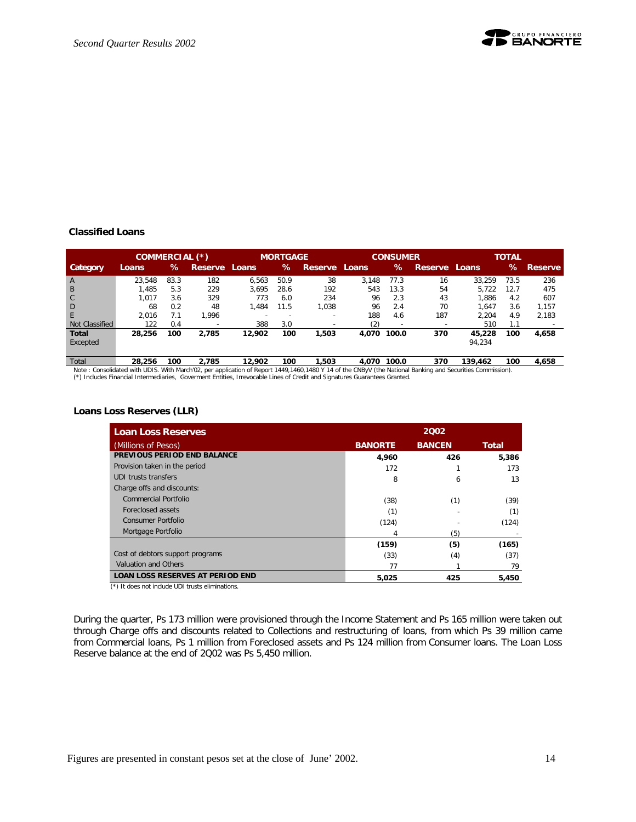

#### **Classified Loans**

|                          | COMMERCIAL (*) |      |                          |        | <b>MORTGAGE</b>          |                          |       | <b>CONSUMER</b> |                |                  | <b>TOTAL</b> |                |
|--------------------------|----------------|------|--------------------------|--------|--------------------------|--------------------------|-------|-----------------|----------------|------------------|--------------|----------------|
| Category                 | Loans.         | ℅    | Reserve,                 | Loans  | ℅                        | Reserve Loans            |       | ℅               | <b>Reserve</b> | Loans            | ℅            | <b>Reserve</b> |
| A                        | 23.548         | 83.3 | 182                      | 6.563  | 50.9                     | 38                       | 3.148 | 77.3            | 16             | 33.259           | 73.5         | 236            |
| B                        | 1.485          | 5.3  | 229                      | 3.695  | 28.6                     | 192                      | 543   | 13.3            | 54             | 5.722            | 12.7         | 475            |
| $\mathsf{C}$             | 1.017          | 3.6  | 329                      | 773    | 6.0                      | 234                      | 96    | 2.3             | 43             | 1.886            | 4.2          | 607            |
| D                        | 68             | 0.2  | 48                       | 1.484  | 11.5                     | 1,038                    | 96    | 2.4             | 70             | 1.647            | 3.6          | 1.157          |
| E                        | 2.016          | 7.1  | 1.996                    |        | $\overline{\phantom{0}}$ | $\overline{\phantom{a}}$ | 188   | 4.6             | 187            | 2.204            | 4.9          | 2.183          |
| Not Classified           | 122            | 0.4  | $\overline{\phantom{a}}$ | 388    | 3.0                      |                          | (2)   | -               |                | 510              | 1.1          |                |
| <b>Total</b><br>Excepted | 28,256         | 100  | 2.785                    | 12.902 | 100                      | 1,503                    | 4.070 | 100.0           | 370            | 45,228<br>94,234 | 100          | 4,658          |

Total 28,256 100 2,785 12,902 100 1,503 4,070 100.0 370 139,462 100 4,658<br>Note : Consolidated with UDIS. With March'02, per application of Report 1449,1460,1480 Y 14 of the CNByV (the National Banking and Securities Commis (\*) Includes Financial Intermediaries, Goverment Entities, Irrevocable Lines of Credit and Signatures Guarantees Granted.

**Loans Loss Reserves (LLR)**

| <b>Loan Loss Reserves</b>               |                | 2002          |              |
|-----------------------------------------|----------------|---------------|--------------|
| (Millions of Pesos)                     | <b>BANORTE</b> | <b>BANCEN</b> | <b>Total</b> |
| PREVIOUS PERIOD END BALANCE             | 4,960          | 426           | 5,386        |
| Provision taken in the period           | 172            |               | 173          |
| UDI trusts transfers                    | 8              | 6             | 13           |
| Charge offs and discounts:              |                |               |              |
| Commercial Portfolio                    | (38)           | (1)           | (39)         |
| Foreclosed assets                       | (1)            |               | (1)          |
| Consumer Portfolio                      | (124)          |               | (124)        |
| Mortgage Portfolio                      | 4              | (5)           |              |
|                                         | (159)          | (5)           | (165)        |
| Cost of debtors support programs        | (33)           | (4)           | (37)         |
| Valuation and Others                    | 77             |               | 79           |
| <b>LOAN LOSS RESERVES AT PERIOD END</b> | 5.025          | 425           | 5,450        |

(\*) It does not include UDI trusts eliminations.

During the quarter, Ps 173 million were provisioned through the Income Statement and Ps 165 million were taken out through Charge offs and discounts related to Collections and restructuring of loans, from which Ps 39 million came from Commercial loans, Ps 1 million from Foreclosed assets and Ps 124 million from Consumer loans. The Loan Loss Reserve balance at the end of 2Q02 was Ps 5,450 million.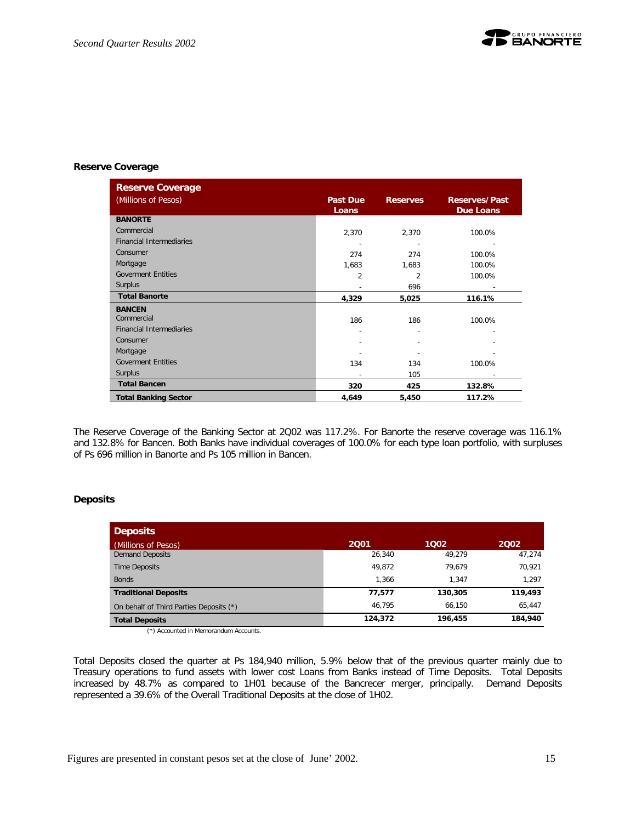

#### **Reserve Coverage**

| <b>Reserve Coverage</b>         |                          |                 |                                   |
|---------------------------------|--------------------------|-----------------|-----------------------------------|
| (Millions of Pesos)             | <b>Past Due</b><br>Loans | <b>Reserves</b> | <b>Reserves/Past</b><br>Due Loans |
| <b>BANORTE</b>                  |                          |                 |                                   |
| Commercial                      | 2,370                    | 2,370           | 100.0%                            |
| <b>Financial Intermediaries</b> |                          |                 |                                   |
| Consumer                        | 274                      | 274             | 100.0%                            |
| Mortgage                        | 1,683                    | 1,683           | 100.0%                            |
| <b>Goverment Entities</b>       | $\overline{\mathcal{L}}$ | 2               | 100.0%                            |
| Surplus                         |                          | 696             |                                   |
| <b>Total Banorte</b>            | 4,329                    | 5,025           | 116.1%                            |
| <b>BANCEN</b>                   |                          |                 |                                   |
| Commercial                      | 186                      | 186             | 100.0%                            |
| <b>Financial Intermediaries</b> | $\overline{a}$           |                 |                                   |
| Consumer                        |                          |                 |                                   |
| Mortgage                        |                          |                 |                                   |
| <b>Goverment Entities</b>       | 134                      | 134             | 100.0%                            |
| Surplus                         |                          | 105             |                                   |
| <b>Total Bancen</b>             | 320                      | 425             | 132.8%                            |
| <b>Total Banking Sector</b>     | 4,649                    | 5,450           | 117.2%                            |

The Reserve Coverage of the Banking Sector at 2Q02 was 117.2%. For Banorte the reserve coverage was 116.1% and 132.8% for Bancen. Both Banks have individual coverages of 100.0% for each type loan portfolio, with surpluses of Ps 696 million in Banorte and Ps 105 million in Bancen.

#### **Deposits**

| <b>Deposits</b>                         |         |         |         |
|-----------------------------------------|---------|---------|---------|
| (Millions of Pesos)                     | 2001    | 1002    | 2002    |
| <b>Demand Deposits</b>                  | 26.340  | 49.279  | 47.274  |
| <b>Time Deposits</b>                    | 49.872  | 79.679  | 70,921  |
| <b>Bonds</b>                            | 1.366   | 1.347   | 1.297   |
| <b>Traditional Deposits</b>             | 77,577  | 130,305 | 119,493 |
| On behalf of Third Parties Deposits (*) | 46.795  | 66.150  | 65.447  |
| <b>Total Deposits</b>                   | 124,372 | 196,455 | 184,940 |

(\*) Accounted in Memorandum Accounts.

Total Deposits closed the quarter at Ps 184,940 million, 5.9% below that of the previous quarter mainly due to Treasury operations to fund assets with lower cost Loans from Banks instead of Time Deposits. Total Deposits increased by 48.7% as compared to 1H01 because of the Bancrecer merger, principally. Demand Deposits represented a 39.6% of the Overall Traditional Deposits at the close of 1H02.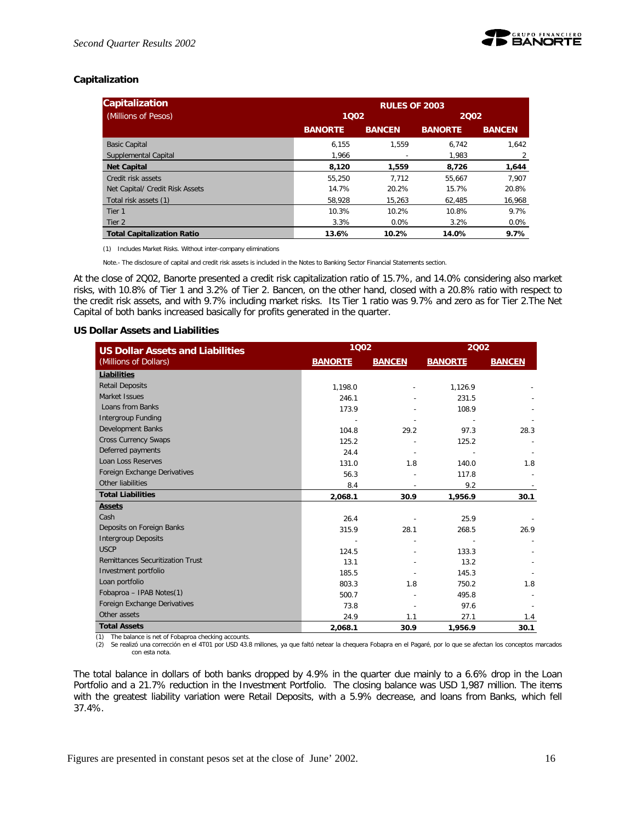

#### **Capitalization**

| <b>Capitalization</b>             |                | <b>RULES OF 2003</b> |                |               |  |  |  |
|-----------------------------------|----------------|----------------------|----------------|---------------|--|--|--|
| (Millions of Pesos)               | 1002           |                      | 2002           |               |  |  |  |
|                                   | <b>BANORTE</b> | <b>BANCEN</b>        | <b>BANORTE</b> | <b>BANCEN</b> |  |  |  |
| <b>Basic Capital</b>              | 6.155          | 1.559                | 6.742          | 1.642         |  |  |  |
| Supplemental Capital              | 1.966          |                      | 1.983          | 2             |  |  |  |
| <b>Net Capital</b>                | 8.120          | 1.559                | 8.726          | 1.644         |  |  |  |
| Credit risk assets                | 55,250         | 7.712                | 55.667         | 7.907         |  |  |  |
| Net Capital/ Credit Risk Assets   | 14.7%          | 20.2%                | 15.7%          | 20.8%         |  |  |  |
| Total risk assets (1)             | 58,928         | 15,263               | 62,485         | 16,968        |  |  |  |
| Tier 1                            | 10.3%          | 10.2%                | 10.8%          | 9.7%          |  |  |  |
| Tier 2                            | 3.3%           | $0.0\%$              | 3.2%           | $0.0\%$       |  |  |  |
| <b>Total Capitalization Ratio</b> | 13.6%          | 10.2%                | 14.0%          | 9.7%          |  |  |  |

(1) Includes Market Risks. Without inter-company eliminations

Note.- The disclosure of capital and credit risk assets is included in the Notes to Banking Sector Financial Statements section.

At the close of 2Q02, Banorte presented a credit risk capitalization ratio of 15.7%, and 14.0% considering also market risks, with 10.8% of Tier 1 and 3.2% of Tier 2. Bancen, on the other hand, closed with a 20.8% ratio with respect to the credit risk assets, and with 9.7% including market risks. Its Tier 1 ratio was 9.7% and zero as for Tier 2.The Net Capital of both banks increased basically for profits generated in the quarter.

#### **US Dollar Assets and Liabilities**

| <b>US Dollar Assets and Liabilities</b> | 1002           |               | 2002           |               |
|-----------------------------------------|----------------|---------------|----------------|---------------|
| (Millions of Dollars)                   | <b>BANORTE</b> | <b>BANCEN</b> | <b>BANORTE</b> | <b>BANCEN</b> |
| Liabilities                             |                |               |                |               |
| <b>Retail Deposits</b>                  | 1,198.0        |               | 1,126.9        |               |
| Market Issues                           | 246.1          |               | 231.5          |               |
| Loans from Banks                        | 173.9          |               | 108.9          |               |
| Intergroup Funding                      |                |               |                |               |
| Development Banks                       | 104.8          | 29.2          | 97.3           | 28.3          |
| <b>Cross Currency Swaps</b>             | 125.2          |               | 125.2          |               |
| Deferred payments                       | 24.4           |               |                |               |
| Loan Loss Reserves                      | 131.0          | 1.8           | 140.0          | 1.8           |
| Foreign Exchange Derivatives            | 56.3           |               | 117.8          |               |
| Other liabilities                       | 8.4            |               | 9.2            |               |
| <b>Total Liabilities</b>                | 2,068.1        | 30.9          | 1,956.9        | 30.1          |
| <b>Assets</b>                           |                |               |                |               |
| Cash                                    | 26.4           |               | 25.9           |               |
| Deposits on Foreign Banks               | 315.9          | 28.1          | 268.5          | 26.9          |
| <b>Intergroup Deposits</b>              |                |               |                |               |
| <b>USCP</b>                             | 124.5          |               | 133.3          |               |
| <b>Remittances Securitization Trust</b> | 13.1           |               | 13.2           |               |
| Investment portfolio                    | 185.5          |               | 145.3          |               |
| Loan portfolio                          | 803.3          | 1.8           | 750.2          | 1.8           |
| Fobaproa - IPAB Notes(1)                | 500.7          |               | 495.8          |               |
| Foreign Exchange Derivatives            | 73.8           |               | 97.6           |               |
| Other assets                            | 24.9           | 1.1           | 27.1           | 1.4           |
| <b>Total Assets</b>                     | 2.068.1        | 30.9          | 1,956.9        | 30.1          |

(1) The balance is net of Fobaproa checking accounts.

(2) Se realizó una corrección en el 4T01 por USD 43.8 millones, ya que faltó netear la chequera Fobapra en el Pagaré, por lo que se afectan los conceptos marcados con esta nota.

The total balance in dollars of both banks dropped by 4.9% in the quarter due mainly to a 6.6% drop in the Loan Portfolio and a 21.7% reduction in the Investment Portfolio. The closing balance was USD 1,987 million. The items with the greatest liability variation were Retail Deposits, with a 5.9% decrease, and loans from Banks, which fell 37.4%.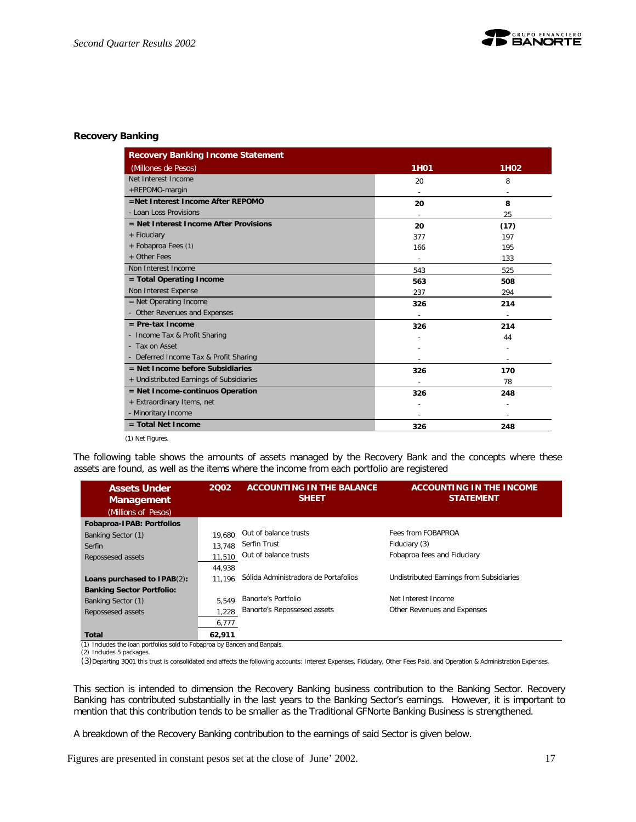

#### **Recovery Banking**

| <b>Recovery Banking Income Statement</b> |             |                          |
|------------------------------------------|-------------|--------------------------|
| (Millones de Pesos)                      | <b>1H01</b> | 1H <sub>02</sub>         |
| Net Interest Income                      | 20          | 8                        |
| +REPOMO-margin                           |             |                          |
| =Net Interest Income After REPOMO        | 20          | 8                        |
| - Loan Loss Provisions                   |             | 25                       |
| $=$ Net Interest Income After Provisions | 20          | (17)                     |
| + Fiduciary                              | 377         | 197                      |
| + Fobaproa Fees (1)                      | 166         | 195                      |
| + Other Fees                             |             | 133                      |
| Non Interest Income                      | 543         | 525                      |
| = Total Operating Income                 | 563         | 508                      |
| Non Interest Expense                     | 237         | 294                      |
| $=$ Net Operating Income                 | 326         | 214                      |
| - Other Revenues and Expenses            |             |                          |
| $=$ Pre-tax Income                       | 326         | 214                      |
| - Income Tax & Profit Sharing            |             | 44                       |
| - Tax on Asset                           |             |                          |
| - Deferred Income Tax & Profit Sharing   |             | $\overline{\phantom{a}}$ |
| $=$ Net Income before Subsidiaries       | 326         | 170                      |
| + Undistributed Earnings of Subsidiaries |             | 78                       |
| = Net Income-continuos Operation         | 326         | 248                      |
| + Extraordinary Items, net               |             |                          |
| - Minoritary Income                      |             |                          |
| $=$ Total Net Income                     | 326         | 248                      |

(1) Net Figures.

The following table shows the amounts of assets managed by the Recovery Bank and the concepts where these assets are found, as well as the items where the income from each portfolio are registered

| <b>Assets Under</b><br><b>Management</b> | 2002   | <b>ACCOUNTING IN THE BALANCE</b><br><b>SHEET</b> | <b>ACCOUNTING IN THE INCOME</b><br><b>STATEMENT</b> |
|------------------------------------------|--------|--------------------------------------------------|-----------------------------------------------------|
| (Millions of Pesos)                      |        |                                                  |                                                     |
| Fobaproa-IPAB: Portfolios                |        |                                                  |                                                     |
| Banking Sector (1)                       | 19.680 | Out of balance trusts                            | Fees from FOBAPROA                                  |
| Serfin                                   | 13.748 | Serfin Trust                                     | Fiduciary (3)                                       |
| Repossesed assets                        | 11.510 | Out of balance trusts                            | Fobaproa fees and Fiduciary                         |
|                                          | 44.938 |                                                  |                                                     |
| Loans purchased to IPAB(2):              | 11.196 | Sólida Administradora de Portafolios             | Undistributed Earnings from Subsidiaries            |
| <b>Banking Sector Portfolio:</b>         |        |                                                  |                                                     |
| Banking Sector (1)                       | 5.549  | Banorte's Portfolio                              | Net Interest Income                                 |
| Repossesed assets                        | 1.228  | Banorte's Repossesed assets                      | Other Revenues and Expenses                         |
|                                          | 6,777  |                                                  |                                                     |
| Total                                    | 62.911 |                                                  |                                                     |

(1) Includes the loan portfolios sold to Fobaproa by Bancen and Banpaís.

(2) Includes 5 packages.

(3)Departing 3Q01 this trust is consolidated and affects the following accounts: Interest Expenses, Fiduciary, Other Fees Paid, and Operation & Administration Expenses.

This section is intended to dimension the Recovery Banking business contribution to the Banking Sector. Recovery Banking has contributed substantially in the last years to the Banking Sector's earnings. However, it is important to mention that this contribution tends to be smaller as the Traditional GFNorte Banking Business is strengthened.

A breakdown of the Recovery Banking contribution to the earnings of said Sector is given below.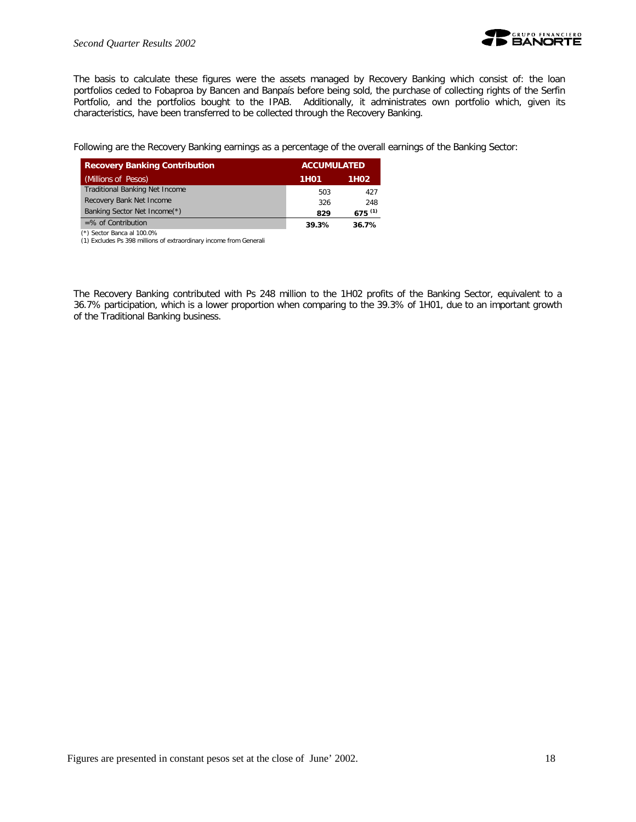

The basis to calculate these figures were the assets managed by Recovery Banking which consist of: the loan portfolios ceded to Fobaproa by Bancen and Banpaís before being sold, the purchase of collecting rights of the Serfin Portfolio, and the portfolios bought to the IPAB. Additionally, it administrates own portfolio which, given its characteristics, have been transferred to be collected through the Recovery Banking.

Following are the Recovery Banking earnings as a percentage of the overall earnings of the Banking Sector:

| <b>Recovery Banking Contribution</b>  |       | <b>ACCUMULATED</b> |  |  |
|---------------------------------------|-------|--------------------|--|--|
| (Millions of Pesos)                   | 1H01  | 1H <sub>02</sub>   |  |  |
| <b>Traditional Banking Net Income</b> | 503   | 427                |  |  |
| Recovery Bank Net Income              | 326   | 248                |  |  |
| Banking Sector Net Income(*)          | 829   | $675^{(1)}$        |  |  |
| $=$ % of Contribution                 | 39.3% | 36.7%              |  |  |
|                                       |       |                    |  |  |

 (\*) Sector Banca al 100.0% (1) Excludes Ps 398 millions of extraordinary income from Generali

The Recovery Banking contributed with Ps 248 million to the 1H02 profits of the Banking Sector, equivalent to a 36.7% participation, which is a lower proportion when comparing to the 39.3% of 1H01, due to an important growth of the Traditional Banking business.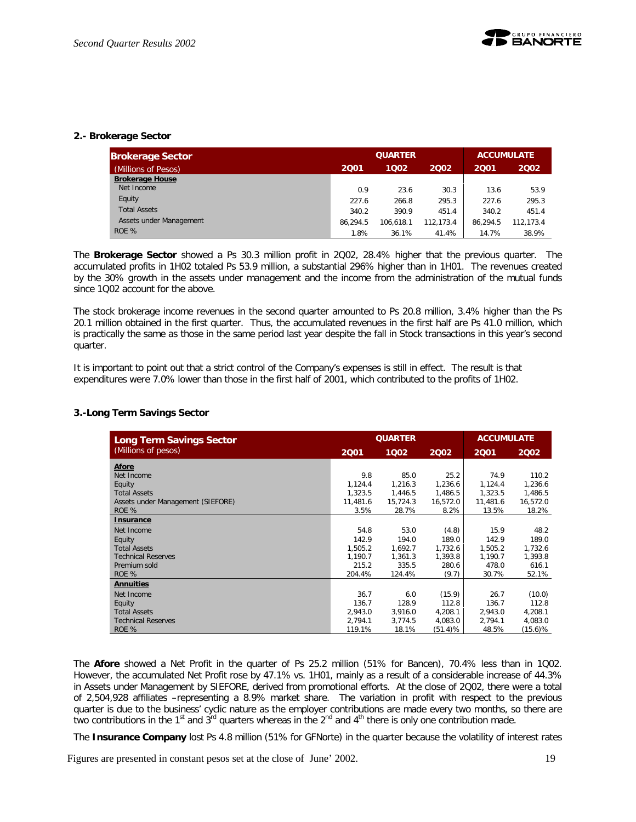#### **2.- Brokerage Sector**

| <b>Brokerage Sector</b> |          | <b>QUARTER</b><br><b>ACCUMULATE</b> |           |          |           |
|-------------------------|----------|-------------------------------------|-----------|----------|-----------|
| (Millions of Pesos)     | 2001     | 1002                                | 2001      | 2002     |           |
| <b>Brokerage House</b>  |          |                                     |           |          |           |
| Net Income              | 0.9      | 23.6                                | 30.3      | 13.6     | 53.9      |
| Equity                  | 227.6    | 266.8                               | 295.3     | 227.6    | 295.3     |
| <b>Total Assets</b>     | 340.2    | 390.9                               | 451.4     | 340.2    | 451.4     |
| Assets under Management | 86.294.5 | 106.618.1                           | 112.173.4 | 86.294.5 | 112.173.4 |
| ROE %                   | 1.8%     | 36.1%                               | 41.4%     | 14.7%    | 38.9%     |

The **Brokerage Sector** showed a Ps 30.3 million profit in 2Q02, 28.4% higher that the previous quarter. The accumulated profits in 1H02 totaled Ps 53.9 million, a substantial 296% higher than in 1H01. The revenues created by the 30% growth in the assets under management and the income from the administration of the mutual funds since 1Q02 account for the above.

The stock brokerage income revenues in the second quarter amounted to Ps 20.8 million, 3.4% higher than the Ps 20.1 million obtained in the first quarter. Thus, the accumulated revenues in the first half are Ps 41.0 million, which is practically the same as those in the same period last year despite the fall in Stock transactions in this year's second quarter.

It is important to point out that a strict control of the Company's expenses is still in effect. The result is that expenditures were 7.0% lower than those in the first half of 2001, which contributed to the profits of 1H02.

#### **3.-Long Term Savings Sector**

| <b>Long Term Savings Sector</b>   |          | <b>QUARTER</b> | <b>ACCUMULATE</b> |          |          |
|-----------------------------------|----------|----------------|-------------------|----------|----------|
| (Millions of pesos)               | 2001     | 1002           | 2002              | 2001     | 2002     |
| Afore                             |          |                |                   |          |          |
| Net Income                        | 9.8      | 85.0           | 25.2              | 74.9     | 110.2    |
| Equity                            | 1,124.4  | 1,216.3        | 1,236.6           | 1,124.4  | 1,236.6  |
| <b>Total Assets</b>               | 1,323.5  | 1,446.5        | 1,486.5           | 1,323.5  | 1,486.5  |
| Assets under Management (SIEFORE) | 11,481.6 | 15,724.3       | 16,572.0          | 11,481.6 | 16,572.0 |
| ROE %                             | 3.5%     | 28.7%          | 8.2%              | 13.5%    | 18.2%    |
| <b>Insurance</b>                  |          |                |                   |          |          |
| Net Income                        | 54.8     | 53.0           | (4.8)             | 15.9     | 48.2     |
| Equity                            | 142.9    | 194.0          | 189.0             | 142.9    | 189.0    |
| <b>Total Assets</b>               | 1,505.2  | 1,692.7        | 1,732.6           | 1,505.2  | 1,732.6  |
| <b>Technical Reserves</b>         | 1.190.7  | 1,361.3        | 1,393.8           | 1,190.7  | 1,393.8  |
| Premium sold                      | 215.2    | 335.5          | 280.6             | 478.0    | 616.1    |
| ROE %                             | 204.4%   | 124.4%         | (9.7)             | 30.7%    | 52.1%    |
| <b>Annuities</b>                  |          |                |                   |          |          |
| Net Income                        | 36.7     | 6.0            | (15.9)            | 26.7     | (10.0)   |
| Equity                            | 136.7    | 128.9          | 112.8             | 136.7    | 112.8    |
| <b>Total Assets</b>               | 2,943.0  | 3,916.0        | 4,208.1           | 2,943.0  | 4,208.1  |
| <b>Technical Reserves</b>         | 2,794.1  | 3,774.5        | 4,083.0           | 2,794.1  | 4,083.0  |
| ROE %                             | 119.1%   | 18.1%          | (51.4)%           | 48.5%    | (15.6)%  |

The *Afore* showed a Net Profit in the quarter of Ps 25.2 million (51% for Bancen), 70.4% less than in 1Q02. However, the accumulated Net Profit rose by 47.1% vs. 1H01, mainly as a result of a considerable increase of 44.3% in Assets under Management by SIEFORE, derived from promotional efforts. At the close of 2Q02, there were a total of 2,504,928 affiliates –representing a 8.9% market share. The variation in profit with respect to the previous quarter is due to the business' cyclic nature as the employer contributions are made every two months, so there are two contributions in the 1<sup>st</sup> and 3<sup>rd</sup> quarters whereas in the 2<sup>nd</sup> and 4<sup>th</sup> there is only one contribution made.

The **Insurance Company** lost Ps 4.8 million (51% for GFNorte) in the quarter because the volatility of interest rates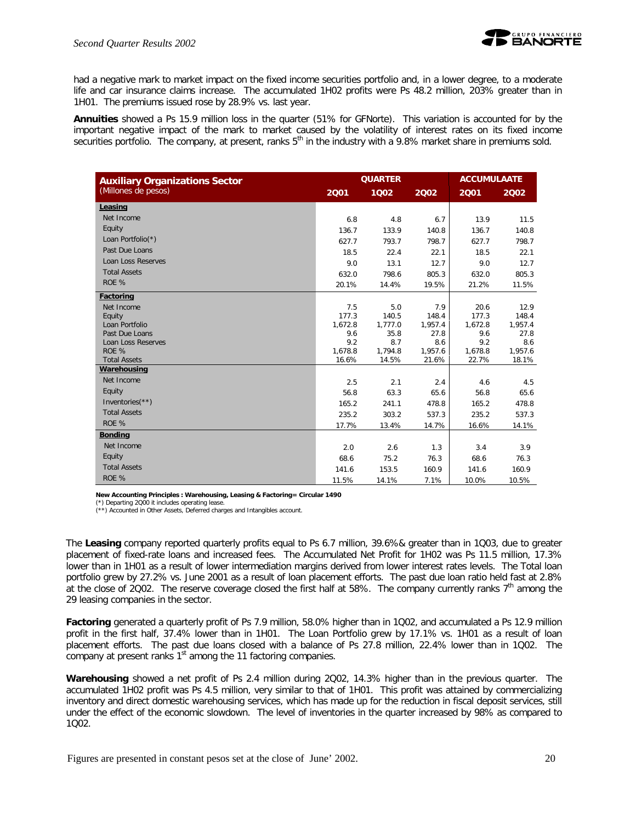

had a negative mark to market impact on the fixed income securities portfolio and, in a lower degree, to a moderate life and car insurance claims increase. The accumulated 1H02 profits were Ps 48.2 million, 203% greater than in 1H01. The premiums issued rose by 28.9% vs. last year.

**Annuities** showed a Ps 15.9 million loss in the quarter (51% for GFNorte). This variation is accounted for by the important negative impact of the mark to market caused by the volatility of interest rates on its fixed income securities portfolio. The company, at present, ranks 5<sup>th</sup> in the industry with a 9.8% market share in premiums sold.

| <b>Auxiliary Organizations Sector</b> |                  | <b>QUARTER</b>   |                  |                  | <b>ACCUMULAATE</b> |  |
|---------------------------------------|------------------|------------------|------------------|------------------|--------------------|--|
| (Millones de pesos)                   | 2001             | 1002             | 2002             | 2001             | 2002               |  |
| Leasing                               |                  |                  |                  |                  |                    |  |
| Net Income                            | 6.8              | 4.8              | 6.7              | 13.9             | 11.5               |  |
| Equity                                | 136.7            | 133.9            | 140.8            | 136.7            | 140.8              |  |
| Loan Portfolio(*)                     | 627.7            | 793.7            | 798.7            | 627.7            | 798.7              |  |
| Past Due Loans                        | 18.5             | 22.4             | 22.1             | 18.5             | 22.1               |  |
| Loan Loss Reserves                    | 9.0              | 13.1             | 12.7             | 9.0              | 12.7               |  |
| <b>Total Assets</b>                   | 632.0            | 798.6            | 805.3            | 632.0            | 805.3              |  |
| ROE %                                 | 20.1%            | 14.4%            | 19.5%            | 21.2%            | 11.5%              |  |
| Factoring                             |                  |                  |                  |                  |                    |  |
| Net Income                            | 7.5              | 5.0              | 7.9              | 20.6             | 12.9               |  |
| Equity                                | 177.3            | 140.5            | 148.4            | 177.3            | 148.4              |  |
| Loan Portfolio                        | 1,672.8          | 1,777.0          | 1,957.4          | 1,672.8          | 1,957.4            |  |
| Past Due Loans                        | 9.6              | 35.8             | 27.8             | 9.6              | 27.8               |  |
| Loan Loss Reserves                    | 9.2              | 8.7              | 8.6              | 9.2              | 8.6                |  |
| ROE %<br><b>Total Assets</b>          | 1,678.8<br>16.6% | 1,794.8<br>14.5% | 1,957.6<br>21.6% | 1,678.8<br>22.7% | 1,957.6<br>18.1%   |  |
| Warehousing                           |                  |                  |                  |                  |                    |  |
| Net Income                            | 2.5              | 2.1              | 2.4              | 4.6              | 4.5                |  |
| Equity                                | 56.8             | 63.3             | 65.6             | 56.8             | 65.6               |  |
| Inventories $(**)$                    | 165.2            | 241.1            | 478.8            | 165.2            | 478.8              |  |
| <b>Total Assets</b>                   | 235.2            | 303.2            | 537.3            | 235.2            | 537.3              |  |
| ROE %                                 | 17.7%            | 13.4%            | 14.7%            | 16.6%            | 14.1%              |  |
| <b>Bonding</b>                        |                  |                  |                  |                  |                    |  |
| Net Income                            | 2.0              | 2.6              | 1.3              | 3.4              | 3.9                |  |
| Equity                                | 68.6             | 75.2             | 76.3             | 68.6             | 76.3               |  |
| <b>Total Assets</b>                   |                  |                  |                  |                  |                    |  |
| ROE %                                 | 141.6            | 153.5            | 160.9            | 141.6            | 160.9              |  |
|                                       | 11.5%            | 14.1%            | 7.1%             | 10.0%            | 10.5%              |  |

**New Accounting Principles : Warehousing, Leasing & Factoring= Circular 1490**

(\*) Departing 2Q00 it includes operating lease. (\*\*) Accounted in Other Assets, Deferred charges and Intangibles account.

The **Leasing** company reported quarterly profits equal to Ps 6.7 million, 39.6%& greater than in 1Q03, due to greater placement of fixed-rate loans and increased fees. The Accumulated Net Profit for 1H02 was Ps 11.5 million, 17.3% lower than in 1H01 as a result of lower intermediation margins derived from lower interest rates levels. The Total loan portfolio grew by 27.2% vs. June 2001 as a result of loan placement efforts. The past due loan ratio held fast at 2.8% at the close of 2Q02. The reserve coverage closed the first half at 58%. The company currently ranks  $7<sup>th</sup>$  among the 29 leasing companies in the sector.

**Factoring** generated a quarterly profit of Ps 7.9 million, 58.0% higher than in 1Q02, and accumulated a Ps 12.9 million profit in the first half, 37.4% lower than in 1H01. The Loan Portfolio grew by 17.1% vs. 1H01 as a result of loan placement efforts. The past due loans closed with a balance of Ps 27.8 million, 22.4% lower than in 1Q02. The company at present ranks  $1<sup>st</sup>$  among the 11 factoring companies.

**Warehousing** showed a net profit of Ps 2.4 million during 2Q02, 14.3% higher than in the previous quarter. The accumulated 1H02 profit was Ps 4.5 million, very similar to that of 1H01. This profit was attained by commercializing inventory and direct domestic warehousing services, which has made up for the reduction in fiscal deposit services, still under the effect of the economic slowdown. The level of inventories in the quarter increased by 98% as compared to 1Q02.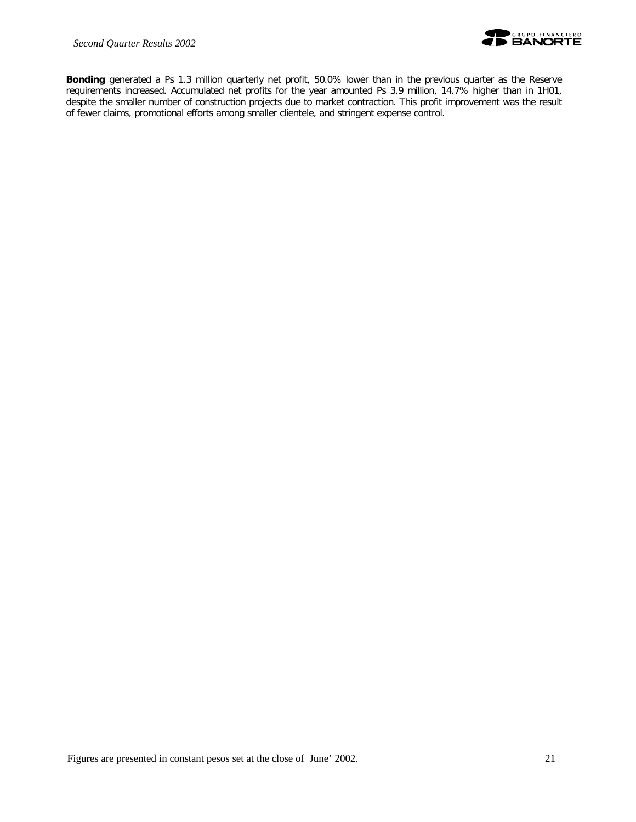

**Bonding** generated a Ps 1.3 million quarterly net profit, 50.0% lower than in the previous quarter as the Reserve requirements increased. Accumulated net profits for the year amounted Ps 3.9 million, 14.7% higher than in 1H01, despite the smaller number of construction projects due to market contraction. This profit improvement was the result of fewer claims, promotional efforts among smaller clientele, and stringent expense control.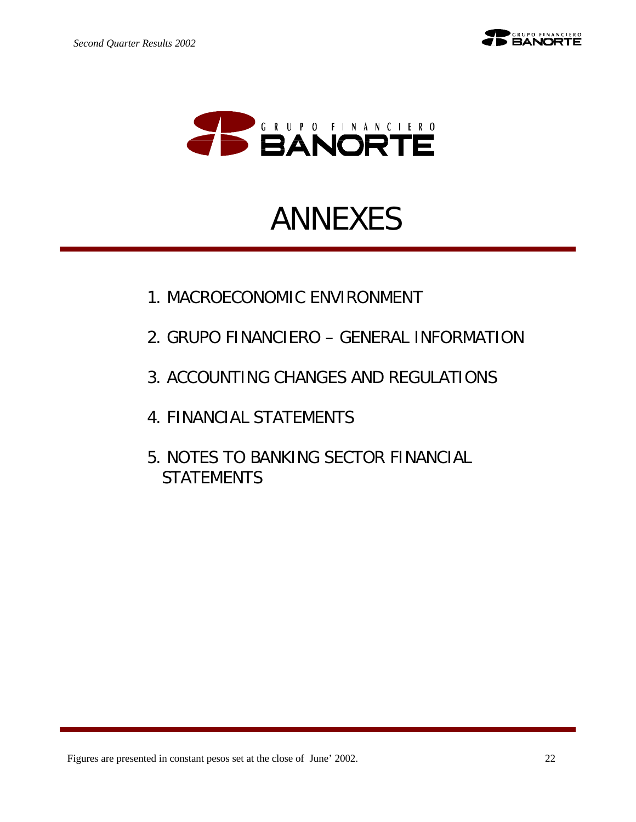

# ANNEXES

- 1. MACROECONOMIC ENVIRONMENT
- 2. GRUPO FINANCIERO GENERAL INFORMATION
- 3. ACCOUNTING CHANGES AND REGULATIONS
- 4. FINANCIAL STATEMENTS
- 5. NOTES TO BANKING SECTOR FINANCIAL **STATEMENTS**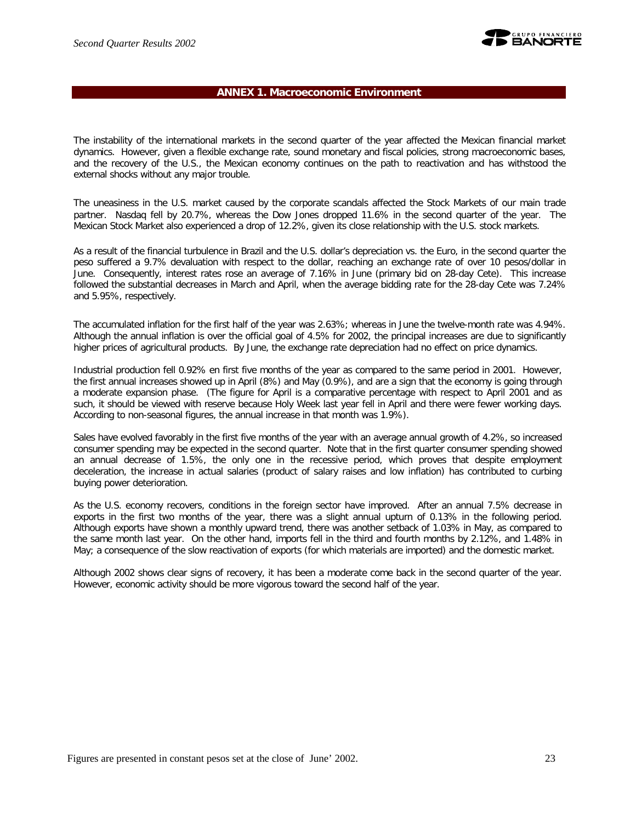

#### **ANNEX 1. Macroeconomic Environment**

The instability of the international markets in the second quarter of the year affected the Mexican financial market dynamics. However, given a flexible exchange rate, sound monetary and fiscal policies, strong macroeconomic bases, and the recovery of the U.S., the Mexican economy continues on the path to reactivation and has withstood the external shocks without any major trouble.

The uneasiness in the U.S. market caused by the corporate scandals affected the Stock Markets of our main trade partner. Nasdaq fell by 20.7%, whereas the Dow Jones dropped 11.6% in the second quarter of the year. The Mexican Stock Market also experienced a drop of 12.2%, given its close relationship with the U.S. stock markets.

As a result of the financial turbulence in Brazil and the U.S. dollar's depreciation vs. the Euro, in the second quarter the peso suffered a 9.7% devaluation with respect to the dollar, reaching an exchange rate of over 10 pesos/dollar in June. Consequently, interest rates rose an average of 7.16% in June (primary bid on 28-day Cete). This increase followed the substantial decreases in March and April, when the average bidding rate for the 28-day Cete was 7.24% and 5.95%, respectively.

The accumulated inflation for the first half of the year was 2.63%; whereas in June the twelve-month rate was 4.94%. Although the annual inflation is over the official goal of 4.5% for 2002, the principal increases are due to significantly higher prices of agricultural products. By June, the exchange rate depreciation had no effect on price dynamics.

Industrial production fell 0.92% en first five months of the year as compared to the same period in 2001. However, the first annual increases showed up in April (8%) and May (0.9%), and are a sign that the economy is going through a moderate expansion phase. (The figure for April is a comparative percentage with respect to April 2001 and as such, it should be viewed with reserve because Holy Week last year fell in April and there were fewer working days. According to non-seasonal figures, the annual increase in that month was 1.9%).

Sales have evolved favorably in the first five months of the year with an average annual growth of 4.2%, so increased consumer spending may be expected in the second quarter. Note that in the first quarter consumer spending showed an annual decrease of 1.5%, the only one in the recessive period, which proves that despite employment deceleration, the increase in actual salaries (product of salary raises and low inflation) has contributed to curbing buying power deterioration.

As the U.S. economy recovers, conditions in the foreign sector have improved. After an annual 7.5% decrease in exports in the first two months of the year, there was a slight annual upturn of 0.13% in the following period. Although exports have shown a monthly upward trend, there was another setback of 1.03% in May, as compared to the same month last year. On the other hand, imports fell in the third and fourth months by 2.12%, and 1.48% in May; a consequence of the slow reactivation of exports (for which materials are imported) and the domestic market.

Although 2002 shows clear signs of recovery, it has been a moderate come back in the second quarter of the year. However, economic activity should be more vigorous toward the second half of the year.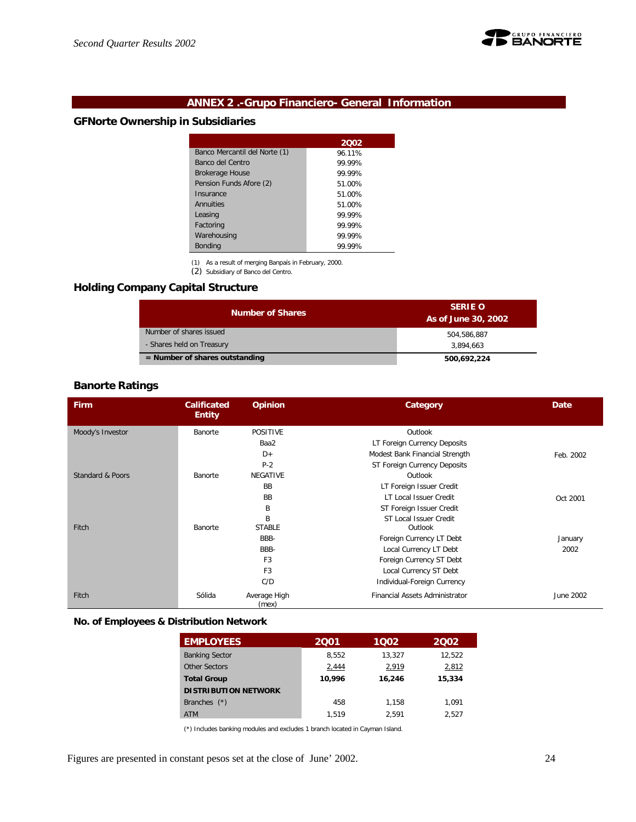

### **ANNEX 2 .-Grupo Financiero- General Information**

### **GFNorte Ownership in Subsidiaries**

|                               | 2002   |
|-------------------------------|--------|
| Banco Mercantil del Norte (1) | 96.11% |
| Banco del Centro              | 99 99% |
| <b>Brokerage House</b>        | 99 99% |
| Pension Funds Afore (2)       | 51.00% |
| Insurance                     | 51.00% |
| Annuities                     | 51.00% |
| Leasing                       | 99 99% |
| Factoring                     | 99.99% |
| Warehousing                   | 99 99% |
| <b>Bonding</b>                | 99.99% |

(1) As a result of merging Banpaís in February, 2000.

(2) Subsidiary of Banco del Centro.

### **Holding Company Capital Structure**

| <b>Number of Shares</b>          | <b>SERIE O</b><br>As of June 30, 2002 |
|----------------------------------|---------------------------------------|
| Number of shares issued          | 504.586.887                           |
| - Shares held on Treasury        | 3.894.663                             |
| $=$ Number of shares outstanding | 500,692,224                           |

# **Banorte Ratings**

| <b>Firm</b>      | <b>Calificated</b><br><b>Entity</b> | <b>Opinion</b>        | Category                       | Date      |
|------------------|-------------------------------------|-----------------------|--------------------------------|-----------|
| Moody's Investor | Banorte                             | <b>POSITIVE</b>       | Outlook                        |           |
|                  |                                     | Baa2                  | LT Foreign Currency Deposits   |           |
|                  |                                     | $D+$                  | Modest Bank Financial Strength | Feb. 2002 |
|                  |                                     | $P-2$                 | ST Foreign Currency Deposits   |           |
| Standard & Poors | Banorte                             | <b>NEGATIVE</b>       | Outlook                        |           |
|                  |                                     | <b>BB</b>             | LT Foreign Issuer Credit       |           |
|                  |                                     | <b>BB</b>             | LT Local Issuer Credit         | Oct 2001  |
|                  |                                     | B                     | ST Foreign Issuer Credit       |           |
|                  |                                     | B                     | ST Local Issuer Credit         |           |
| Fitch            | Banorte                             | <b>STABLE</b>         | Outlook                        |           |
|                  |                                     | BBB-                  | Foreign Currency LT Debt       | January   |
|                  |                                     | BBB-                  | Local Currency LT Debt         | 2002      |
|                  |                                     | F <sub>3</sub>        | Foreign Currency ST Debt       |           |
|                  |                                     | F <sub>3</sub>        | Local Currency ST Debt         |           |
|                  |                                     | C/D                   | Individual-Foreign Currency    |           |
| Fitch            | Sólida                              | Average High<br>(mex) | Financial Assets Administrator | June 2002 |

#### **No. of Employees & Distribution Network**

| <b>EMPLOYEES</b>            | 2001   | 1002   | 2002   |
|-----------------------------|--------|--------|--------|
| <b>Banking Sector</b>       | 8,552  | 13,327 | 12,522 |
| Other Sectors               | 2,444  | 2,919  | 2,812  |
| <b>Total Group</b>          | 10.996 | 16,246 | 15,334 |
| <b>DISTRIBUTION NETWORK</b> |        |        |        |
| Branches $(*)$              | 458    | 1.158  | 1.091  |
| <b>ATM</b>                  | 1.519  | 2.591  | 2.527  |

(\*) Includes banking modules and excludes 1 branch located in Cayman Island.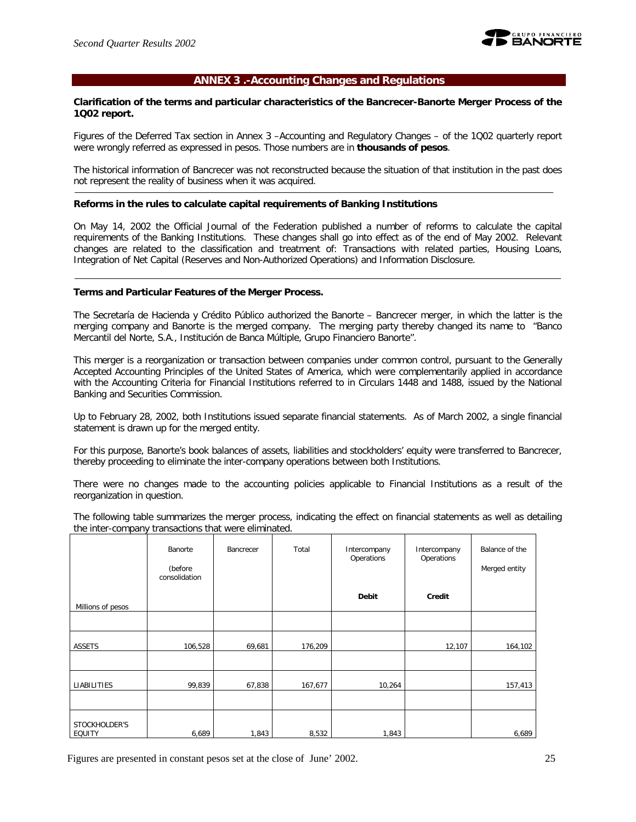

#### **ANNEX 3 .-Accounting Changes and Regulations**

#### **Clarification of the terms and particular characteristics of the Bancrecer-Banorte Merger Process of the 1Q02 report.**

Figures of the Deferred Tax section in Annex 3 –Accounting and Regulatory Changes – of the 1Q02 quarterly report were wrongly referred as expressed in pesos. Those numbers are in **thousands of pesos**.

The historical information of Bancrecer was not reconstructed because the situation of that institution in the past does not represent the reality of business when it was acquired.

#### **Reforms in the rules to calculate capital requirements of Banking Institutions**

On May 14, 2002 the Official Journal of the Federation published a number of reforms to calculate the capital requirements of the Banking Institutions. These changes shall go into effect as of the end of May 2002. Relevant changes are related to the classification and treatment of: Transactions with related parties, Housing Loans, Integration of Net Capital (Reserves and Non-Authorized Operations) and Information Disclosure.

#### **Terms and Particular Features of the Merger Process.**

The Secretaría de Hacienda y Crédito Público authorized the Banorte – Bancrecer merger, in which the latter is the merging company and Banorte is the merged company. The merging party thereby changed its name to "Banco Mercantil del Norte, S.A., Institución de Banca Múltiple, Grupo Financiero Banorte".

This merger is a reorganization or transaction between companies under common control, pursuant to the Generally Accepted Accounting Principles of the United States of America, which were complementarily applied in accordance with the Accounting Criteria for Financial Institutions referred to in Circulars 1448 and 1488, issued by the National Banking and Securities Commission.

Up to February 28, 2002, both Institutions issued separate financial statements. As of March 2002, a single financial statement is drawn up for the merged entity.

For this purpose, Banorte's book balances of assets, liabilities and stockholders' equity were transferred to Bancrecer, thereby proceeding to eliminate the inter-company operations between both Institutions.

There were no changes made to the accounting policies applicable to Financial Institutions as a result of the reorganization in question.

The following table summarizes the merger process, indicating the effect on financial statements as well as detailing the inter-company transactions that were eliminated.

|                         | Banorte<br>(before<br>consolidation | Bancrecer | Total   | Intercompany<br>Operations | Intercompany<br>Operations | Balance of the<br>Merged entity |
|-------------------------|-------------------------------------|-----------|---------|----------------------------|----------------------------|---------------------------------|
| Millions of pesos       |                                     |           |         | Debit                      | Credit                     |                                 |
|                         |                                     |           |         |                            |                            |                                 |
| ASSETS                  | 106,528                             | 69,681    | 176,209 |                            | 12,107                     | 164,102                         |
|                         |                                     |           |         |                            |                            |                                 |
| LIABILITIES             | 99,839                              | 67,838    | 167,677 | 10,264                     |                            | 157,413                         |
|                         |                                     |           |         |                            |                            |                                 |
| STOCKHOLDER'S<br>EQUITY | 6,689                               | 1,843     | 8,532   | 1,843                      |                            | 6,689                           |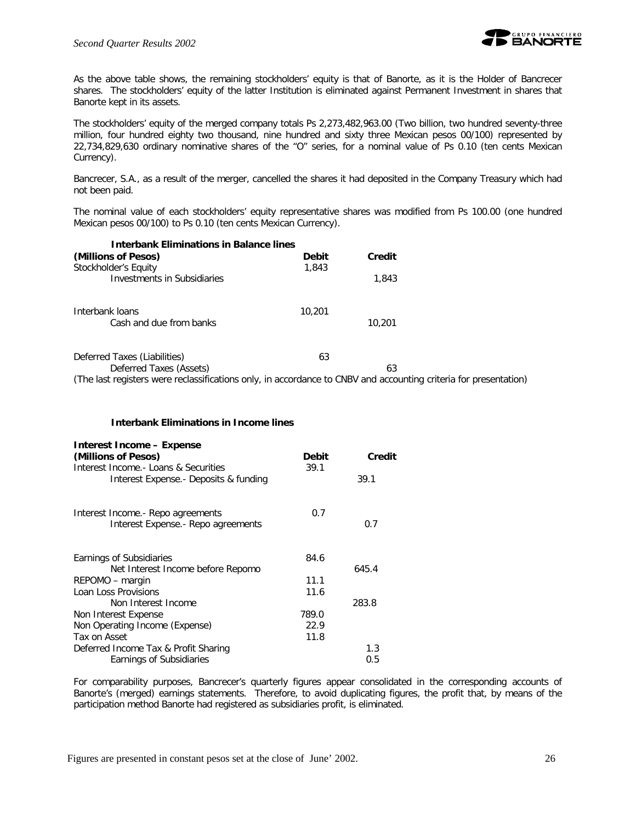

As the above table shows, the remaining stockholders' equity is that of Banorte, as it is the Holder of Bancrecer shares. The stockholders' equity of the latter Institution is eliminated against Permanent Investment in shares that Banorte kept in its assets.

The stockholders' equity of the merged company totals Ps 2,273,482,963.00 (Two billion, two hundred seventy-three million, four hundred eighty two thousand, nine hundred and sixty three Mexican pesos 00/100) represented by 22,734,829,630 ordinary nominative shares of the "O" series, for a nominal value of Ps 0.10 (ten cents Mexican Currency).

Bancrecer, S.A., as a result of the merger, cancelled the shares it had deposited in the Company Treasury which had not been paid.

The nominal value of each stockholders' equity representative shares was modified from Ps 100.00 (one hundred Mexican pesos 00/100) to Ps 0.10 (ten cents Mexican Currency).

| <b>Interbank Eliminations in Balance lines</b>                                                                   |              |        |  |
|------------------------------------------------------------------------------------------------------------------|--------------|--------|--|
| (Millions of Pesos)                                                                                              | <b>Debit</b> | Credit |  |
| Stockholder's Equity<br><b>Investments in Subsidiaries</b>                                                       | 1,843        | 1,843  |  |
| Interbank loans<br>Cash and due from banks                                                                       | 10,201       | 10,201 |  |
| Deferred Taxes (Liabilities)                                                                                     | 63           |        |  |
| Deferred Taxes (Assets)                                                                                          |              | 63     |  |
| (The last registers were reclassifications only, in accordance to CNBV and accounting criteria for presentation) |              |        |  |

#### **Interbank Eliminations in Income lines**

| <b>Interest Income - Expense</b><br>(Millions of Pesos) | <b>Debit</b> | Credit |
|---------------------------------------------------------|--------------|--------|
| Interest Income.- Loans & Securities                    | 39.1         |        |
| Interest Expense. - Deposits & funding                  |              | 39.1   |
| Interest Income.- Repo agreements                       | 0.7          |        |
| Interest Expense.- Repo agreements                      |              | 0.7    |
| Earnings of Subsidiaries                                | 84.6         |        |
| Net Interest Income before Repomo                       |              | 645.4  |
| REPOMO – margin                                         | 11.1         |        |
| Loan Loss Provisions                                    | 11.6         |        |
| Non Interest Income                                     |              | 283.8  |
| Non Interest Expense                                    | 789.0        |        |
| Non Operating Income (Expense)                          | 22.9         |        |
| Tax on Asset                                            | 11.8         |        |
| Deferred Income Tax & Profit Sharing                    |              | 1.3    |
| Earnings of Subsidiaries                                |              | 0.5    |

For comparability purposes, Bancrecer's quarterly figures appear consolidated in the corresponding accounts of Banorte's (merged) earnings statements. Therefore, to avoid duplicating figures, the profit that, by means of the participation method Banorte had registered as subsidiaries profit, is eliminated.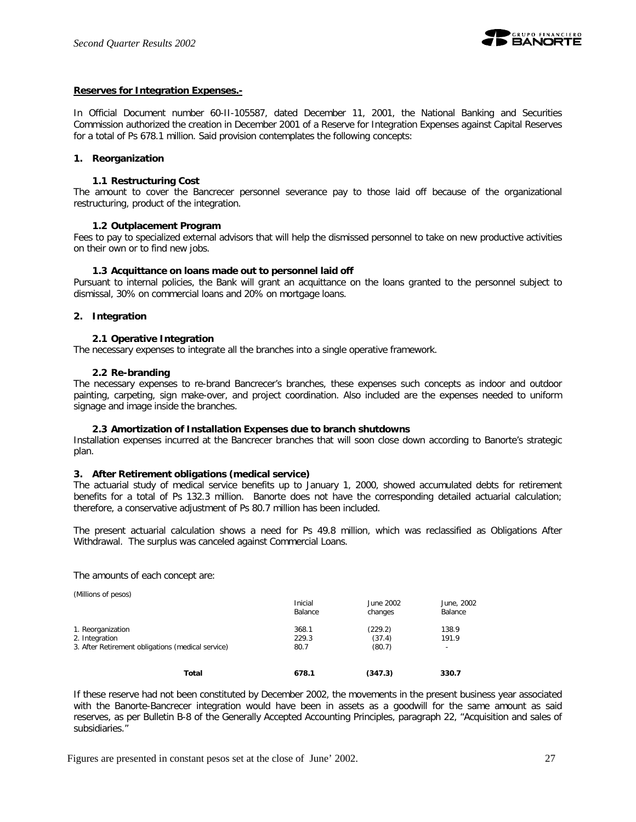

#### **Reserves for Integration Expenses.-**

In Official Document number 60-II-105587, dated December 11, 2001, the National Banking and Securities Commission authorized the creation in December 2001 of a Reserve for Integration Expenses against Capital Reserves for a total of Ps 678.1 million. Said provision contemplates the following concepts:

#### **1. Reorganization**

#### **1.1 Restructuring Cost**

The amount to cover the Bancrecer personnel severance pay to those laid off because of the organizational restructuring, product of the integration.

#### **1.2 Outplacement Program**

Fees to pay to specialized external advisors that will help the dismissed personnel to take on new productive activities on their own or to find new jobs.

#### **1.3 Acquittance on loans made out to personnel laid off**

Pursuant to internal policies, the Bank will grant an acquittance on the loans granted to the personnel subject to dismissal, 30% on commercial loans and 20% on mortgage loans.

#### **2. Integration**

#### **2.1 Operative Integration**

The necessary expenses to integrate all the branches into a single operative framework.

#### **2.2 Re-branding**

The necessary expenses to re-brand Bancrecer's branches, these expenses such concepts as indoor and outdoor painting, carpeting, sign make-over, and project coordination. Also included are the expenses needed to uniform signage and image inside the branches.

#### **2.3 Amortization of Installation Expenses due to branch shutdowns**

Installation expenses incurred at the Bancrecer branches that will soon close down according to Banorte's strategic plan.

#### **3. After Retirement obligations (medical service)**

The actuarial study of medical service benefits up to January 1, 2000, showed accumulated debts for retirement benefits for a total of Ps 132.3 million. Banorte does not have the corresponding detailed actuarial calculation; therefore, a conservative adjustment of Ps 80.7 million has been included.

The present actuarial calculation shows a need for Ps 49.8 million, which was reclassified as Obligations After Withdrawal. The surplus was canceled against Commercial Loans.

The amounts of each concept are:

(Millions of pesos)

|                                                   | Inicial<br>Balance | June 2002<br>changes | June, 2002<br>Balance    |
|---------------------------------------------------|--------------------|----------------------|--------------------------|
| 1. Reorganization                                 | 368.1              | (229.2)              | 138.9                    |
| 2. Integration                                    | 229.3              | (37.4)               | 191.9                    |
| 3. After Retirement obligations (medical service) | 80.7               | (80.7)               | $\overline{\phantom{a}}$ |
| Total                                             | 678.1              | (347.3)              | 330.7                    |

If these reserve had not been constituted by December 2002, the movements in the present business year associated with the Banorte-Bancrecer integration would have been in assets as a goodwill for the same amount as said reserves, as per Bulletin B-8 of the Generally Accepted Accounting Principles, paragraph 22, "Acquisition and sales of subsidiaries."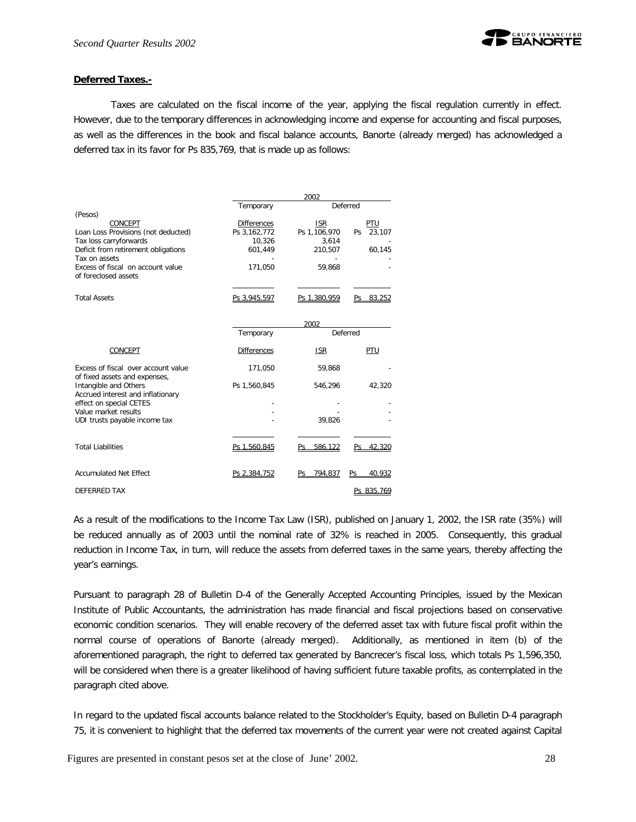

#### **Deferred Taxes.-**

Taxes are calculated on the fiscal income of the year, applying the fiscal regulation currently in effect. However, due to the temporary differences in acknowledging income and expense for accounting and fiscal purposes, as well as the differences in the book and fiscal balance accounts, Banorte (already merged) has acknowledged a deferred tax in its favor for Ps 835,769, that is made up as follows:

|                                                                      | 2002               |                |               |  |  |
|----------------------------------------------------------------------|--------------------|----------------|---------------|--|--|
|                                                                      | Temporary          |                | Deferred      |  |  |
| (Pesos)                                                              |                    |                |               |  |  |
| CONCEPT                                                              | <b>Differences</b> | <b>ISR</b>     | PTU           |  |  |
| Loan Loss Provisions (not deducted)                                  | Ps 3,162,772       | Ps 1,106,970   | 23,107<br>Ps  |  |  |
| Tax loss carryforwards                                               | 10,326             | 3,614          |               |  |  |
| Deficit from retirement obligations                                  | 601,449            | 210,507        | 60,145        |  |  |
| Tax on assets                                                        |                    |                |               |  |  |
| Excess of fiscal on account value<br>of foreclosed assets            | 171,050            | 59,868         |               |  |  |
| <b>Total Assets</b>                                                  | Ps 3,945,597       | Ps 1,380,959   | 83.252<br>Ps  |  |  |
|                                                                      |                    | 2002           |               |  |  |
|                                                                      | Temporary          |                | Deferred      |  |  |
| CONCEPT                                                              | <b>Differences</b> | <b>ISR</b>     | PTU           |  |  |
| Excess of fiscal over account value<br>of fixed assets and expenses, | 171,050            | 59,868         |               |  |  |
| Intangible and Others<br>Accrued interest and inflationary           | Ps 1,560,845       | 546,296        | 42,320        |  |  |
| effect on special CETES                                              |                    |                |               |  |  |
| Value market results                                                 |                    |                |               |  |  |
| UDI trusts payable income tax                                        |                    | 39,826         |               |  |  |
|                                                                      |                    |                |               |  |  |
| <b>Total Liabilities</b>                                             | Ps 1,560,845       | 586.122<br>Ps. | 42.320<br>Ps  |  |  |
| <b>Accumulated Net Effect</b>                                        | Ps 2.384.752       | Ps 794.837     | 40.932<br>Ps. |  |  |
| <b>DEFERRED TAX</b>                                                  |                    |                | Ps 835.769    |  |  |

As a result of the modifications to the Income Tax Law (ISR), published on January 1, 2002, the ISR rate (35%) will be reduced annually as of 2003 until the nominal rate of 32% is reached in 2005. Consequently, this gradual reduction in Income Tax, in turn, will reduce the assets from deferred taxes in the same years, thereby affecting the year's earnings.

Pursuant to paragraph 28 of Bulletin D-4 of the Generally Accepted Accounting Principles, issued by the Mexican Institute of Public Accountants, the administration has made financial and fiscal projections based on conservative economic condition scenarios. They will enable recovery of the deferred asset tax with future fiscal profit within the normal course of operations of Banorte (already merged). Additionally, as mentioned in item (b) of the aforementioned paragraph, the right to deferred tax generated by Bancrecer's fiscal loss, which totals Ps 1,596,350, will be considered when there is a greater likelihood of having sufficient future taxable profits, as contemplated in the paragraph cited above.

In regard to the updated fiscal accounts balance related to the Stockholder's Equity, based on Bulletin D-4 paragraph 75, it is convenient to highlight that the deferred tax movements of the current year were not created against Capital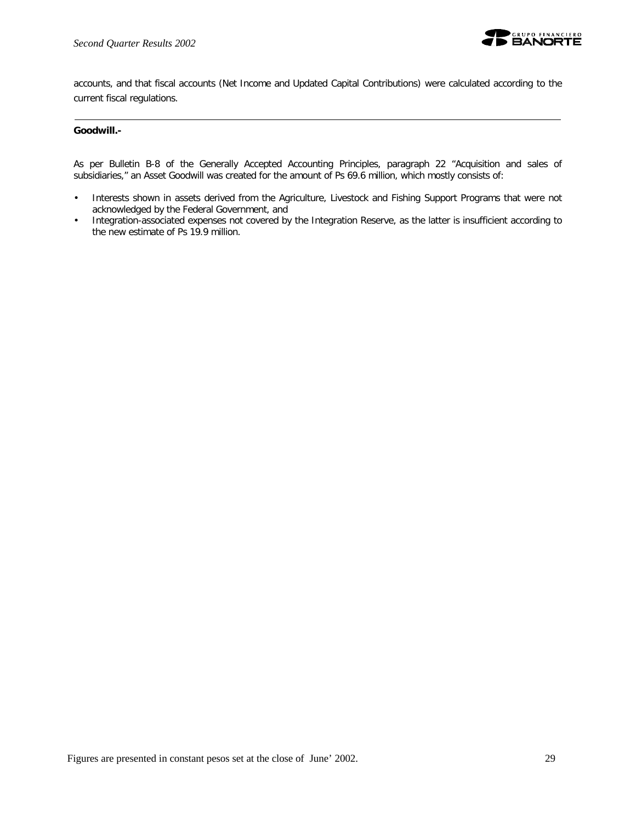

accounts, and that fiscal accounts (Net Income and Updated Capital Contributions) were calculated according to the current fiscal regulations.

#### **Goodwill.-**

As per Bulletin B-8 of the Generally Accepted Accounting Principles, paragraph 22 "Acquisition and sales of subsidiaries," an Asset Goodwill was created for the amount of Ps 69.6 million, which mostly consists of:

- Interests shown in assets derived from the Agriculture, Livestock and Fishing Support Programs that were not acknowledged by the Federal Government, and
- Integration-associated expenses not covered by the Integration Reserve, as the latter is insufficient according to the new estimate of Ps 19.9 million.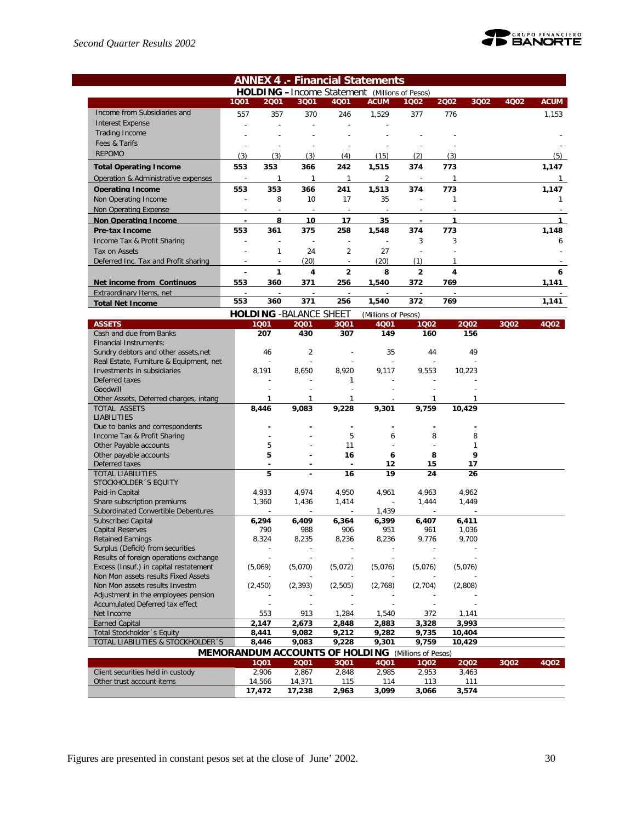

|                                                                        |                          |       |                                |                | <b>ANNEX 4.- Financial Statements</b>                 |                          |        |      |      |             |
|------------------------------------------------------------------------|--------------------------|-------|--------------------------------|----------------|-------------------------------------------------------|--------------------------|--------|------|------|-------------|
|                                                                        |                          |       |                                |                | <b>HOLDING</b> - Income Statement (Millions of Pesos) |                          |        |      |      |             |
|                                                                        | 1001                     | 2001  | 3Q01                           | 4Q01           | <b>ACUM</b>                                           | 1002                     | 2002   | 3Q02 | 4002 | <b>ACUM</b> |
| Income from Subsidiaries and                                           | 557                      | 357   | 370                            | 246            | 1.529                                                 | 377                      | 776    |      |      | 1,153       |
| <b>Interest Expense</b>                                                |                          |       |                                |                |                                                       |                          |        |      |      |             |
| Trading Income                                                         |                          |       |                                |                |                                                       |                          |        |      |      |             |
| Fees & Tarifs                                                          |                          |       |                                |                |                                                       |                          |        |      |      |             |
| <b>REPOMO</b>                                                          | (3)                      | (3)   | (3)                            | (4)            | (15)                                                  | (2)                      | (3)    |      |      | (5)         |
| <b>Total Operating Income</b>                                          | 553                      | 353   | 366                            | 242            | 1,515                                                 | 374                      | 773    |      |      | 1,147       |
| Operation & Administrative expenses                                    | $\overline{\phantom{a}}$ |       | 1                              | 1              | 2                                                     | $\overline{\phantom{a}}$ |        |      |      |             |
| <b>Operating Income</b>                                                | 553                      | 353   | 366                            | 241            | 1.513                                                 | 374                      | 773    |      |      | 1,147       |
| Non Operating Income                                                   |                          | 8     | 10                             | 17             | 35                                                    |                          | 1      |      |      | 1           |
| Non Operating Expense                                                  |                          |       |                                |                |                                                       |                          |        |      |      |             |
| <b>Non Operating Income</b>                                            | $\blacksquare$           | 8     | 10                             | 17             | 35                                                    | $\blacksquare$           | 1      |      |      |             |
| <b>Pre-tax Income</b>                                                  | 553                      | 361   | 375                            | 258            | 1.548                                                 | 374                      | 773    |      |      | 1,148       |
| Income Tax & Profit Sharing                                            |                          |       |                                |                |                                                       | 3                        | 3      |      |      | 6           |
| Tax on Assets                                                          |                          | 1     | 24                             | $\overline{2}$ | 27                                                    |                          |        |      |      |             |
| Deferred Inc. Tax and Profit sharing                                   |                          |       | (20)                           |                | (20)                                                  | (1)                      |        |      |      |             |
|                                                                        |                          | 1     | 4                              | $\overline{2}$ | 8                                                     | $\overline{a}$           | 4      |      |      | 6           |
| Net income from Continuos                                              | 553                      | 360   | 371                            | 256            | 1,540                                                 | 372                      | 769    |      |      | 1,141       |
| Extraordinary Items, net                                               |                          |       |                                |                |                                                       |                          |        |      |      |             |
| <b>Total Net Income</b>                                                | 553                      | 360   | 371                            | 256            | 1,540                                                 | 372                      | 769    |      |      | 1,141       |
|                                                                        |                          |       | <b>HOLDING - BALANCE SHEET</b> |                | (Millions of Pesos)                                   |                          |        |      |      |             |
| <b>ASSETS</b>                                                          |                          | 1001  | 2001                           | 3Q01           | 4Q01                                                  | 1002                     |        | 2002 | 3Q02 | 4Q02        |
| Cash and due from Banks                                                |                          | 207   | 430                            | 307            | 149                                                   | 160                      |        | 156  |      |             |
| <b>Financial Instruments:</b>                                          |                          |       |                                |                |                                                       |                          |        |      |      |             |
| Sundry debtors and other assets, net                                   |                          | 46    | 2                              |                | 35                                                    | 44                       |        | 49   |      |             |
| Real Estate, Furniture & Equipment, net<br>Investments in subsidiaries |                          |       |                                |                |                                                       |                          |        |      |      |             |
| Deferred taxes                                                         |                          | 8.191 | 8,650                          | 8.920<br>1     | 9.117                                                 | 9,553                    | 10,223 |      |      |             |
|                                                                        |                          |       |                                |                |                                                       |                          |        |      |      |             |

| THVESHMENTS IN SUDSIGIBLIES            | 8,191                                                     | 8,00U    | 8,92U          | 9, I I I | Y,ɔɔɔ   | 10,223  |      |      |
|----------------------------------------|-----------------------------------------------------------|----------|----------------|----------|---------|---------|------|------|
| Deferred taxes                         |                                                           |          |                |          |         |         |      |      |
| Goodwill                               |                                                           |          |                |          |         |         |      |      |
| Other Assets, Deferred charges, intang |                                                           |          |                |          |         |         |      |      |
| <b>TOTAL ASSETS</b>                    | 8,446                                                     | 9,083    | 9,228          | 9,301    | 9,759   | 10,429  |      |      |
| <b>LIABILITIES</b>                     |                                                           |          |                |          |         |         |      |      |
| Due to banks and correspondents        |                                                           |          |                |          |         |         |      |      |
| Income Tax & Profit Sharing            |                                                           |          | 5              | 6        | 8       | 8       |      |      |
| Other Payable accounts                 | 5                                                         |          | 11             |          |         |         |      |      |
| Other payable accounts                 | 5                                                         |          | 16             | 6        | 8       | 9       |      |      |
| Deferred taxes                         |                                                           |          | $\blacksquare$ | 12       | 15      | 17      |      |      |
| <b>TOTAL LIABILITIES</b>               | 5                                                         |          | 16             | 19       | 24      | 26      |      |      |
| STOCKHOLDER 'S EQUITY                  |                                                           |          |                |          |         |         |      |      |
| Paid-in Capital                        | 4,933                                                     | 4,974    | 4,950          | 4,961    | 4,963   | 4,962   |      |      |
| Share subscription premiums            | 1,360                                                     | 1,436    | 1,414          |          | 1,444   | 1,449   |      |      |
| Subordinated Convertible Debentures    |                                                           |          |                | 1,439    |         |         |      |      |
| <b>Subscribed Capital</b>              | 6,294                                                     | 6,409    | 6,364          | 6,399    | 6,407   | 6,411   |      |      |
| <b>Capital Reserves</b>                | 790                                                       | 988      | 906            | 951      | 961     | 1,036   |      |      |
| <b>Retained Earnings</b>               | 8,324                                                     | 8,235    | 8,236          | 8,236    | 9,776   | 9,700   |      |      |
| Surplus (Deficit) from securities      |                                                           |          |                |          |         |         |      |      |
| Results of foreign operations exchange |                                                           |          |                |          |         |         |      |      |
| Excess (Insuf.) in capital restatement | (5,069)                                                   | (5,070)  | (5,072)        | (5,076)  | (5,076) | (5,076) |      |      |
| Non Mon assets results Fixed Assets    |                                                           |          |                |          |         |         |      |      |
| Non Mon assets results Investm         | (2, 450)                                                  | (2, 393) | (2,505)        | (2,768)  | (2,704) | (2,808) |      |      |
| Adjustment in the employees pension    |                                                           |          |                |          |         |         |      |      |
| Accumulated Deferred tax effect        |                                                           |          |                |          |         |         |      |      |
| Net Income                             | 553                                                       | 913      | 1,284          | 1,540    | 372     | 1,141   |      |      |
| <b>Earned Capital</b>                  | 2,147                                                     | 2,673    | 2,848          | 2,883    | 3,328   | 3,993   |      |      |
| Total Stockholder 's Equity            | 8,441                                                     | 9,082    | 9,212          | 9,282    | 9,735   | 10,404  |      |      |
| TOTAL LIABILITIES & STOCKHOLDER 'S     | 8,446                                                     | 9,083    | 9,228          | 9,301    | 9,759   | 10,429  |      |      |
|                                        | <b>MEMORANDUM ACCOUNTS OF HOLDING</b> (Millions of Pesos) |          |                |          |         |         |      |      |
|                                        | 1001                                                      | 2001     | 3Q01           | 4Q01     | 1002    | 2002    | 3Q02 | 4Q02 |
| Client securities held in custody      | 2,906                                                     | 2.867    | 2,848          | 2,985    | 2,953   | 3,463   |      |      |
| Other trust account items              | 14,566                                                    | 14,371   | 115            | 114      | 113     | 111     |      |      |
|                                        | 17,472                                                    | 17,238   | 2,963          | 3,099    | 3,066   | 3,574   |      |      |
|                                        |                                                           |          |                |          |         |         |      |      |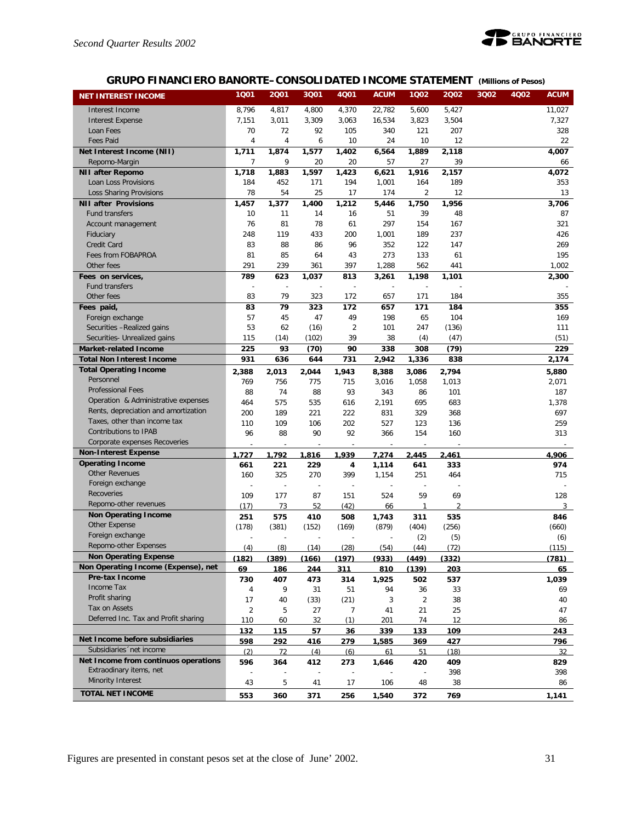

# **GRUPO FINANCIERO BANORTE–CONSOLIDATED INCOME STATEMENT** *(Millions of Pesos)*

| <b>NET INTEREST INCOME</b>           | 1Q01           | 2001  | 3Q01                     | <b>4Q01</b>              | <b>ACUM</b>              | 1002                     | 2002           | 3Q02 | 4Q02 | <b>ACUM</b> |
|--------------------------------------|----------------|-------|--------------------------|--------------------------|--------------------------|--------------------------|----------------|------|------|-------------|
| Interest Income                      | 8,796          | 4,817 | 4,800                    | 4,370                    | 22,782                   | 5,600                    | 5,427          |      |      | 11,027      |
| <b>Interest Expense</b>              | 7,151          | 3,011 | 3,309                    | 3,063                    | 16,534                   | 3,823                    | 3,504          |      |      | 7,327       |
| Loan Fees                            | 70             | 72    | 92                       | 105                      | 340                      | 121                      | 207            |      |      | 328         |
| <b>Fees Paid</b>                     | 4              | 4     | 6                        | 10                       | 24                       | 10                       | 12             |      |      | 22          |
| Net Interest Income (NII)            | 1,711          | 1,874 | 1,577                    | 1,402                    | 6,564                    | 1,889                    | 2,118          |      |      | 4,007       |
| Repomo-Margin                        | 7              | 9     | 20                       | 20                       | 57                       | 27                       | 39             |      |      | 66          |
| <b>NII after Repomo</b>              | 1,718          | 1,883 | 1,597                    | 1,423                    | 6,621                    | 1,916                    | 2,157          |      |      | 4,072       |
| Loan Loss Provisions                 | 184            | 452   | 171                      | 194                      | 1,001                    | 164                      | 189            |      |      | 353         |
| <b>Loss Sharing Provisions</b>       | 78             | 54    | 25                       | 17                       | 174                      | 2                        | 12             |      |      | 13          |
| <b>NII after Provisions</b>          | 1,457          | 1,377 | 1,400                    | 1,212                    | 5,446                    | 1,750                    | 1,956          |      |      | 3.706       |
| <b>Fund transfers</b>                | 10             | 11    | 14                       | 16                       | 51                       | 39                       | 48             |      |      | 87          |
| Account management                   | 76             | 81    | 78                       | 61                       | 297                      | 154                      | 167            |      |      | 321         |
| Fiduciary                            | 248            | 119   | 433                      | 200                      | 1,001                    | 189                      | 237            |      |      | 426         |
| Credit Card                          | 83             | 88    | 86                       | 96                       | 352                      | 122                      | 147            |      |      | 269         |
| Fees from FOBAPROA                   | 81             | 85    | 64                       | 43                       | 273                      | 133                      | 61             |      |      | 195         |
| Other fees                           | 291            | 239   | 361                      | 397                      | 1,288                    | 562                      | 441            |      |      | 1,002       |
| Fees on services,                    | 789            | 623   | 1,037                    | 813                      | 3,261                    | 1,198                    | 1,101          |      |      | 2,300       |
| Fund transfers                       | ÷,             | ÷,    | ÷                        |                          |                          | $\overline{\phantom{a}}$ |                |      |      |             |
| Other fees                           | 83             | 79    | 323                      | 172                      | 657                      | 171                      | 184            |      |      | 355         |
| Fees paid,                           | 83             | 79    | 323                      | 172                      | 657                      | 171                      | 184            |      |      | 355         |
| Foreign exchange                     | 57             | 45    | 47                       | 49                       | 198                      | 65                       | 104            |      |      | 169         |
| Securities -Realized gains           | 53             | 62    | (16)                     | $\overline{2}$           | 101                      | 247                      | (136)          |      |      | 111         |
| Securities- Unrealized gains         | 115            | (14)  | (102)                    | 39                       | 38                       | (4)                      | (47)           |      |      | (51)        |
| <b>Market-related Income</b>         | 225            | 93    | (70)                     | 90                       | 338                      | 308                      | (79)           |      |      | 229         |
| <b>Total Non Interest Income</b>     | 931            | 636   | 644                      | 731                      | 2,942                    | 1,336                    | 838            |      |      | 2,174       |
| <b>Total Operating Income</b>        | 2,388          | 2,013 | 2,044                    | 1,943                    | 8,388                    | 3,086                    | 2,794          |      |      | 5,880       |
| Personnel                            | 769            | 756   | 775                      | 715                      | 3,016                    | 1,058                    | 1,013          |      |      | 2,071       |
| <b>Professional Fees</b>             | 88             | 74    | 88                       | 93                       | 343                      | 86                       | 101            |      |      | 187         |
| Operation & Administrative expenses  | 464            | 575   | 535                      | 616                      | 2,191                    | 695                      | 683            |      |      | 1,378       |
| Rents, depreciation and amortization | 200            | 189   | 221                      | 222                      | 831                      | 329                      | 368            |      |      | 697         |
| Taxes, other than income tax         | 110            | 109   | 106                      | 202                      | 527                      | 123                      | 136            |      |      | 259         |
| Contributions to IPAB                | 96             | 88    | 90                       | 92                       | 366                      | 154                      | 160            |      |      | 313         |
| Corporate expenses Recoveries        |                |       |                          |                          |                          |                          |                |      |      |             |
| <b>Non-Interest Expense</b>          | 1.727          | 1,792 | 1,816                    | 1,939                    | 7,274                    | 2,445                    | 2,461          |      |      | 4,906       |
| <b>Operating Income</b>              | 661            | 221   | 229                      | 4                        | 1,114                    | 641                      | 333            |      |      | 974         |
| <b>Other Revenues</b>                | 160            | 325   | 270                      | 399                      | 1,154                    | 251                      | 464            |      |      | 715         |
| Foreign exchange                     |                | ÷,    | $\overline{\phantom{a}}$ | $\overline{\phantom{a}}$ | $\overline{\phantom{a}}$ | $\overline{\phantom{a}}$ |                |      |      |             |
| Recoveries                           | 109            | 177   | 87                       | 151                      | 524                      | 59                       | 69             |      |      | 128         |
| Repomo-other revenues                | (17)           | 73    | 52                       | (42)                     | 66                       | $\mathbf{1}$             | $\overline{2}$ |      |      | 3           |
| <b>Non Operating Income</b>          | 251            | 575   | 410                      | 508                      | 1,743                    | 311                      | 535            |      |      | 846         |
| Other Expense                        | (178)          | (381) | (152)                    | (169)                    | (879)                    | (404)                    | (256)          |      |      | (660)       |
| Foreign exchange                     |                |       |                          |                          |                          | (2)                      | (5)            |      |      | (6)         |
| Repomo-other Expenses                | (4)            | (8)   | (14)                     | (28)                     | (54)                     | (44)                     | (72)           |      |      | (115)       |
| <b>Non Operating Expense</b>         | (182)          | (389) | (166)                    | (197)                    | (933)                    | (449)                    | (332)          |      |      | (781)       |
| Non Operating Income (Expense), net  | 69             | 186   | 244                      | 311                      | 810                      | (139)                    | 203            |      |      | 65          |
| Pre-tax Income                       | 730            | 407   | 473                      | 314                      | 1,925                    | 502                      | 537            |      |      | 1,039       |
| Income Tax                           | 4              | 9     | 31                       | 51                       | 94                       | 36                       | 33             |      |      | 69          |
| Profit sharing                       | 17             | 40    | (33)                     | (21)                     | 3                        | $\overline{2}$           | 38             |      |      | 40          |
| Tax on Assets                        | $\overline{2}$ | 5     | 27                       | 7                        | 41                       | 21                       | 25             |      |      | 47          |
| Deferred Inc. Tax and Profit sharing | 110            | 60    | 32                       | (1)                      | 201                      | 74                       | 12             |      |      | 86          |
|                                      | 132            | 115   | 57                       | 36                       | 339                      | 133                      | 109            |      |      | 243         |
| Net Income before subsidiaries       | 598            | 292   | 416                      | 279                      | 1,585                    | 369                      | 427            |      |      | 796         |
| Subsidiaries 'net income             | (2)            | 72    | (4)                      | (6)                      | 61                       | 51                       | (18)           |      |      | 32          |
| Net Income from continuos operations | 596            | 364   | 412                      | 273                      | 1,646                    | 420                      | 409            |      |      | 829         |
| Extraodinary items, net              |                |       |                          |                          |                          |                          | 398            |      |      | 398         |
| Minority Interest                    | 43             | 5     | 41                       | 17                       | 106                      | 48                       | 38             |      |      | 86          |
| <b>TOTAL NET INCOME</b>              | 553            | 360   | 371                      | 256                      | 1,540                    | 372                      | 769            |      |      | 1,141       |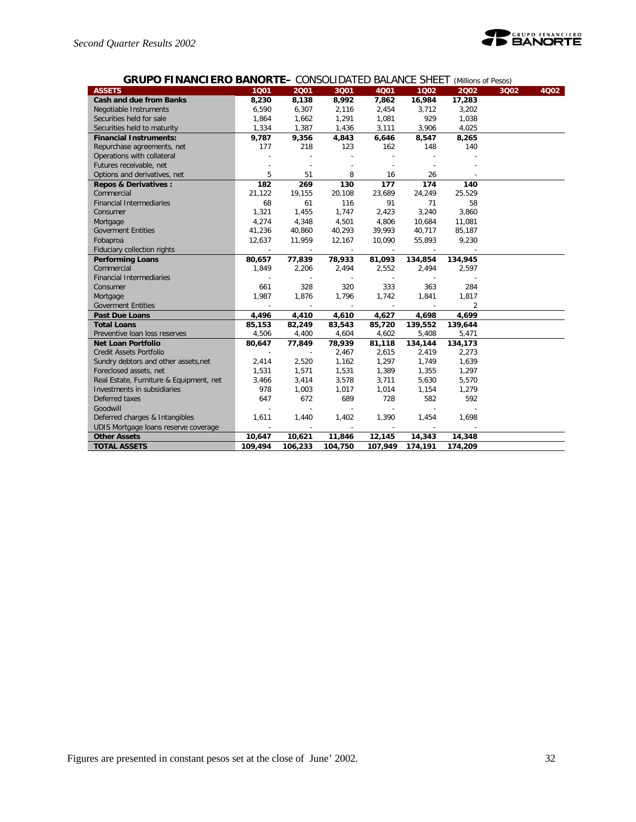

| <b>ASSETS</b>                           | 1001    | 2001                     | 3001           | 4001    | 1002    | 2002           | 3Q02 | 4Q02 |
|-----------------------------------------|---------|--------------------------|----------------|---------|---------|----------------|------|------|
| <b>Cash and due from Banks</b>          | 8,230   | 8,138                    | 8,992          | 7,862   | 16,984  | 17,283         |      |      |
| Negotiable Instruments                  | 6,590   | 6,307                    | 2,116          | 2,454   | 3,712   | 3,202          |      |      |
| Securities held for sale                | 1,864   | 1,662                    | 1,291          | 1,081   | 929     | 1,038          |      |      |
| Securities held to maturity             | 1,334   | 1,387                    | 1,436          | 3,111   | 3,906   | 4,025          |      |      |
| <b>Financial Instruments:</b>           | 9,787   | 9,356                    | 4,843          | 6,646   | 8,547   | 8,265          |      |      |
| Repurchase agreements, net              | 177     | 218                      | 123            | 162     | 148     | 140            |      |      |
| Operations with collateral              |         |                          |                |         |         |                |      |      |
| Futures receivable, net                 |         | $\overline{a}$           |                |         |         |                |      |      |
| Options and derivatives, net            | 5       | 51                       | 8              | 16      | 26      |                |      |      |
| <b>Repos &amp; Derivatives:</b>         | 182     | 269                      | 130            | 177     | 174     | 140            |      |      |
| Commercial                              | 21,122  | 19,155                   | 20,108         | 23,689  | 24,249  | 25,529         |      |      |
| <b>Financial Intermediaries</b>         | 68      | 61                       | 116            | 91      | 71      | 58             |      |      |
| Consumer                                | 1,321   | 1,455                    | 1,747          | 2,423   | 3,240   | 3,860          |      |      |
| Mortgage                                | 4,274   | 4,348                    | 4,501          | 4,806   | 10,684  | 11,081         |      |      |
| <b>Goverment Entities</b>               | 41,236  | 40,860                   | 40,293         | 39,993  | 40,717  | 85,187         |      |      |
| Fobaproa                                | 12,637  | 11,959                   | 12,167         | 10,090  | 55,893  | 9,230          |      |      |
| Fiduciary collection rights             | $\sim$  | $\overline{\phantom{a}}$ | $\sim$         | $\sim$  | $\sim$  |                |      |      |
| <b>Performing Loans</b>                 | 80,657  | 77,839                   | 78,933         | 81,093  | 134,854 | 134,945        |      |      |
| Commercial                              | 1,849   | 2,206                    | 2,494          | 2,552   | 2,494   | 2,597          |      |      |
| <b>Financial Intermediaries</b>         |         |                          |                |         |         |                |      |      |
| Consumer                                | 661     | 328                      | 320            | 333     | 363     | 284            |      |      |
| Mortgage                                | 1,987   | 1,876                    | 1,796          | 1,742   | 1,841   | 1,817          |      |      |
| <b>Goverment Entities</b>               |         |                          |                |         |         | $\overline{2}$ |      |      |
| <b>Past Due Loans</b>                   | 4,496   | 4,410                    | 4,610          | 4,627   | 4,698   | 4,699          |      |      |
| <b>Total Loans</b>                      | 85,153  | 82,249                   | 83,543         | 85,720  | 139,552 | 139,644        |      |      |
| Preventive Ioan loss reserves           | 4,506   | 4,400                    | 4,604          | 4,602   | 5,408   | 5,471          |      |      |
| <b>Net Loan Portfolio</b>               | 80,647  | 77,849                   | 78,939         | 81,118  | 134,144 | 134,173        |      |      |
| Credit Assets Portfolio                 |         |                          | 2,467          | 2,615   | 2,419   | 2,273          |      |      |
| Sundry debtors and other assets, net    | 2,414   | 2,520                    | 1,162          | 1,297   | 1,749   | 1,639          |      |      |
| Foreclosed assets, net                  | 1,531   | 1,571                    | 1,531          | 1,389   | 1,355   | 1,297          |      |      |
| Real Estate, Furniture & Equipment, net | 3,466   | 3,414                    | 3,578          | 3,711   | 5,630   | 5,570          |      |      |
| Investments in subsidiaries             | 978     | 1,003                    | 1,017          | 1,014   | 1,154   | 1,279          |      |      |
| Deferred taxes                          | 647     | 672                      | 689            | 728     | 582     | 592            |      |      |
| Goodwill                                |         | $\overline{\phantom{a}}$ | $\overline{a}$ |         |         |                |      |      |
| Deferred charges & Intangibles          | 1,611   | 1,440                    | 1,402          | 1,390   | 1,454   | 1,698          |      |      |
| UDIS Mortgage loans reserve coverage    | ÷,      | $\sim$                   | $\sim$         |         |         |                |      |      |
| <b>Other Assets</b>                     | 10,647  | 10,621                   | 11,846         | 12,145  | 14,343  | 14,348         |      |      |
| <b>TOTAL ASSETS</b>                     | 109,494 | 106,233                  | 104,750        | 107,949 | 174,191 | 174,209        |      |      |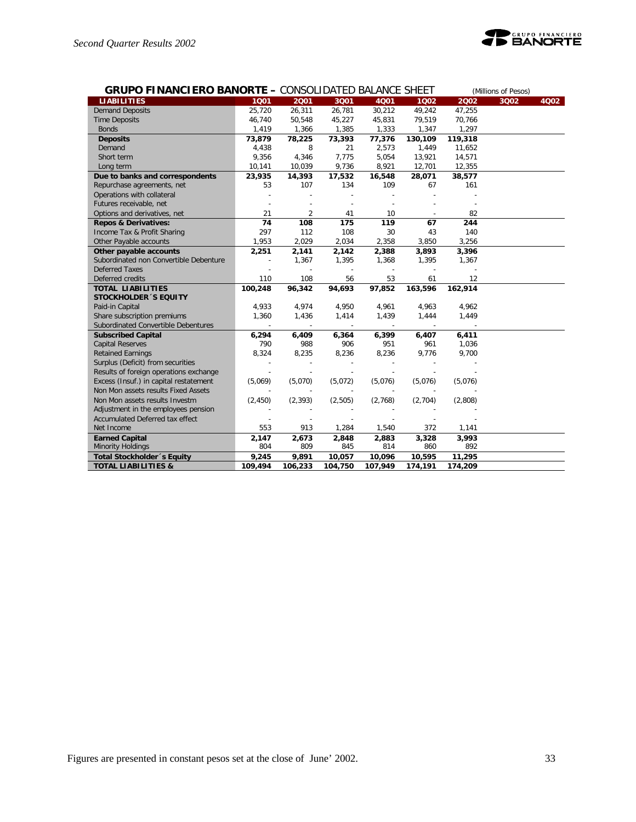

| <b>GRUPO FINANCIERO BANORTE - CONSOLIDATED BALANCE SHEET</b> |          |          |         |         | (Millions of Pesos) |         |      |      |
|--------------------------------------------------------------|----------|----------|---------|---------|---------------------|---------|------|------|
| <b>LIABILITIES</b>                                           | 1001     | 2001     | 3Q01    | 4001    | 1002                | 2002    | 3002 | 4Q02 |
| <b>Demand Deposits</b>                                       | 25,720   | 26,311   | 26,781  | 30,212  | 49,242              | 47,255  |      |      |
| <b>Time Deposits</b>                                         | 46,740   | 50,548   | 45,227  | 45,831  | 79,519              | 70,766  |      |      |
| <b>Bonds</b>                                                 | 1,419    | 1,366    | 1,385   | 1,333   | 1,347               | 1,297   |      |      |
| <b>Deposits</b>                                              | 73,879   | 78,225   | 73,393  | 77,376  | 130,109             | 119,318 |      |      |
| Demand                                                       | 4,438    | 8        | 21      | 2,573   | 1,449               | 11,652  |      |      |
| Short term                                                   | 9,356    | 4,346    | 7,775   | 5,054   | 13,921              | 14,571  |      |      |
| Long term                                                    | 10,141   | 10,039   | 9,736   | 8,921   | 12,701              | 12,355  |      |      |
| Due to banks and correspondents                              | 23,935   | 14,393   | 17,532  | 16,548  | 28,071              | 38,577  |      |      |
| Repurchase agreements, net                                   | 53       | 107      | 134     | 109     | 67                  | 161     |      |      |
| Operations with collateral                                   |          |          |         |         |                     |         |      |      |
| Futures receivable, net                                      |          |          |         |         |                     |         |      |      |
| Options and derivatives, net                                 | 21       | 2        | 41      | 10      |                     | 82      |      |      |
| <b>Repos &amp; Derivatives:</b>                              | 74       | 108      | 175     | 119     | 67                  | 244     |      |      |
| Income Tax & Profit Sharing                                  | 297      | 112      | 108     | 30      | 43                  | 140     |      |      |
| Other Payable accounts                                       | 1,953    | 2,029    | 2,034   | 2,358   | 3,850               | 3,256   |      |      |
| Other payable accounts                                       | 2,251    | 2,141    | 2,142   | 2,388   | 3,893               | 3,396   |      |      |
| Subordinated non Convertible Debenture                       |          | 1,367    | 1,395   | 1,368   | 1,395               | 1,367   |      |      |
| <b>Deferred Taxes</b>                                        |          |          |         |         |                     |         |      |      |
| Deferred credits                                             | 110      | 108      | 56      | 53      | 61                  | 12      |      |      |
| <b>TOTAL LIABILITIES</b>                                     | 100,248  | 96,342   | 94,693  | 97,852  | 163,596             | 162,914 |      |      |
| <b>STOCKHOLDER 'S EQUITY</b>                                 |          |          |         |         |                     |         |      |      |
| Paid-in Capital                                              | 4,933    | 4,974    | 4,950   | 4,961   | 4,963               | 4,962   |      |      |
| Share subscription premiums                                  | 1,360    | 1,436    | 1,414   | 1,439   | 1,444               | 1,449   |      |      |
| Subordinated Convertible Debentures                          | $\sim$   | $\sim$   | $\sim$  | $\sim$  | $\sim$              | $\sim$  |      |      |
| <b>Subscribed Capital</b>                                    | 6,294    | 6,409    | 6,364   | 6,399   | 6,407               | 6,411   |      |      |
| <b>Capital Reserves</b>                                      | 790      | 988      | 906     | 951     | 961                 | 1,036   |      |      |
| <b>Retained Earnings</b>                                     | 8,324    | 8,235    | 8,236   | 8,236   | 9,776               | 9,700   |      |      |
| Surplus (Deficit) from securities                            |          |          |         |         |                     |         |      |      |
| Results of foreign operations exchange                       |          |          |         |         |                     |         |      |      |
| Excess (Insuf.) in capital restatement                       | (5,069)  | (5,070)  | (5,072) | (5,076) | (5,076)             | (5,076) |      |      |
| Non Mon assets results Fixed Assets                          |          |          |         |         |                     |         |      |      |
| Non Mon assets results Investm                               | (2, 450) | (2, 393) | (2,505) | (2,768) | (2,704)             | (2,808) |      |      |
| Adjustment in the employees pension                          |          |          |         |         |                     |         |      |      |
| Accumulated Deferred tax effect                              |          |          |         |         |                     |         |      |      |
| Net Income                                                   | 553      | 913      | 1,284   | 1,540   | 372                 | 1,141   |      |      |
| <b>Earned Capital</b>                                        | 2,147    | 2,673    | 2,848   | 2,883   | 3,328               | 3,993   |      |      |
| <b>Minority Holdings</b>                                     | 804      | 809      | 845     | 814     | 860                 | 892     |      |      |
| <b>Total Stockholder</b> 's Equity                           | 9,245    | 9,891    | 10,057  | 10,096  | 10,595              | 11,295  |      |      |
| <b>TOTAL LIABILITIES &amp;</b>                               | 109,494  | 106,233  | 104,750 | 107,949 | 174,191             | 174,209 |      |      |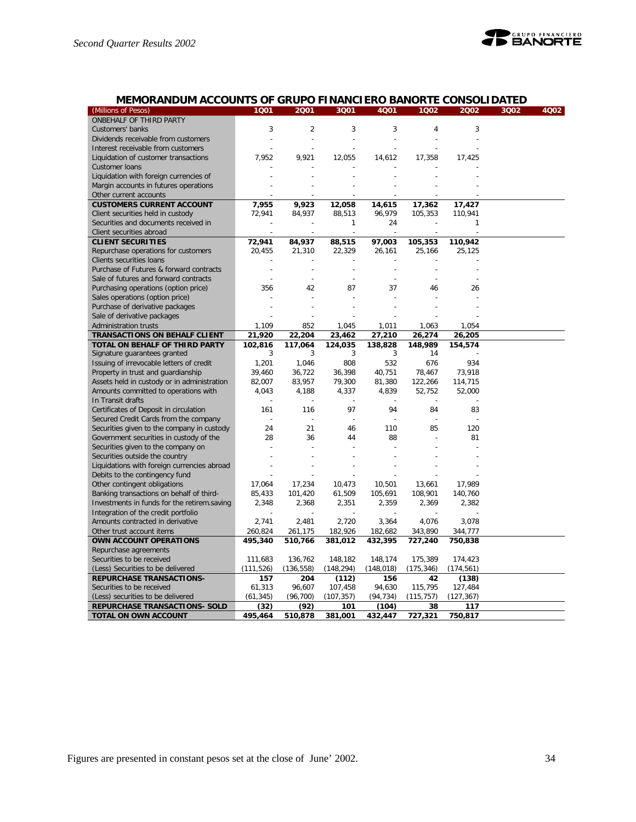

# **MEMORANDUM ACCOUNTS OF GRUPO FINANCIERO BANORTE CONSOLIDATED**

| (Millions of Pesos)                                   | 1001            | 2001            | 3001           | 4Q01             | 1002          | 2002           | 3Q02 | 4Q02 |
|-------------------------------------------------------|-----------------|-----------------|----------------|------------------|---------------|----------------|------|------|
| ONBEHALF OF THIRD PARTY                               |                 |                 |                |                  |               |                |      |      |
| Customers' banks                                      | 3               | $\overline{2}$  | 3              | 3                | 4             | 3              |      |      |
|                                                       |                 |                 |                |                  |               |                |      |      |
| Dividends receivable from customers                   |                 |                 |                |                  |               |                |      |      |
| Interest receivable from customers                    |                 |                 |                |                  |               |                |      |      |
| Liquidation of customer transactions                  | 7,952           | 9,921           | 12,055         | 14,612           | 17,358        | 17,425         |      |      |
| Customer loans                                        |                 |                 |                |                  |               |                |      |      |
| Liquidation with foreign currencies of                |                 |                 |                |                  |               |                |      |      |
| Margin accounts in futures operations                 |                 |                 |                |                  |               |                |      |      |
| Other current accounts                                |                 |                 |                |                  |               |                |      |      |
| <b>CUSTOMERS CURRENT ACCOUNT</b>                      | 7,955           | 9,923           | 12,058         | 14,615           | 17,362        | 17,427         |      |      |
| Client securities held in custody                     | 72,941          | 84,937          | 88,513         | 96,979           | 105,353       | 110,941        |      |      |
| Securities and documents received in                  |                 |                 | 1              | 24               |               |                |      |      |
| Client securities abroad                              |                 |                 |                |                  |               |                |      |      |
| <b>CLIENT SECURITIES</b>                              | 72,941          | 84,937          | 88,515         | 97,003           | 105,353       | 110,942        |      |      |
| Repurchase operations for customers                   | 20,455          | 21,310          | 22,329         | 26,161           | 25,166        | 25,125         |      |      |
| Clients securities loans                              |                 |                 |                |                  |               |                |      |      |
| Purchase of Futures & forward contracts               |                 |                 |                |                  |               |                |      |      |
| Sale of futures and forward contracts                 |                 |                 | $\overline{a}$ |                  |               |                |      |      |
| Purchasing operations (option price)                  | 356             | 42              | 87             | 37               | 46            | 26             |      |      |
| Sales operations (option price)                       |                 |                 |                |                  |               |                |      |      |
| Purchase of derivative packages                       |                 |                 |                |                  |               |                |      |      |
| Sale of derivative packages                           |                 |                 |                |                  |               |                |      |      |
|                                                       |                 |                 |                |                  |               |                |      |      |
| Administration trusts                                 | 1,109           | 852             | 1,045          | 1,011            | 1,063         | 1,054          |      |      |
| TRANSACTIONS ON BEHALF CLIENT                         | 21,920          | 22,204          | 23,462         | 27,210           | 26,274        | 26,205         |      |      |
| TOTAL ON BEHALF OF THIRD PARTY                        | 102,816         | 117,064         | 124,035        | 138,828          | 148,989       | 154,574        |      |      |
| Signature guarantees granted                          | 3               | 3               | 3              | 3                | 14            |                |      |      |
| Issuing of irrevocable letters of credit              | 1,201           | 1,046           | 808            | 532              | 676           | 934            |      |      |
| Property in trust and guardianship                    | 39,460          | 36,722          | 36,398         | 40,751           | 78,467        | 73,918         |      |      |
| Assets held in custody or in administration           | 82,007          | 83,957          | 79,300         | 81,380           | 122,266       | 114.715        |      |      |
| Amounts committed to operations with                  | 4,043           | 4,188           | 4,337          | 4,839            | 52,752        | 52,000         |      |      |
| In Transit drafts                                     |                 |                 |                |                  |               |                |      |      |
| Certificates of Deposit in circulation                | 161             | 116             | 97             | 94               | 84            | 83             |      |      |
| Secured Credit Cards from the company                 |                 |                 |                |                  |               |                |      |      |
| Securities given to the company in custody            | 24              | 21              | 46             | 110              | 85            | 120            |      |      |
| Government securities in custody of the               | 28              | 36              | 44             | 88               |               | 81             |      |      |
| Securities given to the company on                    |                 |                 |                |                  |               |                |      |      |
| Securities outside the country                        |                 |                 |                |                  |               |                |      |      |
| Liquidations with foreign currencies abroad           |                 |                 |                |                  |               |                |      |      |
| Debits to the contingency fund                        |                 |                 |                |                  |               |                |      |      |
| Other contingent obligations                          | 17,064          | 17,234          | 10,473         | 10,501           | 13,661        | 17,989         |      |      |
| Banking transactions on behalf of third-              | 85,433          | 101,420         | 61,509         | 105,691          | 108,901       | 140,760        |      |      |
| Investments in funds for the retirem.saving           | 2,348           | 2,368           | 2,351          | 2,359            | 2,369         | 2,382          |      |      |
| Integration of the credit portfolio                   |                 |                 |                |                  |               |                |      |      |
| Amounts contracted in derivative                      | 2,741           | 2,481           | 2,720          | 3,364            | 4,076         | 3,078          |      |      |
| Other trust account items                             | 260,824         | 261,175         | 182,926        | 182,682          | 343,890       | 344,777        |      |      |
| OWN ACCOUNT OPERATIONS                                | 495,340         | 510,766         | 381,012        | 432,395          | 727,240       | 750,838        |      |      |
| Repurchase agreements                                 |                 |                 |                |                  |               |                |      |      |
| Securities to be received                             | 111,683         | 136,762         | 148,182        | 148,174          | 175,389       | 174,423        |      |      |
| (Less) Securities to be delivered                     | (111,526)       | (136, 558)      | (148, 294)     | (148, 018)       | (175, 346)    | (174, 561)     |      |      |
| <b>REPURCHASE TRANSACTIONS-</b>                       | 157             | 204             | (112)          | 156              | 42            |                |      |      |
| Securities to be received                             |                 | 96,607          | 107,458        |                  | 115,795       | (138)          |      |      |
|                                                       | 61,313          |                 |                | 94,630           |               | 127,484        |      |      |
| (Less) securities to be delivered                     | (61, 345)       | (96, 700)       | (107, 357)     | (94, 734)        | (115, 757)    | (127, 367)     |      |      |
| REPURCHASE TRANSACTIONS- SOLD<br>TOTAL ON OWN ACCOUNT | (32)<br>495,464 | (92)<br>510,878 | 101<br>381,001 | (104)<br>432,447 | 38<br>727,321 | 117<br>750,817 |      |      |
|                                                       |                 |                 |                |                  |               |                |      |      |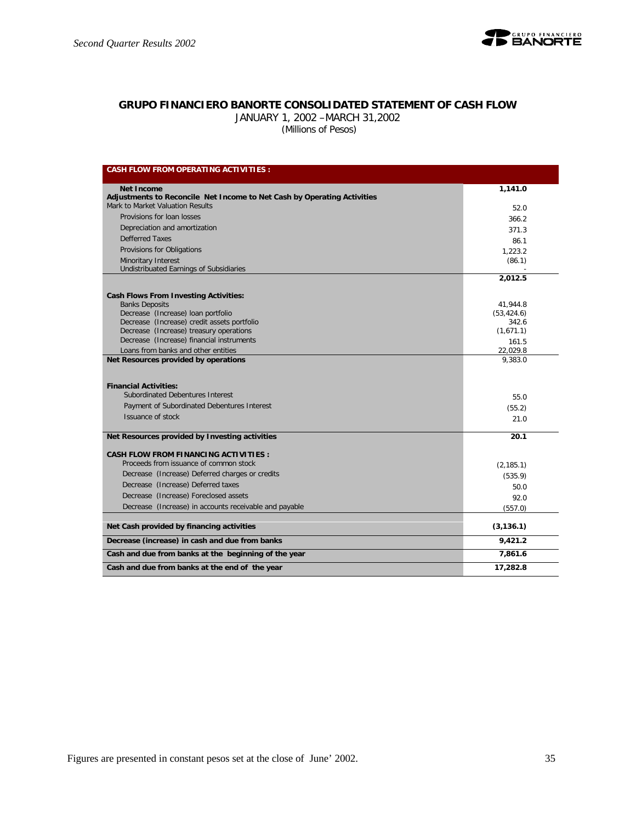

### **GRUPO FINANCIERO BANORTE CONSOLIDATED STATEMENT OF CASH FLOW**

JANUARY 1, 2002 –MARCH 31,2002

 *(Millions of Pesos)*

| <b>CASH FLOW FROM OPERATING ACTIVITIES:</b>                                                                                          |                        |
|--------------------------------------------------------------------------------------------------------------------------------------|------------------------|
| <b>Net Income</b>                                                                                                                    | 1,141.0                |
| Adjustments to Reconcile Net Income to Net Cash by Operating Activities                                                              |                        |
| Mark to Market Valuation Results                                                                                                     | 52.0                   |
| Provisions for loan losses                                                                                                           | 366.2                  |
| Depreciation and amortization                                                                                                        | 371.3                  |
| <b>Defferred Taxes</b>                                                                                                               | 86.1                   |
| Provisions for Obligations                                                                                                           | 1.223.2                |
| Minoritary Interest<br>Undistribuated Earnings of Subsidiaries                                                                       | (86.1)                 |
|                                                                                                                                      | 2.012.5                |
| <b>Cash Flows From Investing Activities:</b>                                                                                         |                        |
| <b>Banks Deposits</b>                                                                                                                | 41,944.8               |
| Decrease (Increase) loan portfolio                                                                                                   | (53, 424.6)            |
| Decrease (Increase) credit assets portfolio                                                                                          | 342.6                  |
| Decrease (Increase) treasury operations<br>Decrease (Increase) financial instruments                                                 | (1,671.1)              |
|                                                                                                                                      | 161.5                  |
| Loans from banks and other entities<br>Net Resources provided by operations                                                          | 22,029.8<br>9,383.0    |
| <b>Financial Activities:</b><br>Subordinated Debentures Interest<br>Payment of Subordinated Debentures Interest<br>Issuance of stock | 55.0<br>(55.2)<br>21.0 |
| Net Resources provided by Investing activities                                                                                       | 20.1                   |
| <b>CASH FLOW FROM FINANCING ACTIVITIES:</b>                                                                                          |                        |
| Proceeds from issuance of common stock                                                                                               | (2, 185.1)             |
| Decrease (Increase) Deferred charges or credits                                                                                      | (535.9)                |
| Decrease (Increase) Deferred taxes                                                                                                   | 50.0                   |
| Decrease (Increase) Foreclosed assets                                                                                                | 92.0                   |
| Decrease (Increase) in accounts receivable and payable                                                                               | (557.0)                |
| Net Cash provided by financing activities                                                                                            | (3, 136.1)             |
| Decrease (increase) in cash and due from banks                                                                                       | 9,421.2                |
| Cash and due from banks at the beginning of the year                                                                                 | 7,861.6                |
| Cash and due from banks at the end of the year                                                                                       | 17,282.8               |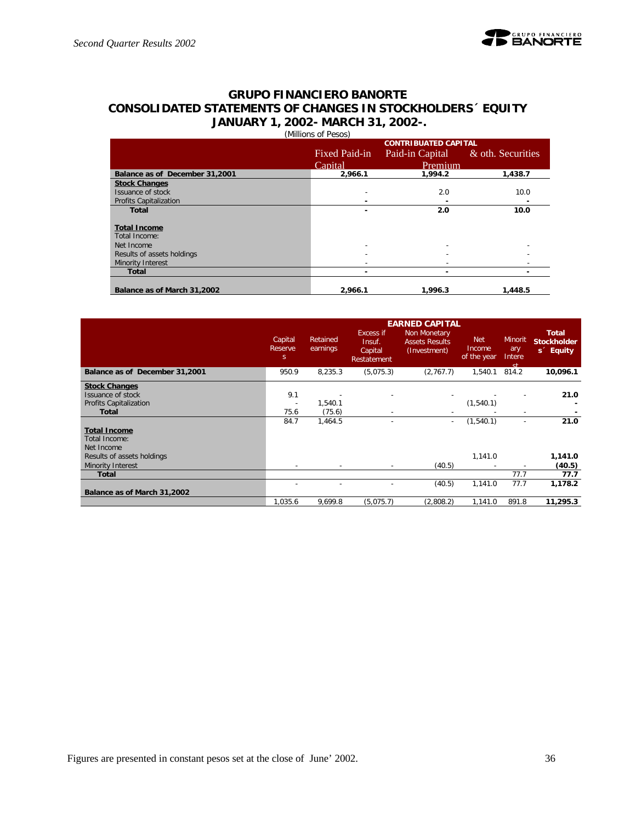### **GRUPO FINANCIERO BANORTE CONSOLIDATED STATEMENTS OF CHANGES IN STOCKHOLDERS´ EQUITY JANUARY 1, 2002- MARCH 31, 2002-.** (Millions of Pesos)

|                                      |               | <b>CONTRIBUATED CAPITAL</b> |                   |  |  |  |  |  |  |  |
|--------------------------------------|---------------|-----------------------------|-------------------|--|--|--|--|--|--|--|
|                                      | Fixed Paid-in | Paid-in Capital             | & oth. Securities |  |  |  |  |  |  |  |
|                                      | Capital       | Premium                     |                   |  |  |  |  |  |  |  |
| Balance as of December 31,2001       | 2,966.1       | 1,994.2                     | 1,438.7           |  |  |  |  |  |  |  |
| <b>Stock Changes</b>                 |               |                             |                   |  |  |  |  |  |  |  |
| Issuance of stock                    |               | 2.0                         | 10.0              |  |  |  |  |  |  |  |
| <b>Profits Capitalization</b>        |               |                             |                   |  |  |  |  |  |  |  |
| <b>Total</b>                         |               | 2.0                         | 10.0              |  |  |  |  |  |  |  |
| <b>Total Income</b><br>Total Income: |               |                             |                   |  |  |  |  |  |  |  |
| Net Income                           |               |                             |                   |  |  |  |  |  |  |  |
| Results of assets holdings           |               |                             |                   |  |  |  |  |  |  |  |
| Minority Interest                    |               |                             |                   |  |  |  |  |  |  |  |
| <b>Total</b>                         |               | -                           |                   |  |  |  |  |  |  |  |
| Balance as of March 31,2002          | 2.966.1       | 1,996.3                     | 1,448.5           |  |  |  |  |  |  |  |

|                                | <b>EARNED CAPITAL</b>              |                      |                                               |                                                       |                                     |                                        |                                                             |  |  |  |
|--------------------------------|------------------------------------|----------------------|-----------------------------------------------|-------------------------------------------------------|-------------------------------------|----------------------------------------|-------------------------------------------------------------|--|--|--|
|                                | Capital<br>Reserve<br><sub>S</sub> | Retained<br>earnings | Excess if<br>Insuf.<br>Capital<br>Restatement | Non Monetary<br><b>Assets Results</b><br>(Investment) | <b>Net</b><br>Income<br>of the year | <b>Minorit</b><br>ary<br>Intere<br>ot. | <b>Total</b><br><b>Stockholder</b><br>s <sup>2</sup> Equity |  |  |  |
| Balance as of December 31,2001 | 950.9                              | 8,235.3              | (5,075.3)                                     | (2,767.7)                                             | 1.540.1                             | 814.2                                  | 10,096.1                                                    |  |  |  |
| <b>Stock Changes</b>           |                                    |                      |                                               |                                                       |                                     |                                        |                                                             |  |  |  |
| Issuance of stock              | 9.1                                |                      |                                               |                                                       |                                     |                                        | 21.0                                                        |  |  |  |
| <b>Profits Capitalization</b>  | $\overline{\phantom{a}}$           | 1,540.1              |                                               |                                                       | (1,540.1)                           |                                        |                                                             |  |  |  |
| <b>Total</b>                   | 75.6                               | (75.6)               |                                               |                                                       |                                     |                                        |                                                             |  |  |  |
|                                | 84.7                               | 1,464.5              |                                               | $\overline{\phantom{a}}$                              | (1,540.1)                           |                                        | 21.0                                                        |  |  |  |
| <b>Total Income</b>            |                                    |                      |                                               |                                                       |                                     |                                        |                                                             |  |  |  |
| Total Income:                  |                                    |                      |                                               |                                                       |                                     |                                        |                                                             |  |  |  |
| Net Income                     |                                    |                      |                                               |                                                       |                                     |                                        |                                                             |  |  |  |
| Results of assets holdings     |                                    |                      |                                               |                                                       | 1,141.0                             |                                        | 1,141.0                                                     |  |  |  |
| Minority Interest              | $\overline{\phantom{a}}$           |                      |                                               | (40.5)                                                |                                     |                                        | (40.5)                                                      |  |  |  |
| <b>Total</b>                   |                                    |                      |                                               |                                                       |                                     | 77.7                                   | 77.7                                                        |  |  |  |
|                                |                                    |                      |                                               | (40.5)                                                | 1,141.0                             | 77.7                                   | 1,178.2                                                     |  |  |  |
| Balance as of March 31,2002    |                                    |                      |                                               |                                                       |                                     |                                        |                                                             |  |  |  |
|                                | 1,035.6                            | 9,699.8              | (5,075.7)                                     | (2,808.2)                                             | 1,141.0                             | 891.8                                  | 11,295.3                                                    |  |  |  |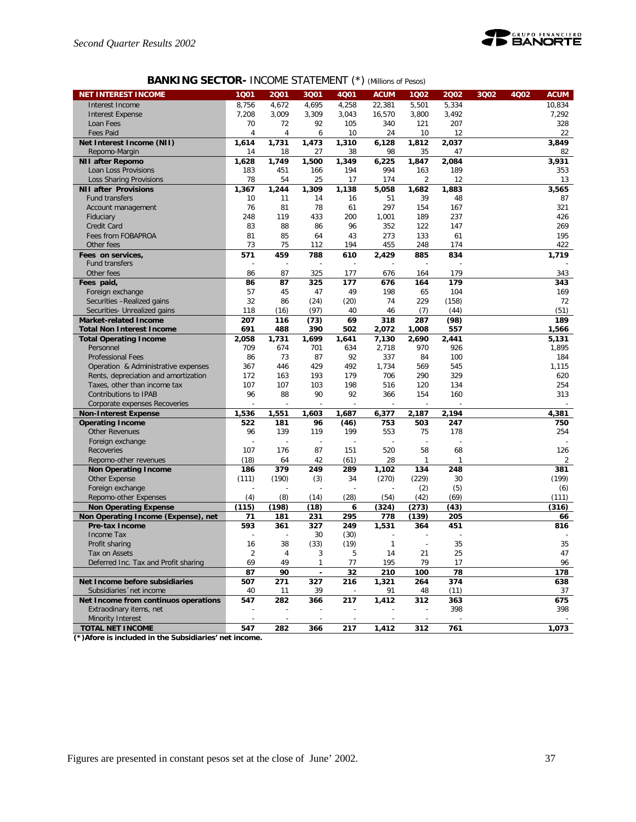

# **BANKING SECTOR-** INCOME STATEMENT (\*) *(Millions of Pesos)*

| <b>NET INTEREST INCOME</b>                            | 1Q01                     | 2001           | 3Q01                     | <b>4Q01</b>              | <b>ACUM</b>   | 1002                     | 2002       | 3Q02 | 4Q02 | <b>ACUM</b> |
|-------------------------------------------------------|--------------------------|----------------|--------------------------|--------------------------|---------------|--------------------------|------------|------|------|-------------|
| Interest Income                                       | 8,756                    | 4,672          | 4,695                    | 4,258                    | 22,381        | 5,501                    | 5,334      |      |      | 10.834      |
| <b>Interest Expense</b>                               | 7,208                    | 3,009          | 3,309                    | 3,043                    | 16,570        | 3,800                    | 3,492      |      |      | 7,292       |
| Loan Fees                                             | 70                       | 72             | 92                       | 105                      | 340           | 121                      | 207        |      |      | 328         |
| <b>Fees Paid</b>                                      | 4                        | $\overline{4}$ | 6                        | 10                       | 24            | 10                       | 12         |      |      | 22          |
| Net Interest Income (NII)                             | 1,614                    | 1,731          | 1,473                    | 1,310                    | 6.128         | 1,812                    | 2,037      |      |      | 3,849       |
| Repomo-Margin                                         | 14                       | 18             | 27                       | 38                       | 98            | 35                       | 47         |      |      | 82          |
| <b>NII after Repomo</b>                               | 1,628                    | 1,749          | 1,500                    | 1,349                    | 6,225         | 1,847                    | 2,084      |      |      | 3,931       |
| Loan Loss Provisions                                  | 183                      | 451            | 166                      | 194                      | 994           | 163                      | 189        |      |      | 353         |
| Loss Sharing Provisions                               | 78                       | 54             | 25                       | 17                       | 174           | 2                        | 12         |      |      | 13          |
| <b>NII after Provisions</b>                           | 1,367                    | 1,244          | 1,309                    | 1,138                    | 5.058         | 1,682                    | 1,883      |      |      | 3,565       |
| <b>Fund transfers</b>                                 | 10                       | 11             | 14                       | 16                       | 51            | 39                       | 48         |      |      | 87          |
| Account management                                    | 76                       | 81             | 78                       | 61                       | 297           | 154                      | 167        |      |      | 321         |
| Fiduciary                                             | 248                      | 119            | 433                      | 200                      | 1,001         | 189                      | 237        |      |      | 426         |
| Credit Card                                           | 83                       | 88             | 86                       | 96                       | 352           | 122                      | 147        |      |      | 269         |
| Fees from FOBAPROA                                    | 81                       | 85             | 64                       | 43                       | 273           | 133                      | 61         |      |      | 195         |
| Other fees                                            | 73                       | 75             | 112                      | 194                      | 455           | 248                      | 174        |      |      | 422         |
| Fees on services,                                     | 571                      | 459            | 788                      | 610                      | 2,429         | 885                      | 834        |      |      | 1,719       |
| Fund transfers                                        | $\overline{a}$           | J.             | $\overline{a}$           |                          |               | L,                       |            |      |      |             |
| Other fees                                            | 86                       | 87             | 325                      | 177                      | 676           | 164                      | 179        |      |      | 343         |
| Fees paid,                                            | 86                       | 87             | 325                      | 177                      | 676           | 164                      | 179        |      |      | 343         |
| Foreign exchange                                      | 57                       | 45             | 47                       | 49                       | 198           | 65                       | 104        |      |      | 169         |
| Securities -Realized gains                            | 32                       | 86             | (24)                     | (20)                     | 74            | 229                      | (158)      |      |      | 72          |
| Securities- Unrealized gains                          | 118                      | (16)           | (97)                     | 40                       | 46            | (7)                      | (44)       |      |      | (51)        |
| <b>Market-related Income</b>                          | 207                      | 116            | (73)                     | 69                       | 318           | 287                      | (98)       |      |      | 189         |
| <b>Total Non Interest Income</b>                      | 691                      | 488            | 390                      | 502                      | 2,072         | 1,008                    | 557        |      |      | 1,566       |
| <b>Total Operating Income</b>                         | 2,058                    | 1,731          | 1,699                    | 1.641                    | 7,130         | 2,690                    | 2,441      |      |      | 5,131       |
| Personnel                                             | 709                      | 674            | 701                      | 634                      | 2,718         | 970                      | 926        |      |      | 1,895       |
| <b>Professional Fees</b>                              | 86                       | 73             | 87                       | 92                       | 337           | 84                       | 100        |      |      | 184         |
| Operation & Administrative expenses                   | 367                      | 446            | 429                      | 492                      | 1,734         | 569                      | 545        |      |      | 1,115       |
| Rents, depreciation and amortization                  | 172                      | 163            | 193                      | 179                      | 706           | 290                      | 329        |      |      | 620         |
| Taxes, other than income tax                          | 107                      | 107            | 103                      | 198                      | 516           | 120                      | 134        |      |      | 254         |
| Contributions to IPAB                                 | 96                       | 88             | 90                       | 92                       | 366           | 154                      | 160        |      |      | 313         |
| Corporate expenses Recoveries                         |                          |                |                          |                          |               |                          |            |      |      |             |
| <b>Non-Interest Expense</b>                           | 1,536                    | 1,551          | 1,603                    | 1,687                    | 6,377         | 2,187                    | 2,194      |      |      | 4,381       |
| <b>Operating Income</b>                               | 522                      | 181            | 96                       | (46)                     | 753           | 503                      | 247        |      |      | 750         |
| <b>Other Revenues</b>                                 | 96                       | 139            | 119                      | 199                      | 553           | 75                       | 178        |      |      | 254         |
| Foreign exchange                                      |                          |                | $\overline{\phantom{a}}$ |                          |               |                          |            |      |      |             |
| Recoveries                                            | 107                      | 176            | 87                       | 151                      | 520           | 58                       | 68         |      |      | 126         |
| Repomo-other revenues                                 | (18)                     | 64             | 42                       | (61)                     | 28            | 1                        | 1          |      |      | 2           |
| <b>Non Operating Income</b>                           | 186                      | 379            | 249                      | 289                      | 1,102         | 134                      | 248        |      |      | 381         |
| Other Expense                                         | (111)                    | (190)          | (3)                      | 34                       | (270)         | (229)                    | 30         |      |      | (199)       |
| Foreign exchange                                      | $\overline{\phantom{a}}$ |                |                          |                          |               | (2)                      | (5)        |      |      | (6)         |
| Repomo-other Expenses                                 | (4)                      | (8)            | (14)                     | (28)                     | (54)          | (42)                     | (69)       |      |      | (111)       |
| <b>Non Operating Expense</b>                          | (115)                    | (198)          | (18)                     | 6                        | (324)         | (273)                    | (43)       |      |      | (316)       |
| Non Operating Income (Expense), net<br>Pre-tax Income | 71<br>593                | 181<br>361     | 231<br>327               | 295                      | 778<br>1,531  | (139)                    | 205<br>451 |      |      | 66          |
| Income Tax                                            |                          |                | 30                       | 249<br>(30)              |               | 364                      |            |      |      | 816         |
| Profit sharing                                        | 16                       | 38             | (33)                     | (19)                     | 1             | $\overline{\phantom{a}}$ | 35         |      |      | 35          |
|                                                       |                          |                | 3                        |                          | 14            | 21                       | 25         |      |      | 47          |
| Tax on Assets<br>Deferred Inc. Tax and Profit sharing | 2<br>69                  | 49             | $\mathbf{1}$             | b<br>77                  | 195           | 79                       |            |      |      | 96          |
|                                                       |                          |                |                          |                          |               |                          | 17         |      |      |             |
| Net Income before subsidiaries                        | 87<br>507                | 90<br>271      | $\overline{\phantom{a}}$ | 32<br>216                | 210           | 100                      | 78<br>374  |      |      | 178<br>638  |
| Subsidiaries 'net income                              | 40                       | 11             | 327<br>39                |                          | 1,321<br>91   | 264<br>48                | (11)       |      |      | 37          |
| Net Income from continuos operations                  | 547                      | 282            | 366                      | 217                      | 1,412         | 312                      | 363        |      |      | 675         |
| Extraodinary items, net                               |                          |                |                          |                          |               |                          | 398        |      |      | 398         |
| Minority Interest                                     | $\overline{\phantom{a}}$ | $\overline{a}$ | $\overline{\phantom{a}}$ | $\overline{\phantom{a}}$ | $\frac{1}{2}$ | ÷                        |            |      |      |             |
| <b>TOTAL NET INCOME</b>                               | 547                      | 282            | 366                      | 217                      | 1,412         | 312                      | 761        |      |      | 1,073       |
|                                                       |                          |                |                          |                          |               |                          |            |      |      |             |

**(\*)Afore is included in the Subsidiaries' net income.**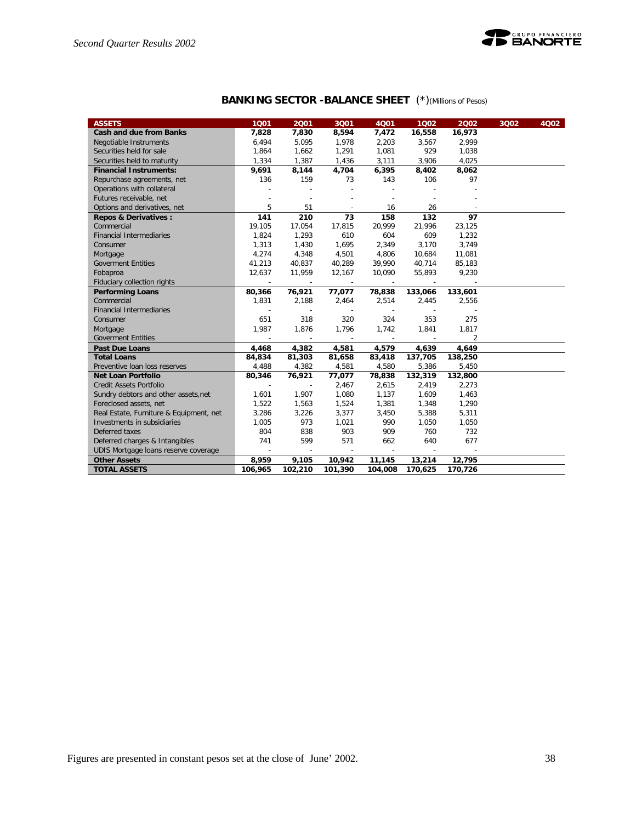

| <b>BANKING SECTOR - BALANCE SHEET</b> (*) (Millions of Pesos) |  |
|---------------------------------------------------------------|--|
|---------------------------------------------------------------|--|

| <b>ASSETS</b>                           | 1001                     | 2001                     | 3Q01                     | 4001                     | 1002                     | 2002    | 3Q02 | 4Q02 |
|-----------------------------------------|--------------------------|--------------------------|--------------------------|--------------------------|--------------------------|---------|------|------|
| <b>Cash and due from Banks</b>          | 7,828                    | 7,830                    | 8,594                    | 7,472                    | 16,558                   | 16,973  |      |      |
| Negotiable Instruments                  | 6,494                    | 5,095                    | 1,978                    | 2,203                    | 3,567                    | 2,999   |      |      |
| Securities held for sale                | 1,864                    | 1,662                    | 1,291                    | 1,081                    | 929                      | 1,038   |      |      |
| Securities held to maturity             | 1,334                    | 1,387                    | 1,436                    | 3,111                    | 3,906                    | 4,025   |      |      |
| <b>Financial Instruments:</b>           | 9,691                    | 8,144                    | 4,704                    | 6,395                    | 8,402                    | 8,062   |      |      |
| Repurchase agreements, net              | 136                      | 159                      | 73                       | 143                      | 106                      | 97      |      |      |
| Operations with collateral              |                          |                          | $\sim$                   |                          |                          |         |      |      |
| Futures receivable, net                 |                          | $\overline{\phantom{a}}$ | ÷,                       |                          |                          |         |      |      |
| Options and derivatives, net            | 5                        | 51                       | $\overline{\phantom{a}}$ | 16                       | 26                       |         |      |      |
| <b>Repos &amp; Derivatives:</b>         | 141                      | 210                      | 73                       | 158                      | 132                      | 97      |      |      |
| Commercial                              | 19,105                   | 17,054                   | 17,815                   | 20,999                   | 21,996                   | 23,125  |      |      |
| <b>Financial Intermediaries</b>         | 1,824                    | 1,293                    | 610                      | 604                      | 609                      | 1,232   |      |      |
| Consumer                                | 1,313                    | 1,430                    | 1,695                    | 2,349                    | 3,170                    | 3,749   |      |      |
| Mortgage                                | 4,274                    | 4,348                    | 4,501                    | 4,806                    | 10,684                   | 11,081  |      |      |
| <b>Goverment Entities</b>               | 41,213                   | 40,837                   | 40,289                   | 39,990                   | 40,714                   | 85,183  |      |      |
| Fobaproa                                | 12,637                   | 11,959                   | 12,167                   | 10,090                   | 55,893                   | 9,230   |      |      |
| Fiduciary collection rights             |                          |                          |                          |                          |                          |         |      |      |
| <b>Performing Loans</b>                 | 80,366                   | 76,921                   | 77,077                   | 78,838                   | 133,066                  | 133,601 |      |      |
| Commercial                              | 1,831                    | 2,188                    | 2,464                    | 2,514                    | 2,445                    | 2,556   |      |      |
| <b>Financial Intermediaries</b>         | $\overline{a}$           | $\overline{\phantom{a}}$ |                          | $\sim$                   |                          |         |      |      |
| Consumer                                | 651                      | 318                      | 320                      | 324                      | 353                      | 275     |      |      |
| Mortgage                                | 1.987                    | 1.876                    | 1,796                    | 1,742                    | 1,841                    | 1,817   |      |      |
| <b>Goverment Entities</b>               | $\overline{\phantom{a}}$ | $\sim$                   | $\sim$                   | $\overline{\phantom{a}}$ | $\overline{\phantom{a}}$ | 2       |      |      |
| Past Due Loans                          | 4,468                    | 4,382                    | 4,581                    | 4,579                    | 4,639                    | 4,649   |      |      |
| <b>Total Loans</b>                      | 84,834                   | 81,303                   | 81,658                   | 83,418                   | 137,705                  | 138,250 |      |      |
| Preventive Ioan loss reserves           | 4,488                    | 4,382                    | 4,581                    | 4,580                    | 5,386                    | 5,450   |      |      |
| <b>Net Loan Portfolio</b>               | 80,346                   | 76,921                   | 77,077                   | 78,838                   | 132,319                  | 132,800 |      |      |
| Credit Assets Portfolio                 | $\sim$                   | $\overline{\phantom{a}}$ | 2,467                    | 2,615                    | 2,419                    | 2,273   |      |      |
| Sundry debtors and other assets, net    | 1,601                    | 1,907                    | 1,080                    | 1,137                    | 1,609                    | 1,463   |      |      |
| Foreclosed assets, net                  | 1,522                    | 1,563                    | 1,524                    | 1,381                    | 1,348                    | 1,290   |      |      |
| Real Estate, Furniture & Equipment, net | 3,286                    | 3,226                    | 3,377                    | 3,450                    | 5,388                    | 5,311   |      |      |
| Investments in subsidiaries             | 1,005                    | 973                      | 1,021                    | 990                      | 1,050                    | 1,050   |      |      |
| Deferred taxes                          | 804                      | 838                      | 903                      | 909                      | 760                      | 732     |      |      |
| Deferred charges & Intangibles          | 741                      | 599                      | 571                      | 662                      | 640                      | 677     |      |      |
| UDIS Mortgage loans reserve coverage    | $\overline{\phantom{a}}$ | $\overline{\phantom{a}}$ | $\sim$                   | $\overline{\phantom{a}}$ | $\overline{\phantom{a}}$ |         |      |      |
| <b>Other Assets</b>                     | 8,959                    | 9,105                    | 10,942                   | 11,145                   | 13,214                   | 12,795  |      |      |
| <b>TOTAL ASSETS</b>                     | 106,965                  | 102,210                  | 101,390                  | 104,008                  | 170,625                  | 170,726 |      |      |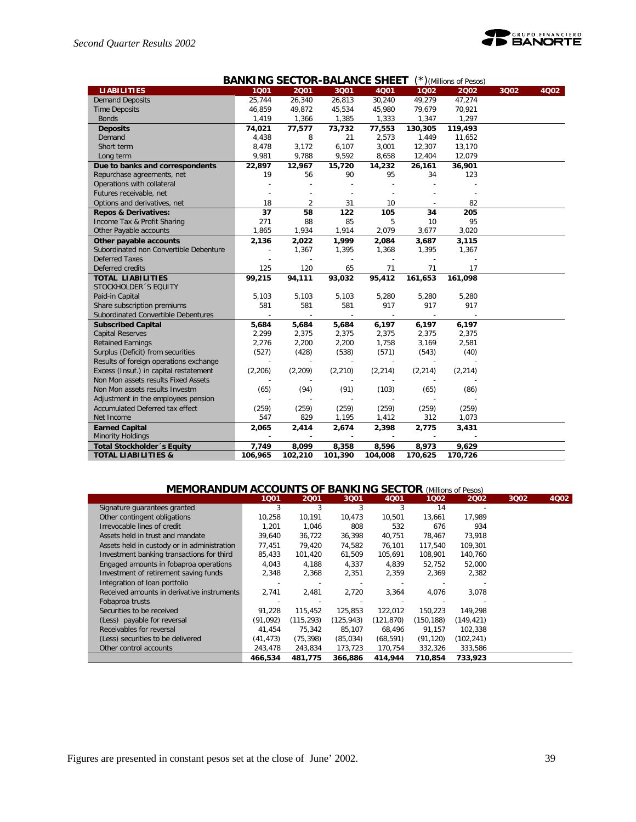

| <b>BANKING SECTOR-BALANCE SHEET</b><br>$(*)$ (Millions of Pesos) |         |                          |                          |          |                          |                          |      |      |
|------------------------------------------------------------------|---------|--------------------------|--------------------------|----------|--------------------------|--------------------------|------|------|
| <b>LIABILITIES</b>                                               | 1001    | 2001                     | 3Q01                     | 4001     | 1002                     | 2002                     | 3Q02 | 4Q02 |
| <b>Demand Deposits</b>                                           | 25,744  | 26,340                   | 26,813                   | 30,240   | 49,279                   | 47,274                   |      |      |
| <b>Time Deposits</b>                                             | 46,859  | 49,872                   | 45,534                   | 45,980   | 79,679                   | 70,921                   |      |      |
| <b>Bonds</b>                                                     | 1,419   | 1,366                    | 1,385                    | 1,333    | 1,347                    | 1,297                    |      |      |
| <b>Deposits</b>                                                  | 74,021  | 77,577                   | 73,732                   | 77,553   | 130,305                  | 119,493                  |      |      |
| Demand                                                           | 4,438   | 8                        | 21                       | 2,573    | 1,449                    | 11,652                   |      |      |
| Short term                                                       | 8,478   | 3,172                    | 6,107                    | 3,001    | 12,307                   | 13,170                   |      |      |
| Long term                                                        | 9,981   | 9,788                    | 9,592                    | 8,658    | 12,404                   | 12,079                   |      |      |
| Due to banks and correspondents                                  | 22,897  | 12,967                   | 15,720                   | 14,232   | 26,161                   | 36,901                   |      |      |
| Repurchase agreements, net                                       | 19      | 56                       | 90                       | 95       | 34                       | 123                      |      |      |
| Operations with collateral                                       |         |                          |                          |          |                          |                          |      |      |
| Futures receivable, net                                          |         |                          |                          |          |                          |                          |      |      |
| Options and derivatives, net                                     | 18      | $\overline{2}$           | 31                       | 10       |                          | 82                       |      |      |
| <b>Repos &amp; Derivatives:</b>                                  | 37      | 58                       | 122                      | 105      | 34                       | 205                      |      |      |
| Income Tax & Profit Sharing                                      | 271     | 88                       | 85                       | 5        | 10                       | 95                       |      |      |
| Other Payable accounts                                           | 1,865   | 1,934                    | 1,914                    | 2,079    | 3,677                    | 3,020                    |      |      |
| Other payable accounts                                           | 2,136   | 2,022                    | 1,999                    | 2,084    | 3,687                    | 3,115                    |      |      |
| Subordinated non Convertible Debenture                           |         | 1,367                    | 1,395                    | 1,368    | 1,395                    | 1,367                    |      |      |
| <b>Deferred Taxes</b>                                            |         |                          |                          |          |                          |                          |      |      |
| Deferred credits                                                 | 125     | 120                      | 65                       | 71       | 71                       | 17                       |      |      |
| <b>TOTAL LIABILITIES</b>                                         | 99,215  | 94,111                   | 93,032                   | 95,412   | 161,653                  | 161,098                  |      |      |
| STOCKHOLDER 'S EQUITY                                            |         |                          |                          |          |                          |                          |      |      |
| Paid-in Capital                                                  | 5,103   | 5,103                    | 5,103                    | 5,280    | 5,280                    | 5,280                    |      |      |
| Share subscription premiums                                      | 581     | 581                      | 581                      | 917      | 917                      | 917                      |      |      |
| Subordinated Convertible Debentures                              |         | $\overline{\phantom{a}}$ | $\overline{\phantom{a}}$ | $\sim$   | $\overline{\phantom{a}}$ | $\overline{\phantom{a}}$ |      |      |
| <b>Subscribed Capital</b>                                        | 5,684   | 5,684                    | 5,684                    | 6,197    | 6,197                    | 6,197                    |      |      |
| <b>Capital Reserves</b>                                          | 2,299   | 2,375                    | 2,375                    | 2,375    | 2,375                    | 2,375                    |      |      |
| <b>Retained Earnings</b>                                         | 2,276   | 2,200                    | 2,200                    | 1,758    | 3,169                    | 2,581                    |      |      |
| Surplus (Deficit) from securities                                | (527)   | (428)                    | (538)                    | (571)    | (543)                    | (40)                     |      |      |
| Results of foreign operations exchange                           |         |                          |                          |          |                          |                          |      |      |
| Excess (Insuf.) in capital restatement                           | (2,206) | (2,209)                  | (2, 210)                 | (2, 214) | (2, 214)                 | (2, 214)                 |      |      |
| Non Mon assets results Fixed Assets                              |         |                          |                          |          |                          |                          |      |      |
| Non Mon assets results Investm                                   | (65)    | (94)                     | (91)                     | (103)    | (65)                     | (86)                     |      |      |
| Adjustment in the employees pension                              |         |                          |                          |          |                          |                          |      |      |
| Accumulated Deferred tax effect                                  | (259)   | (259)                    | (259)                    | (259)    | (259)                    | (259)                    |      |      |
| Net Income                                                       | 547     | 829                      | 1,195                    | 1,412    | 312                      | 1,073                    |      |      |
| <b>Earned Capital</b>                                            | 2,065   | 2,414                    | 2,674                    | 2,398    | 2,775                    | 3,431                    |      |      |
| <b>Minority Holdings</b>                                         |         |                          |                          |          |                          |                          |      |      |
| Total Stockholder 's Equity                                      | 7,749   | 8,099                    | 8,358                    | 8,596    | 8,973                    | 9,629                    |      |      |
| <b>TOTAL LIABILITIES &amp;</b>                                   | 106,965 | 102,210                  | 101,390                  | 104,008  | 170,625                  | 170,726                  |      |      |

# **MEMORANDUM ACCOUNTS OF BANKING SECTOR** *(Millions of Pesos)*

|                                             | 1001      | 2001       | 3Q01      | 4001       | 1002      | 2002       | 3002 | 4002 |
|---------------------------------------------|-----------|------------|-----------|------------|-----------|------------|------|------|
| Signature quarantees granted                | 3         | 3          | 3         | 3          | 14        |            |      |      |
| Other contingent obligations                | 10,258    | 10,191     | 10.473    | 10,501     | 13,661    | 17.989     |      |      |
| Irrevocable lines of credit                 | 1.201     | 1.046      | 808       | 532        | 676       | 934        |      |      |
| Assets held in trust and mandate            | 39,640    | 36,722     | 36,398    | 40,751     | 78,467    | 73,918     |      |      |
| Assets held in custody or in administration | 77.451    | 79.420     | 74,582    | 76,101     | 117.540   | 109,301    |      |      |
| Investment banking transactions for third   | 85,433    | 101,420    | 61,509    | 105,691    | 108,901   | 140,760    |      |      |
| Engaged amounts in fobaproa operations      | 4,043     | 4,188      | 4,337     | 4.839      | 52,752    | 52,000     |      |      |
| Investment of retirement saving funds       | 2,348     | 2,368      | 2,351     | 2,359      | 2,369     | 2,382      |      |      |
| Integration of loan portfolio               |           |            |           |            |           |            |      |      |
| Received amounts in derivative instruments  | 2.741     | 2,481      | 2.720     | 3,364      | 4,076     | 3.078      |      |      |
| Fobaproa trusts                             |           |            |           |            |           |            |      |      |
| Securities to be received                   | 91,228    | 115,452    | 125,853   | 122,012    | 150,223   | 149,298    |      |      |
| (Less) payable for reversal                 | (91,092)  | (115, 293) | (125,943) | (121, 870) | (150,188) | (149, 421) |      |      |
| Receivables for reversal                    | 41.454    | 75.342     | 85,107    | 68.496     | 91,157    | 102,338    |      |      |
| (Less) securities to be delivered           | (41, 473) | (75, 398)  | (85, 034) | (68, 591)  | (91, 120) | (102, 241) |      |      |
| Other control accounts                      | 243,478   | 243,834    | 173,723   | 170,754    | 332,326   | 333,586    |      |      |
|                                             | 466.534   | 481,775    | 366,886   | 414,944    | 710,854   | 733,923    |      |      |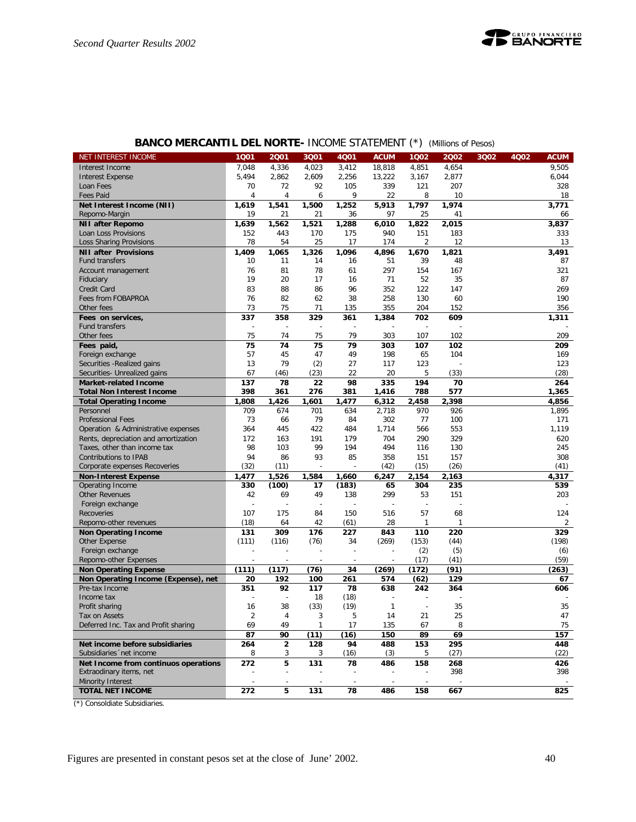# **BANCO MERCANTIL DEL NORTE-** INCOME STATEMENT (\*) *(Millions of Pesos)*

| NET INTEREST INCOME                          | 1001           | 2001                     | 3Q01           | 4Q01                     | <b>ACUM</b>              | 1Q02                     | 2002   | 3Q02 | 4Q02 | <b>ACUM</b> |
|----------------------------------------------|----------------|--------------------------|----------------|--------------------------|--------------------------|--------------------------|--------|------|------|-------------|
| Interest Income                              | 7,048          | 4,336                    | 4,023          | 3.412                    | 18.818                   | 4,851                    | 4,654  |      |      | 9,505       |
| <b>Interest Expense</b>                      | 5,494          | 2.862                    | 2,609          | 2.256                    | 13,222                   | 3,167                    | 2,877  |      |      | 6,044       |
| Loan Fees                                    | 70             | 72                       | 92             | 105                      | 339                      | 121                      | 207    |      |      | 328         |
| <b>Fees Paid</b>                             | 4              | $\overline{4}$           | 6              | 9                        | 22                       | 8                        | 10     |      |      | 18          |
| Net Interest Income (NII)                    | 1.619          | 1,541                    | 1,500          | 1,252                    | 5,913                    | 1,797                    | 1,974  |      |      | 3,771       |
| Repomo-Margin                                | 19             | 21                       | 21             | 36                       | 97                       | 25                       | 41     |      |      | 66          |
| <b>NII after Repomo</b>                      | 1,639          | 1,562                    | 1,521          | 1,288                    | 6,010                    | 1,822                    | 2,015  |      |      | 3,837       |
| Loan Loss Provisions                         | 152            | 443                      | 170            | 175                      | 940                      | 151                      | 183    |      |      | 333         |
| Loss Sharing Provisions                      | 78             | 54                       | 25             | 17                       | 174                      | $\overline{2}$           | 12     |      |      | 13          |
| <b>NII after Provisions</b>                  | 1,409          | 1,065                    | 1,326          | 1,096                    | 4,896                    | 1.670                    | 1,821  |      |      | 3,491       |
| <b>Fund transfers</b>                        | 10             | 11                       | 14             | 16                       | 51                       | 39                       | 48     |      |      | 87          |
| Account management                           | 76             | 81                       | 78             | 61                       | 297                      | 154                      | 167    |      |      | 321         |
| Fiduciary                                    | 19             | 20                       | 17             | 16                       | 71                       | 52                       | 35     |      |      | 87          |
| Credit Card                                  | 83             | 88                       | 86             | 96                       | 352                      | 122                      | 147    |      |      | 269         |
| Fees from FOBAPROA                           | 76             | 82                       | 62             | 38                       | 258                      | 130                      | 60     |      |      | 190         |
| Other fees                                   | 73             | 75                       | 71             | 135                      | 355                      | 204                      | 152    |      |      | 356         |
| Fees on services,                            | 337            | 358                      | 329            | 361                      | 1,384                    | 702                      | 609    |      |      | 1,311       |
| Fund transfers                               | ÷              | $\overline{a}$           | $\overline{a}$ |                          |                          |                          |        |      |      |             |
| Other fees                                   | 75             | 74                       | 75             | 79                       | 303                      | 107                      | 102    |      |      | 209         |
| Fees paid,                                   | 75             | 74                       | 75             | 79                       | 303                      | 107                      | 102    |      |      | 209         |
| Foreign exchange                             | 57             | 45                       | 47             | 49                       | 198                      | 65                       | 104    |      |      | 169         |
| Securities - Realized gains                  | 13             | 79                       | (2)            | 27                       | 117                      | 123                      |        |      |      | 123         |
| Securities- Unrealized gains                 | 67             | (46)                     | (23)           | 22                       | 20                       | 5                        | (33)   |      |      | (28)        |
| <b>Market-related Income</b>                 | 137            | 78                       | 22             | 98                       | 335                      | 194                      | 70     |      |      | 264         |
| <b>Total Non Interest Income</b>             | 398            | 361                      | 276            | 381                      | 1,416                    | 788                      | 577    |      |      | 1,365       |
| <b>Total Operating Income</b>                | 1,808          | 1,426                    | 1,601          | 1.477                    | 6,312                    | 2,458                    | 2,398  |      |      | 4,856       |
| Personnel                                    | 709            | 674                      | 701            | 634                      | 2,718                    | 970                      | 926    |      |      | 1,895       |
| <b>Professional Fees</b>                     | 73             | 66                       | 79             | 84                       | 302                      | 77                       | 100    |      |      | 171         |
| Operation & Administrative expenses          | 364            | 445                      | 422            | 484                      | 1,714                    | 566                      | 553    |      |      | 1,119       |
| Rents, depreciation and amortization         | 172            | 163                      | 191            | 179                      | 704                      | 290                      | 329    |      |      | 620         |
| Taxes, other than income tax                 | 98             | 103                      | 99             | 194                      | 494                      | 116                      | 130    |      |      | 245         |
| Contributions to IPAB                        | 94             | 86                       | 93             | 85                       | 358                      | 151                      | 157    |      |      | 308         |
| Corporate expenses Recoveries                | (32)           | (11)                     | $\overline{a}$ | $\overline{a}$           | (42)                     | (15)                     | (26)   |      |      | (41)        |
| <b>Non-Interest Expense</b>                  | 1,477          | 1,526                    | 1,584          | 1,660                    | 6,247                    | 2,154                    | 2,163  |      |      | 4,317       |
| Operating Income                             | 330            | (100)                    | 17             | (183)                    | 65                       | 304                      | 235    |      |      | 539         |
| <b>Other Revenues</b>                        | 42             | 69                       | 49             | 138                      | 299                      | 53                       | 151    |      |      | 203         |
| Foreign exchange                             | $\overline{a}$ |                          | ÷,             | $\overline{\phantom{a}}$ |                          | $\overline{\phantom{a}}$ |        |      |      |             |
| Recoveries                                   | 107            | 175                      | 84             | 150                      | 516                      | 57                       | 68     |      |      | 124         |
| Repomo-other revenues                        | (18)           | 64                       | 42             | (61)                     | 28                       | $\mathbf{1}$             | 1      |      |      | 2           |
| <b>Non Operating Income</b>                  | 131            | 309                      | 176            | 227                      | 843                      | 110                      | 220    |      |      | 329         |
| Other Expense                                | (111)          | (116)                    | (76)           | 34                       | (269)                    | (153)                    | (44)   |      |      | (198)       |
| Foreign exchange                             | ÷              |                          | $\overline{a}$ | $\overline{\phantom{a}}$ | $\overline{a}$           | (2)                      | (5)    |      |      | (6)         |
| Repomo-other Expenses                        | ÷              | $\overline{\phantom{a}}$ | ÷              | $\overline{\phantom{a}}$ | $\overline{\phantom{a}}$ | (17)                     | (41)   |      |      | (59)        |
| <b>Non Operating Expense</b>                 | (111)          | (117)                    | (76)           | 34                       | (269)                    | (172)                    | (91)   |      |      | (263)       |
| Non Operating Income (Expense), net          | 20             | 192                      | 100            | 261                      | 574                      | (62)                     | 129    |      |      | 67          |
| Pre-tax Income                               | 351            | 92                       | 117            | 78                       | 638                      | 242                      | 364    |      |      | 606         |
| Income tax                                   |                | ÷,                       | 18             | (18)                     |                          |                          |        |      |      |             |
| Profit sharing                               | 16             | 38                       | (33)           | (19)                     | $\mathbf{1}$             | $\overline{a}$           | 35     |      |      | 35          |
| Tax on Assets                                | 2              |                          | 3              | b                        | 14                       | 21                       | 25     |      |      | 47          |
| Deferred Inc. Tax and Profit sharing         | 69             | 49                       | $\mathbf{1}$   | 17                       | 135                      | 67                       | 8      |      |      | 75          |
|                                              | 87             | 90                       | (11)           | (16)                     | 150                      | 89                       | 69     |      |      | 157         |
| Net income before subsidiaries               | 264            | $\overline{2}$           | 128            | 94                       | 488                      | 153                      | 295    |      |      | 448         |
| Subsidiaries 'net income                     | 8              | 3                        | 3              | (16)                     | (3)                      | 5                        | (27)   |      |      | (22)        |
| Net Income from continuos operations         | 272            | 5                        | 131            | 78                       | 486                      | 158                      | 268    |      |      | 426         |
| Extraodinary items, net<br>Minority Interest |                |                          |                |                          |                          |                          | 398    |      |      | 398         |
|                                              |                |                          |                |                          |                          |                          | $\sim$ |      |      |             |
| <b>TOTAL NET INCOME</b>                      | 272            | 5                        | 131            | 78                       | 486                      | 158                      | 667    |      |      | 825         |

(\*) Consoldiate Subsidiaries.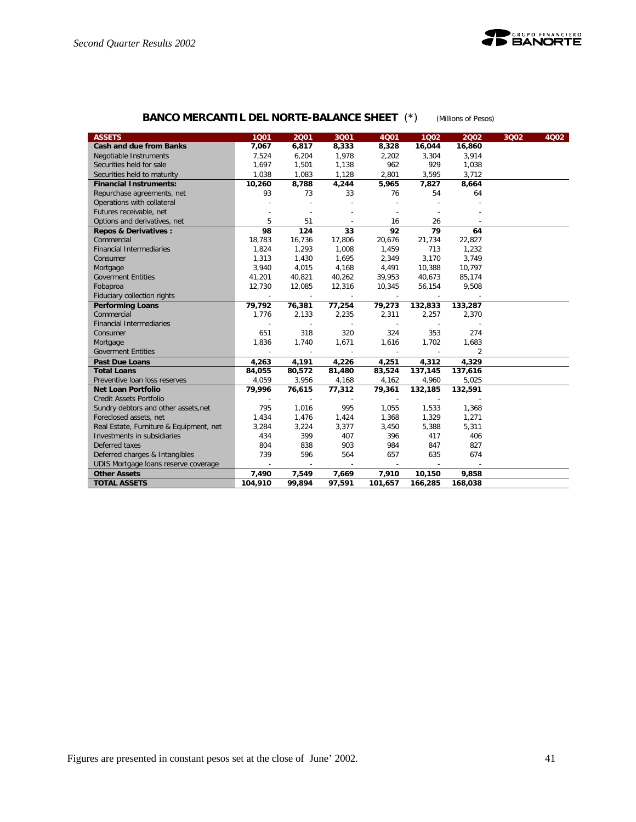

# **BANCO MERCANTIL DEL NORTE-BALANCE SHEET** (\*) *(Millions of Pesos)*

| <b>ASSETS</b>                           | 1001                     | 2001                     | 3Q01                     | 4Q01                     | 1002                     | 2002    | 3Q02 | 4002 |
|-----------------------------------------|--------------------------|--------------------------|--------------------------|--------------------------|--------------------------|---------|------|------|
| <b>Cash and due from Banks</b>          | 7,067                    | 6,817                    | 8,333                    | 8,328                    | 16,044                   | 16,860  |      |      |
| Negotiable Instruments                  | 7,524                    | 6,204                    | 1,978                    | 2,202                    | 3,304                    | 3,914   |      |      |
| Securities held for sale                | 1,697                    | 1,501                    | 1,138                    | 962                      | 929                      | 1,038   |      |      |
| Securities held to maturity             | 1,038                    | 1,083                    | 1,128                    | 2,801                    | 3,595                    | 3,712   |      |      |
| <b>Financial Instruments:</b>           | 10,260                   | 8,788                    | 4,244                    | 5,965                    | 7,827                    | 8,664   |      |      |
| Repurchase agreements, net              | 93                       | 73                       | 33                       | 76                       | 54                       | 64      |      |      |
| Operations with collateral              |                          |                          |                          |                          |                          |         |      |      |
| Futures receivable, net                 |                          |                          |                          |                          |                          |         |      |      |
| Options and derivatives, net            | 5                        | 51                       |                          | 16                       | 26                       |         |      |      |
| <b>Repos &amp; Derivatives:</b>         | 98                       | 124                      | 33                       | 92                       | 79                       | 64      |      |      |
| Commercial                              | 18,783                   | 16,736                   | 17,806                   | 20,676                   | 21,734                   | 22,827  |      |      |
| <b>Financial Intermediaries</b>         | 1,824                    | 1,293                    | 1,008                    | 1,459                    | 713                      | 1,232   |      |      |
| Consumer                                | 1,313                    | 1,430                    | 1,695                    | 2,349                    | 3,170                    | 3,749   |      |      |
| Mortgage                                | 3,940                    | 4,015                    | 4,168                    | 4,491                    | 10,388                   | 10,797  |      |      |
| <b>Goverment Entities</b>               | 41,201                   | 40,821                   | 40,262                   | 39,953                   | 40,673                   | 85,174  |      |      |
| Fobaproa                                | 12,730                   | 12,085                   | 12,316                   | 10,345                   | 56,154                   | 9,508   |      |      |
| Fiduciary collection rights             | $\sim$                   | $\sim$                   | $\sim$                   | $\sim$                   | $\sim$                   |         |      |      |
| <b>Performing Loans</b>                 | 79,792                   | 76,381                   | 77,254                   | 79,273                   | 132,833                  | 133,287 |      |      |
| Commercial                              | 1,776                    | 2,133                    | 2,235                    | 2,311                    | 2,257                    | 2,370   |      |      |
| <b>Financial Intermediaries</b>         |                          |                          | $\overline{\phantom{a}}$ |                          |                          |         |      |      |
| Consumer                                | 651                      | 318                      | 320                      | 324                      | 353                      | 274     |      |      |
| Mortgage                                | 1,836                    | 1,740                    | 1,671                    | 1,616                    | 1,702                    | 1,683   |      |      |
| <b>Goverment Entities</b>               |                          |                          |                          |                          |                          | 2       |      |      |
| <b>Past Due Loans</b>                   | 4.263                    | 4,191                    | 4,226                    | 4,251                    | 4,312                    | 4,329   |      |      |
| <b>Total Loans</b>                      | 84,055                   | 80,572                   | 81,480                   | 83,524                   | 137,145                  | 137,616 |      |      |
| Preventive Ioan loss reserves           | 4,059                    | 3,956                    | 4,168                    | 4,162                    | 4,960                    | 5,025   |      |      |
| <b>Net Loan Portfolio</b>               | 79,996                   | 76,615                   | 77,312                   | 79,361                   | 132,185                  | 132,591 |      |      |
| <b>Credit Assets Portfolio</b>          |                          | $\overline{\phantom{a}}$ | $\overline{\phantom{a}}$ | $\overline{\phantom{a}}$ | $\overline{\phantom{a}}$ |         |      |      |
| Sundry debtors and other assets, net    | 795                      | 1,016                    | 995                      | 1,055                    | 1,533                    | 1,368   |      |      |
| Foreclosed assets, net                  | 1,434                    | 1,476                    | 1,424                    | 1,368                    | 1,329                    | 1,271   |      |      |
| Real Estate, Furniture & Equipment, net | 3,284                    | 3,224                    | 3,377                    | 3,450                    | 5,388                    | 5,311   |      |      |
| Investments in subsidiaries             | 434                      | 399                      | 407                      | 396                      | 417                      | 406     |      |      |
| Deferred taxes                          | 804                      | 838                      | 903                      | 984                      | 847                      | 827     |      |      |
| Deferred charges & Intangibles          | 739                      | 596                      | 564                      | 657                      | 635                      | 674     |      |      |
| UDIS Mortgage loans reserve coverage    | $\overline{\phantom{a}}$ | $\overline{\phantom{a}}$ | $\sim$                   | $\sim$                   | $\overline{\phantom{a}}$ |         |      |      |
| <b>Other Assets</b>                     | 7,490                    | 7,549                    | 7,669                    | 7,910                    | 10,150                   | 9,858   |      |      |
| <b>TOTAL ASSETS</b>                     | 104,910                  | 99,894                   | 97,591                   | 101,657                  | 166,285                  | 168,038 |      |      |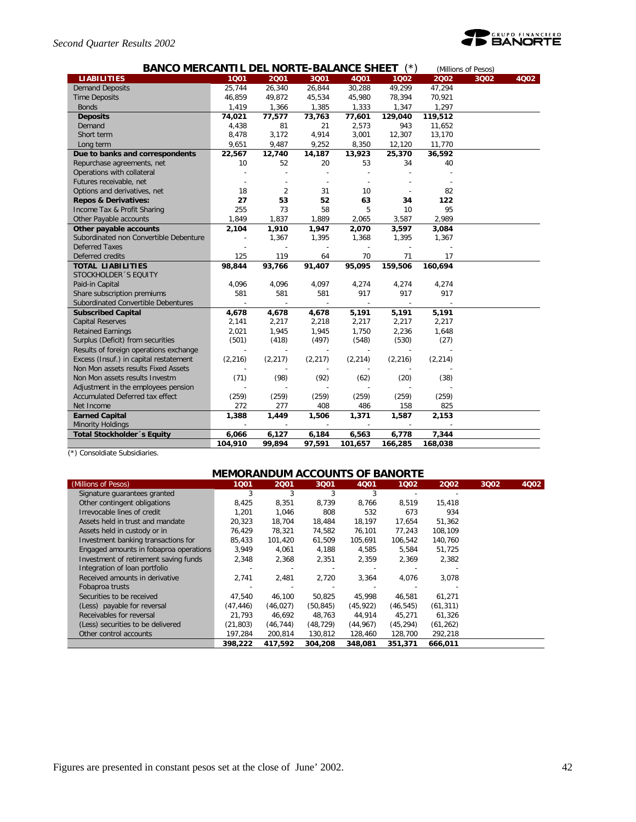### *Second Quarter Results 2002*



| <b>BANCO MERCANTIL DEL NORTE-BALANCE SHEET</b><br>(Millions of Pesos) |          |          |                          |                          |          |          |      |      |  |
|-----------------------------------------------------------------------|----------|----------|--------------------------|--------------------------|----------|----------|------|------|--|
| <b>LIABILITIES</b>                                                    | 1001     | 2001     | 3001                     | 4001                     | 1002     | 2002     | 3Q02 | 4002 |  |
| <b>Demand Deposits</b>                                                | 25,744   | 26,340   | 26,844                   | 30,288                   | 49,299   | 47,294   |      |      |  |
| <b>Time Deposits</b>                                                  | 46,859   | 49,872   | 45,534                   | 45,980                   | 78,394   | 70,921   |      |      |  |
| <b>Bonds</b>                                                          | 1,419    | 1,366    | 1,385                    | 1,333                    | 1,347    | 1,297    |      |      |  |
| <b>Deposits</b>                                                       | 74,021   | 77,577   | 73,763                   | 77,601                   | 129,040  | 119,512  |      |      |  |
| Demand                                                                | 4,438    | 81       | 21                       | 2,573                    | 943      | 11,652   |      |      |  |
| Short term                                                            | 8,478    | 3,172    | 4,914                    | 3,001                    | 12,307   | 13,170   |      |      |  |
| Long term                                                             | 9,651    | 9,487    | 9,252                    | 8,350                    | 12,120   | 11,770   |      |      |  |
| Due to banks and correspondents                                       | 22,567   | 12,740   | 14,187                   | 13,923                   | 25,370   | 36,592   |      |      |  |
| Repurchase agreements, net                                            | 10       | 52       | 20                       | 53                       | 34       | 40       |      |      |  |
| Operations with collateral                                            |          |          |                          |                          |          |          |      |      |  |
| Futures receivable, net                                               |          |          |                          |                          |          |          |      |      |  |
| Options and derivatives, net                                          | 18       | 2        | 31                       | 10                       |          | 82       |      |      |  |
| <b>Repos &amp; Derivatives:</b>                                       | 27       | 53       | 52                       | 63                       | 34       | 122      |      |      |  |
| Income Tax & Profit Sharing                                           | 255      | 73       | 58                       | 5                        | 10       | 95       |      |      |  |
| Other Payable accounts                                                | 1,849    | 1,837    | 1,889                    | 2,065                    | 3,587    | 2,989    |      |      |  |
| Other payable accounts                                                | 2,104    | 1,910    | 1,947                    | 2,070                    | 3,597    | 3,084    |      |      |  |
| Subordinated non Convertible Debenture                                |          | 1,367    | 1,395                    | 1,368                    | 1,395    | 1,367    |      |      |  |
| <b>Deferred Taxes</b>                                                 |          |          |                          |                          |          |          |      |      |  |
| Deferred credits                                                      | 125      | 119      | 64                       | 70                       | 71       | 17       |      |      |  |
| <b>TOTAL LIABILITIES</b>                                              | 98,844   | 93,766   | 91,407                   | 95,095                   | 159,506  | 160,694  |      |      |  |
| STOCKHOLDER 'S EQUITY                                                 |          |          |                          |                          |          |          |      |      |  |
| Paid-in Capital                                                       | 4,096    | 4,096    | 4,097                    | 4,274                    | 4,274    | 4,274    |      |      |  |
| Share subscription premiums                                           | 581      | 581      | 581                      | 917                      | 917      | 917      |      |      |  |
| Subordinated Convertible Debentures                                   |          |          |                          |                          |          |          |      |      |  |
| <b>Subscribed Capital</b>                                             | 4,678    | 4,678    | 4,678                    | 5,191                    | 5,191    | 5,191    |      |      |  |
| <b>Capital Reserves</b>                                               | 2,141    | 2,217    | 2,218                    | 2,217                    | 2,217    | 2,217    |      |      |  |
| <b>Retained Earnings</b>                                              | 2,021    | 1,945    | 1,945                    | 1,750                    | 2,236    | 1,648    |      |      |  |
| Surplus (Deficit) from securities                                     | (501)    | (418)    | (497)                    | (548)                    | (530)    | (27)     |      |      |  |
| Results of foreign operations exchange                                |          |          |                          |                          |          |          |      |      |  |
| Excess (Insuf.) in capital restatement                                | (2, 216) | (2, 217) | (2, 217)                 | (2, 214)                 | (2, 216) | (2, 214) |      |      |  |
| Non Mon assets results Fixed Assets                                   |          |          |                          |                          |          |          |      |      |  |
| Non Mon assets results Investm                                        | (71)     | (98)     | (92)                     | (62)                     | (20)     | (38)     |      |      |  |
| Adjustment in the employees pension                                   |          |          |                          |                          |          |          |      |      |  |
| Accumulated Deferred tax effect                                       | (259)    | (259)    | (259)                    | (259)                    | (259)    | (259)    |      |      |  |
| Net Income                                                            | 272      | 277      | 408                      | 486                      | 158      | 825      |      |      |  |
| <b>Earned Capital</b>                                                 | 1,388    | 1,449    | 1,506                    | 1,371                    | 1,587    | 2,153    |      |      |  |
| <b>Minority Holdings</b>                                              |          |          | $\overline{\phantom{a}}$ | $\overline{\phantom{a}}$ |          |          |      |      |  |
| Total Stockholder 's Equity                                           | 6,066    | 6,127    | 6,184                    | 6,563                    | 6,778    | 7,344    |      |      |  |
|                                                                       | 104,910  | 99,894   | 97,591                   | 101,657                  | 166,285  | 168,038  |      |      |  |

(\*) Consoldiate Subsidiaries.

# **MEMORANDUM ACCOUNTS OF BANORTE**

| (Millions of Pesos)                    | 1001      | 2001      | 3Q01      | 4Q01      | 1002      | 2002      | 3Q02 | 4Q02 |
|----------------------------------------|-----------|-----------|-----------|-----------|-----------|-----------|------|------|
| Signature quarantees granted           | 3         | 3         | 3         | 3         |           |           |      |      |
| Other contingent obligations           | 8,425     | 8,351     | 8,739     | 8,766     | 8,519     | 15,418    |      |      |
| Irrevocable lines of credit            | 1.201     | 1.046     | 808       | 532       | 673       | 934       |      |      |
| Assets held in trust and mandate       | 20,323    | 18,704    | 18,484    | 18,197    | 17,654    | 51,362    |      |      |
| Assets held in custody or in           | 76.429    | 78,321    | 74,582    | 76,101    | 77,243    | 108,109   |      |      |
| Investment banking transactions for    | 85.433    | 101.420   | 61,509    | 105,691   | 106,542   | 140,760   |      |      |
| Engaged amounts in fobaproa operations | 3,949     | 4,061     | 4,188     | 4,585     | 5,584     | 51,725    |      |      |
| Investment of retirement saving funds  | 2,348     | 2,368     | 2,351     | 2,359     | 2,369     | 2.382     |      |      |
| Integration of loan portfolio          |           |           |           |           |           |           |      |      |
| Received amounts in derivative         | 2,741     | 2,481     | 2,720     | 3,364     | 4,076     | 3,078     |      |      |
| Fobaproa trusts                        |           |           |           |           |           |           |      |      |
| Securities to be received              | 47,540    | 46.100    | 50.825    | 45,998    | 46,581    | 61,271    |      |      |
| (Less) payable for reversal            | (47, 446) | (46, 027) | (50, 845) | (45, 922) | (46, 545) | (61, 311) |      |      |
| Receivables for reversal               | 21,793    | 46,692    | 48,763    | 44,914    | 45,271    | 61,326    |      |      |
| (Less) securities to be delivered      | (21, 803) | (46, 744) | (48, 729) | (44, 967) | (45, 294) | (61, 262) |      |      |
| Other control accounts                 | 197,284   | 200,814   | 130,812   | 128,460   | 128,700   | 292,218   |      |      |
|                                        | 398,222   | 417,592   | 304,208   | 348,081   | 351,371   | 666,011   |      |      |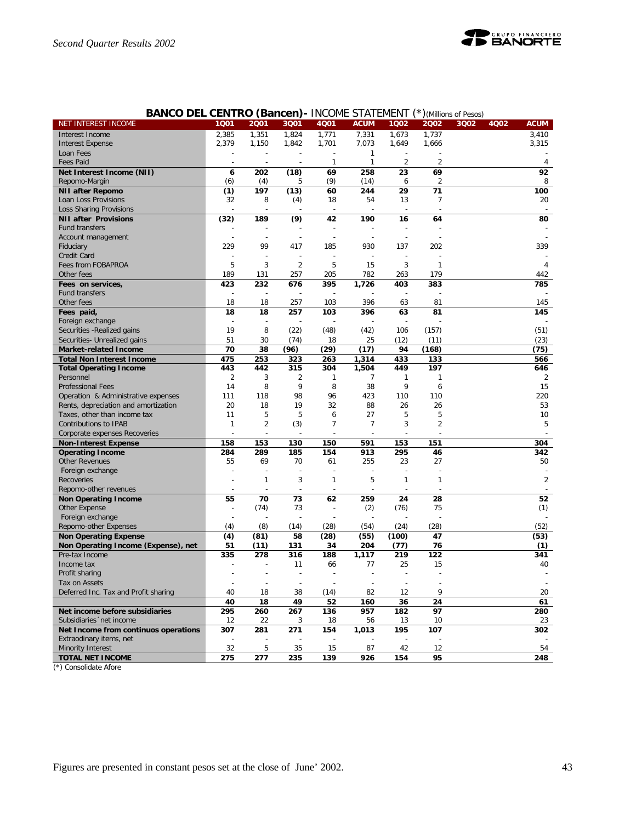

|                                      |                          | וישש (ייט                | vv. 1          | ……∪∪           | <b>JIMILIVILIVI</b> |                |                | $J$ ( <i>IVIIIIIUI</i> IS ULTESUS) |                |
|--------------------------------------|--------------------------|--------------------------|----------------|----------------|---------------------|----------------|----------------|------------------------------------|----------------|
| NET INTEREST INCOME                  | 1001                     | 2001                     | 3Q01           | 4Q01           | <b>ACUM</b>         | 1Q02           | 2002           | 3Q02<br>4Q02                       | <b>ACUM</b>    |
| Interest Income                      | 2,385                    | 1,351                    | 1,824          | 1,771          | 7,331               | 1,673          | 1,737          |                                    | 3.410          |
| <b>Interest Expense</b>              | 2,379                    | 1,150                    | 1,842          | 1,701          | 7,073               | 1,649          | 1,666          |                                    | 3,315          |
| Loan Fees                            |                          |                          |                |                | 1                   |                |                |                                    |                |
| <b>Fees Paid</b>                     | $\overline{\phantom{a}}$ |                          |                | 1              | $\mathbf{1}$        | $\overline{2}$ | $\overline{2}$ |                                    | 4              |
| Net Interest Income (NII)            | 6                        | 202                      | (18)           | 69             | 258                 | 23             | 69             |                                    | 92             |
| Repomo-Margin                        | (6)                      | (4)                      | 5              | (9)            | (14)                | 6              | $\overline{2}$ |                                    | 8              |
|                                      |                          |                          |                |                |                     |                |                |                                    |                |
| <b>NII after Repomo</b>              | (1)                      | 197                      | (13)           | 60             | 244                 | 29             | 71             |                                    | 100            |
| Loan Loss Provisions                 | 32                       | 8                        | (4)            | 18             | 54                  | 13             | 7              |                                    | 20             |
| Loss Sharing Provisions              |                          | $\overline{\phantom{a}}$ |                | $\overline{a}$ |                     | $\sim$         |                |                                    |                |
| <b>NII after Provisions</b>          | (32)                     | 189                      | (9)            | 42             | 190                 | 16             | 64             |                                    | 80             |
| <b>Fund transfers</b>                |                          |                          |                | $\overline{a}$ |                     |                |                |                                    |                |
| Account management                   |                          |                          |                |                |                     |                |                |                                    |                |
| Fiduciary                            | 229                      | 99                       | 417            | 185            | 930                 | 137            | 202            |                                    | 339            |
| Credit Card                          |                          |                          |                | Ĩ.             |                     |                |                |                                    |                |
| Fees from FOBAPROA                   | 5                        | 3                        | 2              | 5              | 15                  | 3              | $\mathbf 1$    |                                    | 4              |
| Other fees                           | 189                      | 131                      | 257            | 205            | 782                 | 263            | 179            |                                    | 442            |
|                                      |                          | 232                      |                | 395            |                     |                |                |                                    | 785            |
| Fees on services,                    | 423                      |                          | 676            |                | 1,726               | 403            | 383            |                                    |                |
| Fund transfers                       | ł,                       | $\overline{a}$           |                |                |                     |                |                |                                    |                |
| Other fees                           | 18                       | 18                       | 257            | 103            | 396                 | 63             | 81             |                                    | 145            |
| Fees paid,                           | 18                       | 18                       | 257            | 103            | 396                 | 63             | 81             |                                    | 145            |
| Foreign exchange                     | $\overline{\phantom{a}}$ |                          |                |                |                     |                |                |                                    |                |
| Securities - Realized gains          | 19                       | 8                        | (22)           | (48)           | (42)                | 106            | (157)          |                                    | (51)           |
| Securities- Unrealized gains         | 51                       | 30                       | (74)           | 18             | 25                  | (12)           | (11)           |                                    | (23)           |
| <b>Market-related Income</b>         | 70                       | 38                       | (96)           | (29)           | (17)                | 94             | (168)          |                                    | (75)           |
| <b>Total Non Interest Income</b>     | 475                      | 253                      | 323            | 263            | 1,314               | 433            | 133            |                                    | 566            |
| <b>Total Operating Income</b>        | 443                      | 442                      | 315            | 304            | 1,504               | 449            | 197            |                                    | 646            |
| Personnel                            | $\overline{2}$           | 3                        | 2              | 1              |                     |                | 1              |                                    | 2              |
|                                      |                          |                          |                |                | 7                   | 1              |                |                                    |                |
| <b>Professional Fees</b>             | 14                       | 8                        | 9              | 8              | 38                  | 9              | 6              |                                    | 15             |
| Operation & Administrative expenses  | 111                      | 118                      | 98             | 96             | 423                 | 110            | 110            |                                    | 220            |
| Rents, depreciation and amortization | 20                       | 18                       | 19             | 32             | 88                  | 26             | 26             |                                    | 53             |
| Taxes, other than income tax         | 11                       | 5                        | 5              | 6              | 27                  | 5              | 5              |                                    | 10             |
| <b>Contributions to IPAB</b>         | $\mathbf{1}$             | $\overline{2}$           | (3)            | 7              | $\overline{7}$      | 3              | 2              |                                    | 5              |
| Corporate expenses Recoveries        |                          |                          |                |                |                     |                |                |                                    |                |
| <b>Non-Interest Expense</b>          | 158                      | 153                      | 130            | 150            | 591                 | 153            | 151            |                                    | 304            |
| <b>Operating Income</b>              | 284                      | 289                      | 185            | 154            | 913                 | 295            | 46             |                                    | 342            |
| <b>Other Revenues</b>                | 55                       | 69                       | 70             | 61             | 255                 | 23             | 27             |                                    | 50             |
| Foreign exchange                     |                          |                          |                |                |                     |                |                |                                    |                |
| Recoveries                           |                          | $\mathbf{1}$             | 3              | 1              | 5                   | 1              | $\mathbf{1}$   |                                    | $\overline{2}$ |
|                                      |                          |                          |                |                |                     |                |                |                                    |                |
| Repomo-other revenues                | $\overline{\phantom{a}}$ | $\overline{a}$           | $\overline{a}$ |                |                     | $\overline{a}$ |                |                                    |                |
| <b>Non Operating Income</b>          | 55                       | 70                       | 73             | 62             | 259                 | 24             | 28             |                                    | 52             |
| Other Expense                        | $\overline{a}$           | (74)                     | 73             | $\overline{a}$ | (2)                 | (76)           | 75             |                                    | (1)            |
| Foreign exchange                     | Ĩ.                       |                          |                |                |                     |                |                |                                    |                |
| Repomo-other Expenses                | (4)                      | (8)                      | (14)           | (28)           | (54)                | (24)           | (28)           |                                    | (52)           |
| <b>Non Operating Expense</b>         | (4)                      | (81)                     | 58             | (28)           | (55)                | (100)          | 47             |                                    | (53)           |
| Non Operating Income (Expense), net  | 51                       | (11)                     | 131            | 34             | 204                 | (77)           | 76             |                                    | (1)            |
| Pre-tax Income                       | 335                      | 278                      | 316            | 188            | 1,117               | 219            | 122            |                                    | 341            |
| Income tax                           |                          |                          | 11             | 66             | 77                  | 25             | 15             |                                    | 40             |
| Profit sharing                       |                          |                          | $\overline{a}$ |                |                     |                |                |                                    |                |
|                                      |                          |                          |                |                |                     |                |                |                                    |                |
| lax on Assets                        |                          |                          |                |                |                     |                |                |                                    |                |
| Deferred Inc. Tax and Profit sharing | 40                       | 18                       | 38             | (14)           | 82                  | 12             | 9              |                                    | 20             |
|                                      | 40                       | 18                       | 49             | 52             | 160                 | 36             | 24             |                                    | 61             |
| Net income before subsidiaries       | 295                      | 260                      | 267            | 136            | 957                 | 182            | 97             |                                    | 280            |
| Subsidiaries 'net income             | 12                       | 22                       | 3              | 18             | 56                  | 13             | 10             |                                    | 23             |
| Net Income from continuos operations | 307                      | 281                      | 271            | 154            | 1,013               | 195            | 107            |                                    | 302            |
| Extraodinary items, net              |                          |                          |                |                |                     |                |                |                                    |                |
| Minority Interest                    | 32                       | 5                        | 35             | 15             | 87                  | 42             | 12             |                                    | 54             |
| <b>TOTAL NET INCOME</b>              | 275                      | 277                      | 235            | 139            | 926                 | 154            | 95             |                                    | 248            |
|                                      |                          |                          |                |                |                     |                |                |                                    |                |

## **BANCO DEL CENTRO (Bancen)-** INCOME STATEMENT (\*)*(Millions of Pesos)*

(\*) Consolidate Afore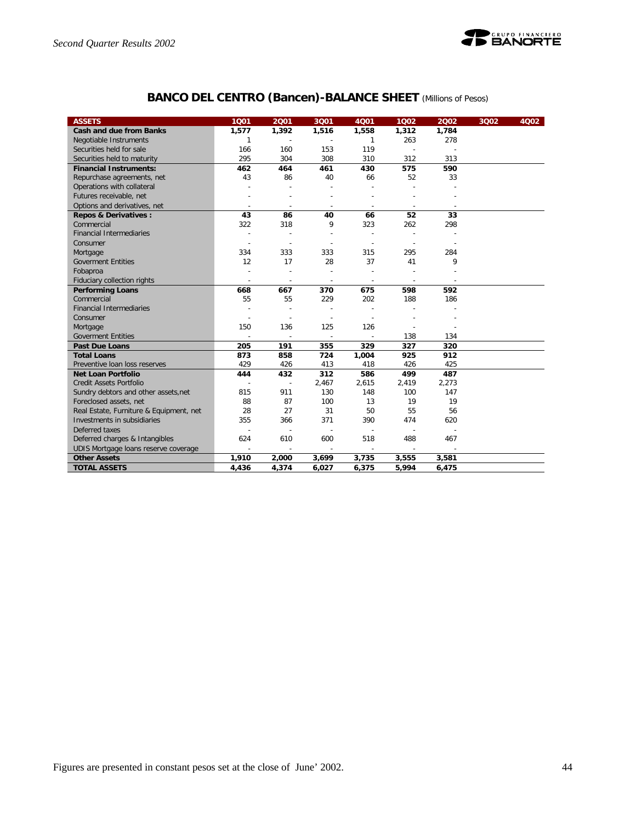

# **BANCO DEL CENTRO (Bancen)-BALANCE SHEET** *(Millions of Pesos)*

| <b>ASSETS</b>                           | 1001           | 2001           | 3001           | 4001                     | 1002           | 2002  | 3Q02 | 4Q02 |
|-----------------------------------------|----------------|----------------|----------------|--------------------------|----------------|-------|------|------|
| <b>Cash and due from Banks</b>          | 1,577          | 1,392          | 1,516          | 1,558                    | 1,312          | 1,784 |      |      |
| Negotiable Instruments                  | 1              |                |                | 1                        | 263            | 278   |      |      |
| Securities held for sale                | 166            | 160            | 153            | 119                      |                |       |      |      |
| Securities held to maturity             | 295            | 304            | 308            | 310                      | 312            | 313   |      |      |
| <b>Financial Instruments:</b>           | 462            | 464            | 461            | 430                      | 575            | 590   |      |      |
| Repurchase agreements, net              | 43             | 86             | 40             | 66                       | 52             | 33    |      |      |
| Operations with collateral              |                |                |                |                          |                |       |      |      |
| Futures receivable, net                 |                |                |                |                          |                |       |      |      |
| Options and derivatives, net            |                |                | $\overline{a}$ |                          |                |       |      |      |
| <b>Repos &amp; Derivatives:</b>         | 43             | 86             | 40             | 66                       | 52             | 33    |      |      |
| Commercial                              | 322            | 318            | 9              | 323                      | 262            | 298   |      |      |
| <b>Financial Intermediaries</b>         |                |                |                | $\overline{\phantom{a}}$ |                |       |      |      |
| Consumer                                |                |                |                |                          |                |       |      |      |
| Mortgage                                | 334            | 333            | 333            | 315                      | 295            | 284   |      |      |
| <b>Goverment Entities</b>               | 12             | 17             | 28             | 37                       | 41             | 9     |      |      |
| Fobaproa                                |                |                |                |                          |                |       |      |      |
| Fiduciary collection rights             | $\overline{a}$ | $\overline{a}$ | $\sim$         | $\overline{a}$           | $\overline{a}$ |       |      |      |
| <b>Performing Loans</b>                 | 668            | 667            | 370            | 675                      | 598            | 592   |      |      |
| Commercial                              | 55             | 55             | 229            | 202                      | 188            | 186   |      |      |
| <b>Financial Intermediaries</b>         |                |                |                |                          |                |       |      |      |
| Consumer                                |                |                |                |                          |                |       |      |      |
| Mortgage                                | 150            | 136            | 125            | 126                      |                |       |      |      |
| <b>Goverment Entities</b>               | $\overline{a}$ | $\sim$         | $\overline{a}$ | $\overline{a}$           | 138            | 134   |      |      |
| <b>Past Due Loans</b>                   | 205            | 191            | 355            | 329                      | 327            | 320   |      |      |
| <b>Total Loans</b>                      | 873            | 858            | 724            | 1,004                    | 925            | 912   |      |      |
| Preventive Ioan loss reserves           | 429            | 426            | 413            | 418                      | 426            | 425   |      |      |
| <b>Net Loan Portfolio</b>               | 444            | 432            | 312            | 586                      | 499            | 487   |      |      |
| <b>Credit Assets Portfolio</b>          |                | $\overline{a}$ | 2,467          | 2,615                    | 2,419          | 2,273 |      |      |
| Sundry debtors and other assets, net    | 815            | 911            | 130            | 148                      | 100            | 147   |      |      |
| Foreclosed assets, net                  | 88             | 87             | 100            | 13                       | 19             | 19    |      |      |
| Real Estate, Furniture & Equipment, net | 28             | 27             | 31             | 50                       | 55             | 56    |      |      |
| Investments in subsidiaries             | 355            | 366            | 371            | 390                      | 474            | 620   |      |      |
| Deferred taxes                          |                |                |                |                          |                |       |      |      |
| Deferred charges & Intangibles          | 624            | 610            | 600            | 518                      | 488            | 467   |      |      |
| UDIS Mortgage loans reserve coverage    |                |                |                |                          |                |       |      |      |
| <b>Other Assets</b>                     | 1,910          | 2,000          | 3,699          | 3,735                    | 3,555          | 3,581 |      |      |
| <b>TOTAL ASSETS</b>                     | 4,436          | 4,374          | 6,027          | 6,375                    | 5,994          | 6,475 |      |      |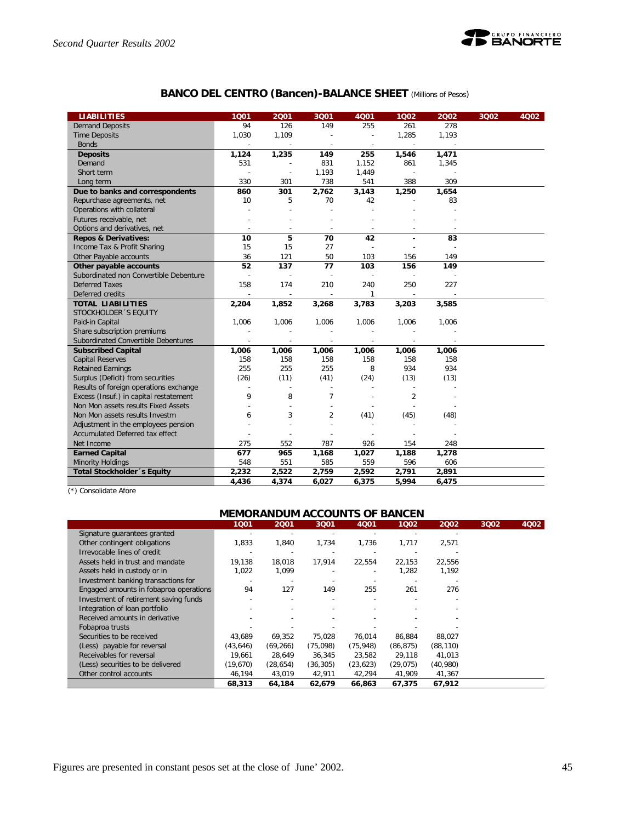

# **BANCO DEL CENTRO (Bancen)-BALANCE SHEET** *(Millions of Pesos)*

| <b>LIABILITIES</b>                     | 1001           | 2001  | 3001                     | 4001           | 1002           | 2002  | 3Q02 | 4002 |
|----------------------------------------|----------------|-------|--------------------------|----------------|----------------|-------|------|------|
| <b>Demand Deposits</b>                 | 94             | 126   | 149                      | 255            | 261            | 278   |      |      |
| <b>Time Deposits</b>                   | 1,030          | 1,109 |                          | $\overline{a}$ | 1,285          | 1,193 |      |      |
| <b>Bonds</b>                           | $\overline{a}$ |       | ÷                        | $\sim$         | $\sim$         |       |      |      |
| <b>Deposits</b>                        | 1,124          | 1,235 | 149                      | 255            | 1,546          | 1,471 |      |      |
| Demand                                 | 531            |       | 831                      | 1,152          | 861            | 1,345 |      |      |
| Short term                             |                |       | 1,193                    | 1,449          | ÷,             |       |      |      |
| Long term                              | 330            | 301   | 738                      | 541            | 388            | 309   |      |      |
| Due to banks and correspondents        | 860            | 301   | 2,762                    | 3,143          | 1,250          | 1,654 |      |      |
| Repurchase agreements, net             | 10             | 5     | 70                       | 42             |                | 83    |      |      |
| Operations with collateral             |                |       | $\overline{a}$           |                |                |       |      |      |
| Futures receivable, net                |                |       |                          |                |                |       |      |      |
| Options and derivatives, net           |                |       | ÷,                       |                |                |       |      |      |
| <b>Repos &amp; Derivatives:</b>        | 10             | 5     | 70                       | 42             | ٠              | 83    |      |      |
| Income Tax & Profit Sharing            | 15             | 15    | 27                       |                |                |       |      |      |
| Other Payable accounts                 | 36             | 121   | 50                       | 103            | 156            | 149   |      |      |
| Other payable accounts                 | 52             | 137   | 77                       | 103            | 156            | 149   |      |      |
| Subordinated non Convertible Debenture |                |       | $\overline{\phantom{a}}$ |                |                |       |      |      |
| <b>Deferred Taxes</b>                  | 158            | 174   | 210                      | 240            | 250            | 227   |      |      |
| Deferred credits                       |                |       |                          | 1              |                |       |      |      |
| <b>TOTAL LIABILITIES</b>               | 2,204          | 1,852 | 3,268                    | 3,783          | 3,203          | 3,585 |      |      |
| STOCKHOLDER 'S EQUITY                  |                |       |                          |                |                |       |      |      |
| Paid-in Capital                        | 1,006          | 1,006 | 1,006                    | 1,006          | 1,006          | 1,006 |      |      |
| Share subscription premiums            |                |       |                          |                |                |       |      |      |
| Subordinated Convertible Debentures    |                |       | $\overline{\phantom{a}}$ |                |                |       |      |      |
| <b>Subscribed Capital</b>              | 1,006          | 1,006 | 1,006                    | 1,006          | 1,006          | 1,006 |      |      |
| <b>Capital Reserves</b>                | 158            | 158   | 158                      | 158            | 158            | 158   |      |      |
| <b>Retained Earnings</b>               | 255            | 255   | 255                      | 8              | 934            | 934   |      |      |
| Surplus (Deficit) from securities      | (26)           | (11)  | (41)                     | (24)           | (13)           | (13)  |      |      |
| Results of foreign operations exchange |                |       | ÷                        |                | $\sim$         |       |      |      |
| Excess (Insuf.) in capital restatement | 9              | 8     | $\overline{7}$           |                | $\overline{2}$ |       |      |      |
| Non Mon assets results Fixed Assets    |                |       | $\overline{a}$           |                |                |       |      |      |
| Non Mon assets results Investm         | 6              | 3     | $\overline{2}$           | (41)           | (45)           | (48)  |      |      |
| Adjustment in the employees pension    |                |       | $\overline{a}$           |                |                |       |      |      |
| Accumulated Deferred tax effect        |                |       |                          |                |                |       |      |      |
| Net Income                             | 275            | 552   | 787                      | 926            | 154            | 248   |      |      |
| <b>Earned Capital</b>                  | 677            | 965   | 1,168                    | 1,027          | 1,188          | 1,278 |      |      |
| <b>Minority Holdings</b>               | 548            | 551   | 585                      | 559            | 596            | 606   |      |      |
| Total Stockholder 's Equity            | 2,232          | 2,522 | 2,759                    | 2,592          | 2,791          | 2,891 |      |      |
|                                        | 4.436          | 4,374 | 6,027                    | 6,375          | 5,994          | 6.475 |      |      |

(\*) Consolidate Afore

#### **MEMORANDUM ACCOUNTS OF BANCEN**

|                                        | 1001      | 2001      | 3001      | 4001      | 1002      | 2002      | 3002 | 4Q02 |
|----------------------------------------|-----------|-----------|-----------|-----------|-----------|-----------|------|------|
| Signature quarantees granted           |           |           |           |           |           |           |      |      |
| Other contingent obligations           | 1,833     | 1.840     | 1.734     | 1,736     | 1,717     | 2,571     |      |      |
| Irrevocable lines of credit            |           |           |           |           |           |           |      |      |
| Assets held in trust and mandate       | 19,138    | 18,018    | 17,914    | 22,554    | 22,153    | 22,556    |      |      |
| Assets held in custody or in           | 1,022     | 1,099     |           |           | 1,282     | 1,192     |      |      |
| Investment banking transactions for    |           |           |           |           |           |           |      |      |
| Engaged amounts in fobaproa operations | 94        | 127       | 149       | 255       | 261       | 276       |      |      |
| Investment of retirement saving funds  |           |           |           |           |           |           |      |      |
| Integration of loan portfolio          |           |           |           |           |           |           |      |      |
| Received amounts in derivative         |           |           |           |           |           |           |      |      |
| Fobaproa trusts                        |           |           |           |           |           |           |      |      |
| Securities to be received              | 43.689    | 69.352    | 75.028    | 76.014    | 86,884    | 88.027    |      |      |
| (Less) payable for reversal            | (43, 646) | (69, 266) | (75,098)  | (75, 948) | (86, 875) | (88, 110) |      |      |
| Receivables for reversal               | 19.661    | 28,649    | 36,345    | 23,582    | 29,118    | 41,013    |      |      |
| (Less) securities to be delivered      | (19,670)  | (28, 654) | (36, 305) | (23, 623) | (29, 075) | (40,980)  |      |      |
| Other control accounts                 | 46,194    | 43,019    | 42,911    | 42,294    | 41,909    | 41,367    |      |      |
|                                        | 68,313    | 64.184    | 62,679    | 66.863    | 67,375    | 67,912    |      |      |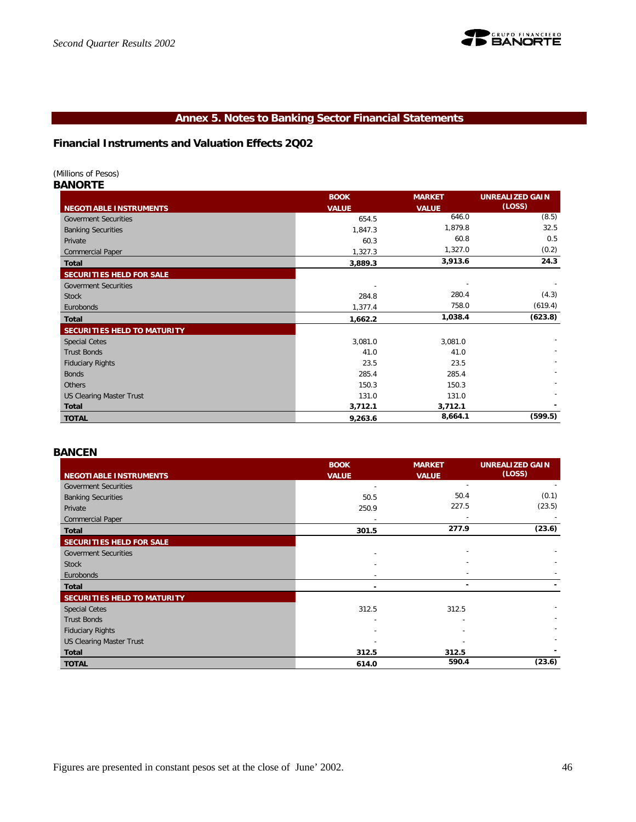

# **Annex 5. Notes to Banking Sector Financial Statements**

# **Financial Instruments and Valuation Effects 2Q02**

#### *(Millions of Pesos)*

*BANORTE*

|                                    | <b>BOOK</b>  | <b>MARKET</b> | <b>UNREALIZED GAIN</b> |
|------------------------------------|--------------|---------------|------------------------|
| <b>NEGOTIABLE INSTRUMENTS</b>      | <b>VALUE</b> | <b>VALUE</b>  | (LOSS)                 |
| <b>Goverment Securities</b>        | 654.5        | 646.0         | (8.5)                  |
| <b>Banking Securities</b>          | 1,847.3      | 1,879.8       | 32.5                   |
| Private                            | 60.3         | 60.8          | 0.5                    |
| <b>Commercial Paper</b>            | 1,327.3      | 1,327.0       | (0.2)                  |
| <b>Total</b>                       | 3,889.3      | 3,913.6       | 24.3                   |
| SECURITIES HELD FOR SALE           |              |               |                        |
| <b>Goverment Securities</b>        |              |               |                        |
| <b>Stock</b>                       | 284.8        | 280.4         | (4.3)                  |
| Eurobonds                          | 1,377.4      | 758.0         | (619.4)                |
| <b>Total</b>                       | 1,662.2      | 1,038.4       | (623.8)                |
| <b>SECURITIES HELD TO MATURITY</b> |              |               |                        |
| <b>Special Cetes</b>               | 3,081.0      | 3,081.0       |                        |
| <b>Trust Bonds</b>                 | 41.0         | 41.0          |                        |
| <b>Fiduciary Rights</b>            | 23.5         | 23.5          |                        |
| <b>Bonds</b>                       | 285.4        | 285.4         |                        |
| <b>Others</b>                      | 150.3        | 150.3         |                        |
| <b>US Clearing Master Trust</b>    | 131.0        | 131.0         |                        |
| <b>Total</b>                       | 3,712.1      | 3,712.1       |                        |
| <b>TOTAL</b>                       | 9,263.6      | 8,664.1       | (599.5)                |

#### *BANCEN*

|                                 | <b>BOOK</b>  | <b>MARKET</b> | <b>UNREALIZED GAIN</b> |
|---------------------------------|--------------|---------------|------------------------|
| <b>NEGOTIABLE INSTRUMENTS</b>   | <b>VALUE</b> | <b>VALUE</b>  | (LOSS)                 |
| <b>Goverment Securities</b>     |              |               |                        |
| <b>Banking Securities</b>       | 50.5         | 50.4          | (0.1)                  |
| Private                         | 250.9        | 227.5         | (23.5)                 |
| <b>Commercial Paper</b>         |              |               |                        |
| Total                           | 301.5        | 277.9         | (23.6)                 |
| SECURITIES HELD FOR SALE        |              |               |                        |
| <b>Goverment Securities</b>     |              |               |                        |
| <b>Stock</b>                    |              |               |                        |
| Eurobonds                       |              |               |                        |
| Total                           |              | ۰             |                        |
| SECURITIES HELD TO MATURITY     |              |               |                        |
| <b>Special Cetes</b>            | 312.5        | 312.5         |                        |
| <b>Trust Bonds</b>              |              |               |                        |
| <b>Fiduciary Rights</b>         |              |               |                        |
| <b>US Clearing Master Trust</b> |              |               |                        |
| Total                           | 312.5        | 312.5         |                        |
| <b>TOTAL</b>                    | 614.0        | 590.4         | (23.6)                 |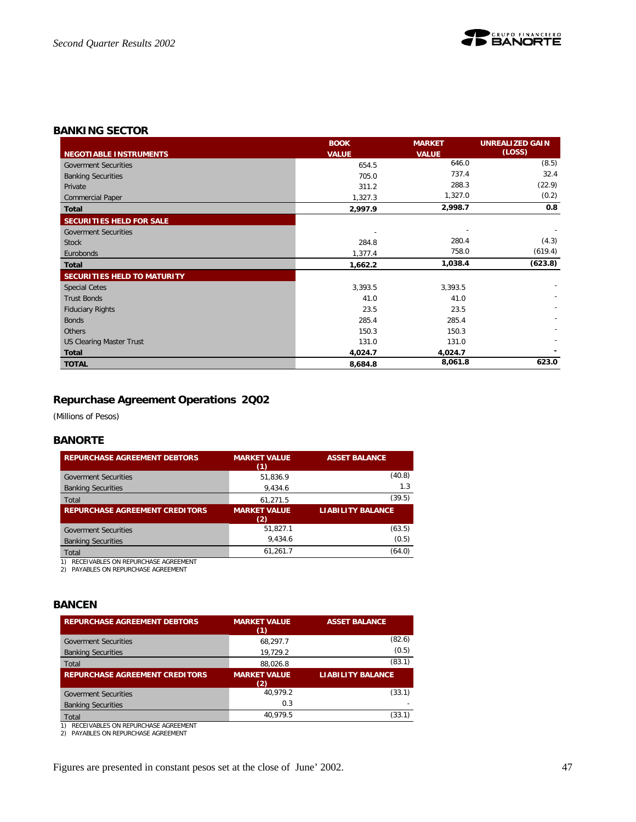

## *BANKING SECTOR*

|                                    | <b>BOOK</b>  | <b>MARKET</b> | <b>UNREALIZED GAIN</b> |
|------------------------------------|--------------|---------------|------------------------|
| <b>NEGOTIABLE INSTRUMENTS</b>      | <b>VALUE</b> | <b>VALUE</b>  | (LOSS)                 |
| <b>Goverment Securities</b>        | 654.5        | 646.0         | (8.5)                  |
| <b>Banking Securities</b>          | 705.0        | 737.4         | 32.4                   |
| Private                            | 311.2        | 288.3         | (22.9)                 |
| <b>Commercial Paper</b>            | 1,327.3      | 1,327.0       | (0.2)                  |
| <b>Total</b>                       | 2,997.9      | 2,998.7       | 0.8                    |
| SECURITIES HELD FOR SALE           |              |               |                        |
| <b>Goverment Securities</b>        |              |               |                        |
| <b>Stock</b>                       | 284.8        | 280.4         | (4.3)                  |
| Eurobonds                          | 1,377.4      | 758.0         | (619.4)                |
| <b>Total</b>                       | 1,662.2      | 1,038.4       | (623.8)                |
| <b>SECURITIES HELD TO MATURITY</b> |              |               |                        |
| <b>Special Cetes</b>               | 3,393.5      | 3,393.5       |                        |
| <b>Trust Bonds</b>                 | 41.0         | 41.0          |                        |
| <b>Fiduciary Rights</b>            | 23.5         | 23.5          |                        |
| <b>Bonds</b>                       | 285.4        | 285.4         |                        |
| Others                             | 150.3        | 150.3         |                        |
| <b>US Clearing Master Trust</b>    | 131.0        | 131.0         |                        |
| <b>Total</b>                       | 4,024.7      | 4,024.7       |                        |
| <b>TOTAL</b>                       | 8,684.8      | 8,061.8       | 623.0                  |

# **Repurchase Agreement Operations 2Q02**

*(Millions of Pesos)*

# *BANORTE*

| <b>REPURCHASE AGREEMENT DEBTORS</b>   | <b>MARKET VALUE</b><br>(1) | <b>ASSET BALANCE</b>     |
|---------------------------------------|----------------------------|--------------------------|
| <b>Goverment Securities</b>           | 51.836.9                   | (40.8)                   |
| <b>Banking Securities</b>             | 9,434.6                    | 1.3                      |
| Total                                 | 61.271.5                   | (39.5)                   |
| <b>REPURCHASE AGREEMENT CREDITORS</b> | <b>MARKET VALUE</b><br>(2) | <b>LIABILITY BALANCE</b> |
| <b>Goverment Securities</b>           | 51.827.1                   | (63.5)                   |
|                                       |                            |                          |
| <b>Banking Securities</b>             | 9.434.6                    | (0.5)                    |
| Total                                 | 61,261.7                   | (64.0)                   |

1) RECEIVABLES ON REPURCHASE AGREEMENT 2) PAYABLES ON REPURCHASE AGREEMENT

## *BANCEN*

| <b>REPURCHASE AGREEMENT DEBTORS</b>                                                 | <b>MARKET VALUE</b><br>(1) | <b>ASSET BALANCE</b>     |
|-------------------------------------------------------------------------------------|----------------------------|--------------------------|
| <b>Goverment Securities</b>                                                         | 68.297.7                   | (82.6)                   |
| <b>Banking Securities</b>                                                           | 19,729.2                   | (0.5)                    |
| Total                                                                               | 88.026.8                   | (83.1)                   |
| <b>REPURCHASE AGREEMENT CREDITORS</b>                                               | <b>MARKET VALUE</b><br>(2) | <b>LIABILITY BALANCE</b> |
| <b>Goverment Securities</b>                                                         | 40.979.2                   | (33.1)                   |
| <b>Banking Securities</b>                                                           | 0.3                        |                          |
| Total                                                                               | 40.979.5                   | (33.1)                   |
| RECEIVABLES ON REPURCHASE AGREEMENT<br>1)<br>PAYABLES ON REPURCHASE AGREEMENT<br>2) |                            |                          |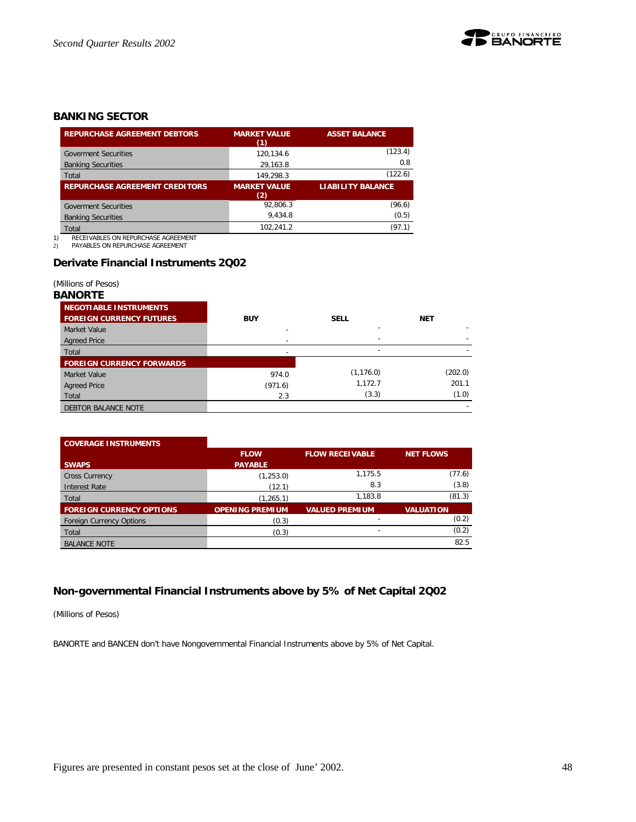

# *BANKING SECTOR*

| <b>REPURCHASE AGREEMENT DEBTORS</b>                                                 | <b>MARKET VALUE</b><br>(1) | <b>ASSET BALANCE</b>     |
|-------------------------------------------------------------------------------------|----------------------------|--------------------------|
| <b>Goverment Securities</b>                                                         | 120.134.6                  | (123.4)                  |
| <b>Banking Securities</b>                                                           | 29.163.8                   | 0.8                      |
| Total                                                                               | 149.298.3                  | (122.6)                  |
| <b>REPURCHASE AGREEMENT CREDITORS</b>                                               | <b>MARKET VALUE</b><br>(2) | <b>LIABILITY BALANCE</b> |
| <b>Goverment Securities</b>                                                         | 92.806.3                   | (96.6)                   |
| <b>Banking Securities</b>                                                           | 9.434.8                    | (0.5)                    |
| Total                                                                               | 102.241.2                  | (97.1)                   |
| RECEIVABLES ON REPURCHASE AGREEMENT<br>1)<br>PAYABLES ON REPURCHASE AGREEMENT<br>2) |                            |                          |

#### **Derivate Financial Instruments 2Q02**

*(Millions of Pesos)*

#### *BANORTE*

| <b>NEGOTIABLE INSTRUMENTS</b><br><b>FOREIGN CURRENCY FUTURES</b> | <b>BUY</b>               | <b>SELL</b>              | <b>NET</b>               |
|------------------------------------------------------------------|--------------------------|--------------------------|--------------------------|
| Market Value                                                     |                          |                          |                          |
| <b>Agreed Price</b>                                              | $\overline{\phantom{a}}$ |                          | $\overline{\phantom{0}}$ |
| Total                                                            | $\overline{\phantom{a}}$ | $\overline{\phantom{0}}$ |                          |
| <b>FOREIGN CURRENCY FORWARDS</b>                                 |                          |                          |                          |
| Market Value                                                     | 974.0                    | (1, 176.0)               | (202.0)                  |
| <b>Agreed Price</b>                                              | (971.6)                  | 1,172.7                  | 201.1                    |
| Total                                                            | 2.3                      | (3.3)                    | (1.0)                    |
| DEBTOR BALANCE NOTE                                              |                          |                          |                          |

#### **COVERAGE INSTRUMENTS SWAPS FLOW PAYABLE FLOW RECEIVABLE NET FLOWS** Cross Currency (1,253.0) 1,175.5 (77.6)<br>Interest Rate (1,253.0) 8.3 (3.8) 11terest Rate (12.1) 8.3 (3.8)<br>
Total (1.265.1) 1,183.8 (81.3) Total (1,265.1) 1,183.8 (81.3)

| Total                           | ا .دס∠, ا              | .                     | ,                |
|---------------------------------|------------------------|-----------------------|------------------|
| <b>FOREIGN CURRENCY OPTIONS</b> | <b>OPENING PREMIUM</b> | <b>VALUED PREMIUM</b> | <b>VALUATION</b> |
| <b>Foreign Currency Options</b> | (0.3)                  |                       | (0.2)            |
| Total                           | (0.3)                  |                       | (0.2)            |
| <b>BALANCE NOTE</b>             |                        |                       | 82.5             |

# **Non-governmental Financial Instruments above by 5% of Net Capital 2Q02**

*(Millions of Pesos)*

BANORTE and BANCEN don't have Nongovernmental Financial Instruments above by 5% of Net Capital.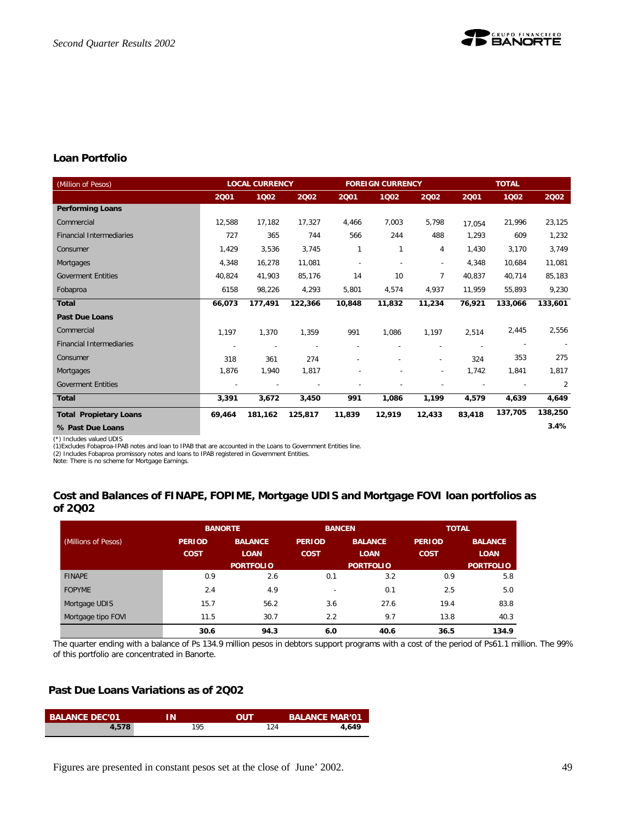

# **Loan Portfolio**

| (Million of Pesos)              |                          | <b>LOCAL CURRENCY</b> |         |        | <b>FOREIGN CURRENCY</b> |                          |        | <b>TOTAL</b> |         |
|---------------------------------|--------------------------|-----------------------|---------|--------|-------------------------|--------------------------|--------|--------------|---------|
|                                 | 2001                     | 1002                  | 2002    | 2001   | 1002                    | 2002                     | 2001   | 1002         | 2002    |
| <b>Performing Loans</b>         |                          |                       |         |        |                         |                          |        |              |         |
| Commercial                      | 12,588                   | 17,182                | 17,327  | 4,466  | 7,003                   | 5,798                    | 17,054 | 21,996       | 23,125  |
| <b>Financial Intermediaries</b> | 727                      | 365                   | 744     | 566    | 244                     | 488                      | 1,293  | 609          | 1,232   |
| Consumer                        | 1,429                    | 3,536                 | 3,745   | 1      | 1                       | 4                        | 1,430  | 3,170        | 3,749   |
| Mortgages                       | 4,348                    | 16,278                | 11,081  |        |                         | $\overline{\phantom{a}}$ | 4,348  | 10,684       | 11,081  |
| <b>Goverment Entities</b>       | 40,824                   | 41,903                | 85,176  | 14     | 10                      | 7                        | 40,837 | 40,714       | 85,183  |
| Fobaproa                        | 6158                     | 98,226                | 4,293   | 5,801  | 4,574                   | 4,937                    | 11,959 | 55,893       | 9,230   |
| <b>Total</b>                    | 66,073                   | 177,491               | 122,366 | 10,848 | 11,832                  | 11,234                   | 76,921 | 133,066      | 133,601 |
| <b>Past Due Loans</b>           |                          |                       |         |        |                         |                          |        |              |         |
| Commercial                      | 1,197                    | 1,370                 | 1,359   | 991    | 1,086                   | 1,197                    | 2,514  | 2,445        | 2,556   |
| <b>Financial Intermediaries</b> | $\overline{\phantom{a}}$ |                       |         |        |                         |                          |        |              |         |
| Consumer                        | 318                      | 361                   | 274     |        |                         |                          | 324    | 353          | 275     |
| Mortgages                       | 1,876                    | 1,940                 | 1,817   |        |                         | $\overline{\phantom{a}}$ | 1,742  | 1,841        | 1,817   |
| <b>Goverment Entities</b>       |                          |                       |         |        |                         |                          |        |              | 2       |
| <b>Total</b>                    | 3,391                    | 3,672                 | 3,450   | 991    | 1,086                   | 1,199                    | 4,579  | 4,639        | 4,649   |
| <b>Total Propietary Loans</b>   | 69.464                   | 181,162               | 125.817 | 11,839 | 12,919                  | 12,433                   | 83,418 | 137,705      | 138,250 |
| % Past Due Loans                |                          |                       |         |        |                         |                          |        |              | 3.4%    |

(\*) Includes valued UDIS

(1)Excludes Fobaproa-IPAB notes and loan to IPAB that are accounted in the Loans to Government Entities line.

(2) Includes Fobaproa promissory notes and loans to IPAB registered in Government Entities. Note: There is no scheme for Mortgage Earnings.

### **Cost and Balances of FINAPE, FOPIME, Mortgage UDIS and Mortgage FOVI loan portfolios as of 2Q02**

|                     |               | <b>BANORTE</b>   | <b>BANCEN</b>            |                  | <b>TOTAL</b>  |                  |
|---------------------|---------------|------------------|--------------------------|------------------|---------------|------------------|
| (Millions of Pesos) | <b>PERIOD</b> | <b>BALANCE</b>   | <b>PERIOD</b>            | <b>BALANCE</b>   | <b>PERIOD</b> | <b>BALANCE</b>   |
|                     | <b>COST</b>   | <b>LOAN</b>      | <b>COST</b>              | <b>LOAN</b>      | <b>COST</b>   | <b>LOAN</b>      |
|                     |               | <b>PORTFOLIO</b> |                          | <b>PORTFOLIO</b> |               | <b>PORTFOLIO</b> |
| <b>FINAPE</b>       | 0.9           | 2.6              | 0.1                      | 3.2              | 0.9           | 5.8              |
| <b>FOPYME</b>       | 2.4           | 4.9              | $\overline{\phantom{0}}$ | 0.1              | 2.5           | 5.0              |
| Mortgage UDIS       | 15.7          | 56.2             | 3.6                      | 27.6             | 19.4          | 83.8             |
| Mortgage tipo FOVI  | 11.5          | 30.7             | 2.2                      | 9.7              | 13.8          | 40.3             |
|                     | 30.6          | 94.3             | 6.0                      | 40.6             | 36.5          | 134.9            |

The quarter ending with a balance of Ps 134.9 million pesos in debtors support programs with a cost of the period of Ps61.1 million. The 99% of this portfolio are concentrated in Banorte.

# **Past Due Loans Variations as of 2Q02**

| <b>BALANCE DEC'01</b> | ıΝ  | OUT | <b>BALANCE MAR'01</b> |
|-----------------------|-----|-----|-----------------------|
| 4,578                 | 195 | 124 | 4.649                 |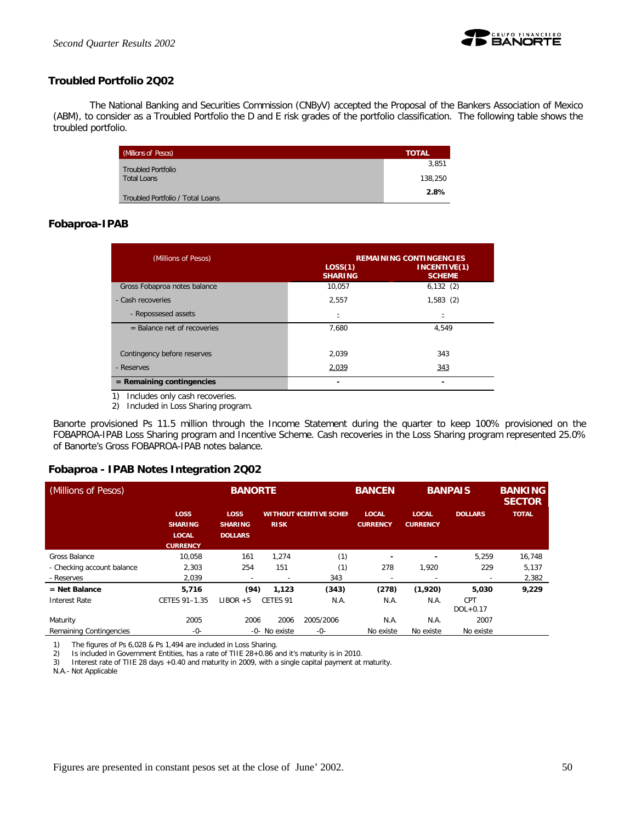

# **Troubled Portfolio 2Q02**

The National Banking and Securities Commission (CNByV) accepted the Proposal of the Bankers Association of Mexico (ABM), to consider as a Troubled Portfolio the D and E risk grades of the portfolio classification. The following table shows the troubled portfolio.

| (Millions of Pesos)              | <b>TOTAL</b> |
|----------------------------------|--------------|
| <b>Troubled Portfolio</b>        | 3.851        |
| <b>Total Loans</b>               | 138,250      |
| Troubled Portfolio / Total Loans | 2.8%         |

#### **Fobaproa-IPAB**

| (Millions of Pesos)           | LOS(1)<br><b>SHARING</b> | <b>REMAINING CONTINGENCIES</b><br>INCENTIVE(1)<br><b>SCHEME</b> |
|-------------------------------|--------------------------|-----------------------------------------------------------------|
| Gross Fobaproa notes balance  | 10.057                   | 6,132(2)                                                        |
| - Cash recoveries             | 2.557                    | 1,583(2)                                                        |
| - Repossesed assets           |                          |                                                                 |
| $=$ Balance net of recoveries | 7.680                    | 4.549                                                           |
| Contingency before reserves   | 2.039                    | 343                                                             |
| - Reserves                    | 2,039                    | 343                                                             |
| $=$ Remaining contingencies   |                          |                                                                 |

1) Includes only cash recoveries.

2) Included in Loss Sharing program.

Banorte provisioned Ps 11.5 million through the Income Statement during the quarter to keep 100% provisioned on the FOBAPROA-IPAB Loss Sharing program and Incentive Scheme. Cash recoveries in the Loss Sharing program represented 25.0% of Banorte's Gross FOBAPROA-IPAB notes balance.

#### **Fobaproa - IPAB Notes Integration 2Q02**

| (Millions of Pesos)        |                                                                  |                                                 | <b>BANORTE</b> |                               |                                 | <b>BANPAIS</b>                  |                            | <b>BANKING</b><br><b>SECTOR</b> |
|----------------------------|------------------------------------------------------------------|-------------------------------------------------|----------------|-------------------------------|---------------------------------|---------------------------------|----------------------------|---------------------------------|
|                            | <b>LOSS</b><br><b>SHARING</b><br><b>LOCAL</b><br><b>CURRENCY</b> | <b>LOSS</b><br><b>SHARING</b><br><b>DOLLARS</b> | <b>RISK</b>    | <b>WITHOUT ICENTIVE SCHEN</b> | <b>LOCAL</b><br><b>CURRENCY</b> | <b>LOCAL</b><br><b>CURRENCY</b> | <b>DOLLARS</b>             | <b>TOTAL</b>                    |
| Gross Balance              | 10.058                                                           | 161                                             | 1.274          | (1)                           | $\overline{\phantom{a}}$        |                                 | 5,259                      | 16.748                          |
| - Checking account balance | 2,303                                                            | 254                                             | 151            | (1)                           | 278                             | 1,920                           | 229                        | 5,137                           |
| - Reserves                 | 2,039                                                            |                                                 |                | 343                           | $\overline{\phantom{a}}$        |                                 | $\sim$                     | 2,382                           |
| $=$ Net Balance            | 5,716                                                            | (94)                                            | 1,123          | (343)                         | (278)                           | (1,920)                         | 5,030                      | 9,229                           |
| Interest Rate              | CETES 91-1.35                                                    | $LIBOR + 5$                                     | CETES 91       | N.A.                          | N.A.                            | N.A.                            | <b>CPT</b><br>$DOL + 0.17$ |                                 |
| Maturity                   | 2005                                                             | 2006                                            | 2006           | 2005/2006                     | N.A.                            | N.A.                            | 2007                       |                                 |
| Remaining Contingencies    | $-0-$                                                            |                                                 | -0- No existe  | $-0-$                         | No existe                       | No existe                       | No existe                  |                                 |

1) The figures of Ps 6,028 & Ps 1,494 are included in Loss Sharing.

2) Is included in Government Entities, has a rate of TIIE 28+0.86 and it's maturity is in 2010.

3) Interest rate of TIIE 28 days +0.40 and maturity in 2009, with a single capital payment at maturity.

N.A.- Not Applicable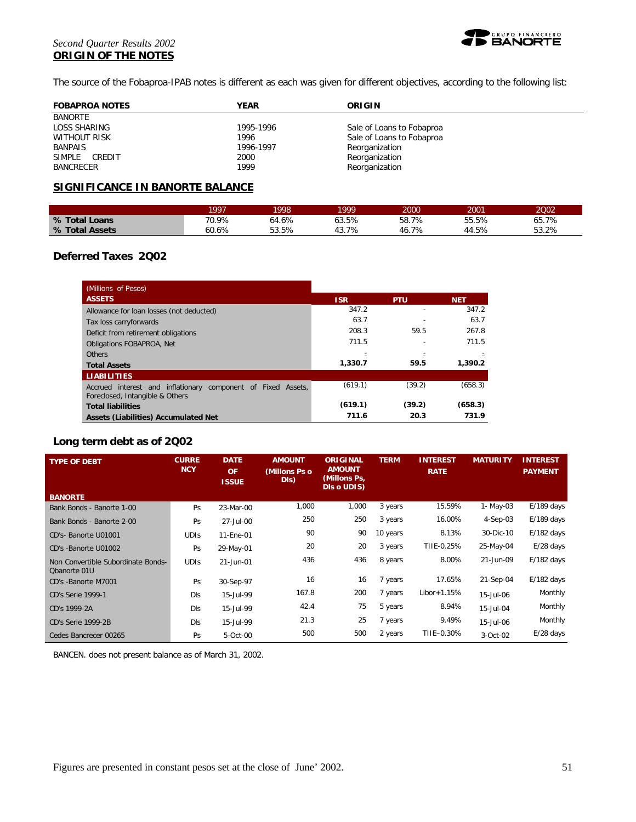#### *Second Quarter Results 2002* **ORIGIN OF THE NOTES**



The source of the Fobaproa-IPAB notes is different as each was given for different objectives, according to the following list:

| <b>FOBAPROA NOTES</b> | YEAR      | ORIGIN                    |
|-----------------------|-----------|---------------------------|
| <b>BANORTE</b>        |           |                           |
| LOSS SHARING          | 1995-1996 | Sale of Loans to Fobaproa |
| WITHOUT RISK          | 1996      | Sale of Loans to Fobaproa |
| <b>BANPAIS</b>        | 1996-1997 | Reorganization            |
| SIMPLE<br>CREDIT      | 2000      | Reorganization            |
| <b>BANCRECER</b>      | 1999      | Reorganization            |

# **SIGNIFICANCE IN BANORTE BALANCE**

|                | 1997  | 998   | 1999      | 2000      | 2001  | 2002  |
|----------------|-------|-------|-----------|-----------|-------|-------|
| % Total Loans  | 70.9% | 64.6% | 63.5%     | 58.7%     | 55.5% | 65.7% |
| % Total Assets | 60.6% | 53.5% | 7%<br>43. | 7%<br>46. | 44.5% | 53.2% |

#### **Deferred Taxes 2Q02**

| (Millions of Pesos)                                                                             |            |            |            |
|-------------------------------------------------------------------------------------------------|------------|------------|------------|
| <b>ASSETS</b>                                                                                   | <b>ISR</b> | <b>PTU</b> | <b>NET</b> |
| Allowance for loan losses (not deducted)                                                        | 347.2      |            | 347.2      |
| Tax loss carryforwards                                                                          | 63.7       |            | 63.7       |
| Deficit from retirement obligations                                                             | 208.3      | 59.5       | 267.8      |
| Obligations FOBAPROA, Net                                                                       | 711.5      |            | 711.5      |
| Others                                                                                          |            |            |            |
| <b>Total Assets</b>                                                                             | 1,330.7    | 59.5       | 1,390.2    |
| <b>LIABILITIES</b>                                                                              |            |            |            |
| Accrued interest and inflationary component of Fixed Assets,<br>Foreclosed, Intangible & Others | (619.1)    | (39.2)     | (658.3)    |
| <b>Total liabilities</b>                                                                        | (619.1)    | (39.2)     | (658.3)    |
| Assets (Liabilities) Accumulated Net                                                            | 711.6      | 20.3       | 731.9      |

### **Long term debt as of 2Q02**

| <b>TYPE OF DEBT</b>                                | <b>CURRE</b><br><b>NCY</b> | <b>DATE</b><br><b>OF</b><br><b>ISSUE</b> | <b>AMOUNT</b><br>(Millons Ps o<br>DIS) | <b>ORIGINAL</b><br><b>AMOUNT</b><br>(Millons Ps,<br>DIs o UDIS) | <b>TERM</b> | <b>INTEREST</b><br><b>RATE</b> | <b>MATURITY</b> | <b>INTEREST</b><br><b>PAYMENT</b> |
|----------------------------------------------------|----------------------------|------------------------------------------|----------------------------------------|-----------------------------------------------------------------|-------------|--------------------------------|-----------------|-----------------------------------|
| <b>BANORTE</b>                                     |                            |                                          |                                        |                                                                 |             |                                |                 |                                   |
| Bank Bonds - Banorte 1-00                          | Ps                         | 23-Mar-00                                | 1,000                                  | 1,000                                                           | 3 years     | 15.59%                         | 1- May-03       | $E/189$ days                      |
| Bank Bonds - Banorte 2-00                          | Ps                         | 27-Jul-00                                | 250                                    | 250                                                             | 3 years     | 16.00%                         | 4-Sep-03        | $E/189$ days                      |
| CD's-Banorte U01001                                | <b>UDIS</b>                | 11-Ene-01                                | 90                                     | 90                                                              | 10 years    | 8.13%                          | 30-Dic-10       | $E/182$ days                      |
| CD's -Banorte U01002                               | Ps                         | 29-May-01                                | 20                                     | 20                                                              | 3 years     | TIIE-0.25%                     | 25-May-04       | $E/28$ days                       |
| Non Convertible Subordinate Bonds-<br>Obanorte 01U | <b>UDIS</b>                | 21-Jun-01                                | 436                                    | 436                                                             | 8 years     | 8.00%                          | 21-Jun-09       | $E/182$ days                      |
| CD's -Banorte M7001                                | Ps                         | 30-Sep-97                                | 16                                     | 16                                                              | 7 years     | 17.65%                         | 21-Sep-04       | $E/182$ days                      |
| <b>CD's Serie 1999-1</b>                           | DIs                        | 15-Jul-99                                | 167.8                                  | 200                                                             | 7 years     | $Libor+1.15%$                  | 15-Jul-06       | Monthly                           |
| CD's 1999-2A                                       | Dis                        | 15-Jul-99                                | 42.4                                   | 75                                                              | 5 years     | 8.94%                          | 15-Jul-04       | Monthly                           |
| CD's Serie 1999-2B                                 | DIs                        | 15-Jul-99                                | 21.3                                   | 25                                                              | 7 years     | 9.49%                          | 15-Jul-06       | Monthly                           |
| Cedes Bancrecer 00265                              | Ps                         | 5-Oct-00                                 | 500                                    | 500                                                             | 2 years     | TIIE-0.30%                     | 3-Oct-02        | $E/28$ days                       |

BANCEN. does not present balance as of March 31, 2002.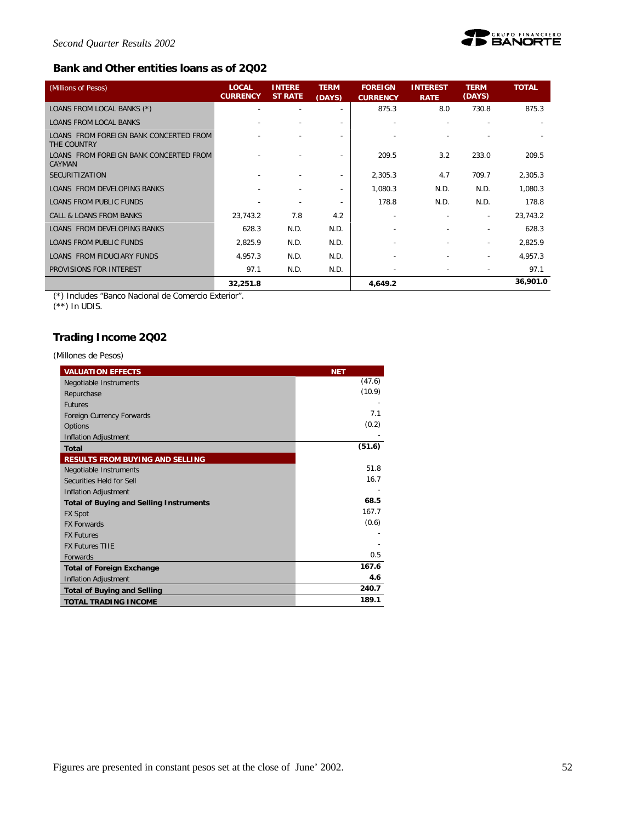

# **Bank and Other entities loans as of 2Q02**

| (Millions of Pesos)                                     | <b>LOCAL</b><br><b>CURRENCY</b> | <b>INTERE</b><br><b>ST RATE</b> | <b>TERM</b><br>(DAYS)    | <b>FOREIGN</b><br><b>CURRENCY</b> | <b>INTEREST</b><br><b>RATE</b> | <b>TERM</b><br>(DAYS)    | <b>TOTAL</b> |
|---------------------------------------------------------|---------------------------------|---------------------------------|--------------------------|-----------------------------------|--------------------------------|--------------------------|--------------|
| LOANS FROM LOCAL BANKS (*)                              |                                 |                                 |                          | 875.3                             | 8.0                            | 730.8                    | 875.3        |
| <b>LOANS FROM LOCAL BANKS</b>                           |                                 |                                 | $\overline{\phantom{a}}$ |                                   |                                |                          |              |
| LOANS FROM FOREIGN BANK CONCERTED FROM<br>THE COUNTRY   |                                 |                                 | $\overline{\phantom{a}}$ |                                   |                                |                          |              |
| LOANS FROM FOREIGN BANK CONCERTED FROM<br><b>CAYMAN</b> |                                 |                                 |                          | 209.5                             | 3.2                            | 233.0                    | 209.5        |
| <b>SECURITIZATION</b>                                   |                                 | ٠                               | $\overline{\phantom{a}}$ | 2,305.3                           | 4.7                            | 709.7                    | 2,305.3      |
| LOANS FROM DEVELOPING BANKS                             |                                 |                                 | $\overline{\phantom{a}}$ | 1,080.3                           | N.D.                           | N.D.                     | 1,080.3      |
| <b>LOANS FROM PUBLIC FUNDS</b>                          |                                 |                                 | $\overline{\phantom{a}}$ | 178.8                             | N.D.                           | N.D.                     | 178.8        |
| <b>CALL &amp; LOANS FROM BANKS</b>                      | 23,743.2                        | 7.8                             | 4.2                      |                                   |                                | $\overline{\phantom{a}}$ | 23,743.2     |
| LOANS FROM DEVELOPING BANKS                             | 628.3                           | N.D.                            | N.D.                     |                                   |                                |                          | 628.3        |
| <b>LOANS FROM PUBLIC FUNDS</b>                          | 2,825.9                         | N.D.                            | N.D.                     |                                   |                                | $\overline{\phantom{a}}$ | 2,825.9      |
| LOANS FROM FIDUCIARY FUNDS                              | 4,957.3                         | N.D.                            | N.D.                     |                                   |                                | ÷                        | 4,957.3      |
| PROVISIONS FOR INTEREST                                 | 97.1                            | N.D.                            | N.D.                     |                                   |                                | $\overline{\phantom{a}}$ | 97.1         |
|                                                         | 32,251.8                        |                                 |                          | 4,649.2                           |                                |                          | 36,901.0     |

(\*) Includes "Banco Nacional de Comercio Exterior".

(\*\*) In UDIS.

# **Trading Income 2Q02**

*(Millones de Pesos)*

| <b>VALUATION EFFECTS</b>                       | <b>NET</b> |
|------------------------------------------------|------------|
| Negotiable Instruments                         | (47.6)     |
| Repurchase                                     | (10.9)     |
| <b>Futures</b>                                 |            |
| Foreign Currency Forwards                      | 7.1        |
| Options                                        | (0.2)      |
| Inflation Adjustment                           |            |
| <b>Total</b>                                   | (51.6)     |
| <b>RESULTS FROM BUYING AND SELLING</b>         |            |
| Negotiable Instruments                         | 51.8       |
| Securities Held for Sell                       | 16.7       |
| <b>Inflation Adjustment</b>                    |            |
| <b>Total of Buying and Selling Instruments</b> | 68.5       |
| <b>FX Spot</b>                                 | 167.7      |
| <b>FX Forwards</b>                             | (0.6)      |
| <b>FX Futures</b>                              |            |
| <b>FX Futures TIIE</b>                         |            |
| <b>Forwards</b>                                | 0.5        |
| <b>Total of Foreign Exchange</b>               | 167.6      |
| Inflation Adjustment                           | 4.6        |
| <b>Total of Buying and Selling</b>             | 240.7      |
| <b>TOTAL TRADING INCOME</b>                    | 189.1      |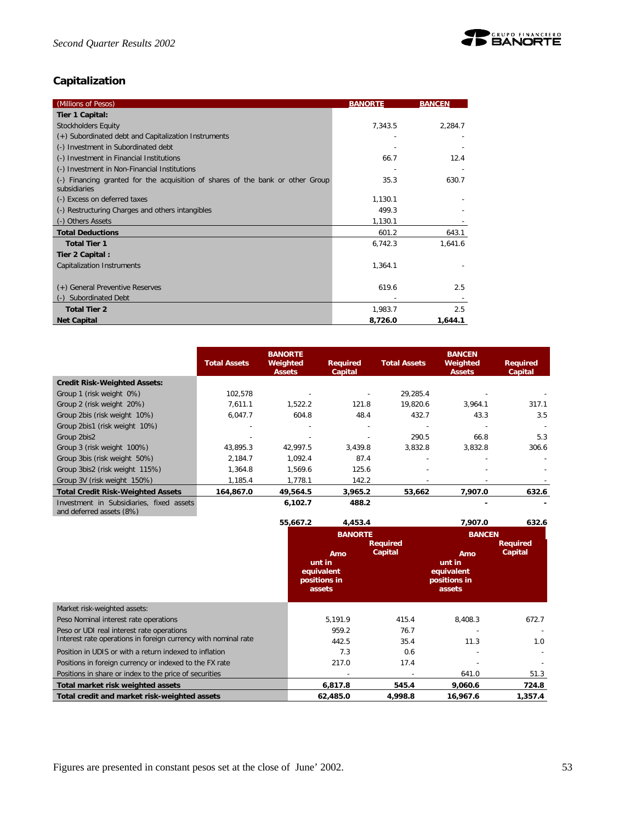

# **Capitalization**

| (Millions of Pesos)                                                                            | <b>BANORTE</b> | <b>BANCEN</b> |
|------------------------------------------------------------------------------------------------|----------------|---------------|
| Tier 1 Capital:                                                                                |                |               |
| <b>Stockholders Equity</b>                                                                     | 7,343.5        | 2,284.7       |
| (+) Subordinated debt and Capitalization Instruments                                           |                |               |
| (-) Investment in Subordinated debt                                                            |                |               |
| (-) Investment in Financial Institutions                                                       | 66.7           | 12.4          |
| (-) Investment in Non-Financial Institutions                                                   |                |               |
| (-) Financing granted for the acquisition of shares of the bank or other Group<br>subsidiaries | 35.3           | 630.7         |
| (-) Excess on deferred taxes                                                                   | 1,130.1        |               |
| (-) Restructuring Charges and others intangibles                                               | 499.3          |               |
| (-) Others Assets                                                                              | 1,130.1        |               |
| <b>Total Deductions</b>                                                                        | 601.2          | 643.1         |
| <b>Total Tier 1</b>                                                                            | 6,742.3        | 1,641.6       |
| Tier 2 Capital:                                                                                |                |               |
| Capitalization Instruments                                                                     | 1,364.1        |               |
| (+) General Preventive Reserves                                                                | 619.6          | 2.5           |
| Subordinated Debt                                                                              |                |               |
| <b>Total Tier 2</b>                                                                            | 1,983.7        | 2.5           |
| <b>Net Capital</b>                                                                             | 8,726.0        | 1,644.1       |

|                                                                      | <b>Total Assets</b> | <b>BANORTE</b><br>Weighted<br><b>Assets</b> | Required<br>Capital | <b>Total Assets</b> | <b>BANCEN</b><br>Weighted<br><b>Assets</b> | <b>Required</b><br>Capital |
|----------------------------------------------------------------------|---------------------|---------------------------------------------|---------------------|---------------------|--------------------------------------------|----------------------------|
| <b>Credit Risk-Weighted Assets:</b>                                  |                     |                                             |                     |                     |                                            |                            |
| Group 1 (risk weight 0%)                                             | 102.578             |                                             |                     | 29.285.4            |                                            |                            |
| Group 2 (risk weight 20%)                                            | 7.611.1             | 1.522.2                                     | 121.8               | 19.820.6            | 3.964.1                                    | 317.1                      |
| Group 2bis (risk weight 10%)                                         | 6,047.7             | 604.8                                       | 48.4                | 432.7               | 43.3                                       | 3.5                        |
| Group 2bis1 (risk weight 10%)                                        |                     |                                             |                     |                     |                                            |                            |
| Group 2bis2                                                          |                     |                                             |                     | 290.5               | 66.8                                       | 5.3                        |
| Group 3 (risk weight 100%)                                           | 43.895.3            | 42.997.5                                    | 3.439.8             | 3.832.8             | 3.832.8                                    | 306.6                      |
| Group 3bis (risk weight 50%)                                         | 2,184.7             | 1,092.4                                     | 87.4                |                     |                                            |                            |
| Group 3bis2 (risk weight 115%)                                       | 1.364.8             | 1.569.6                                     | 125.6               |                     |                                            |                            |
| Group 3V (risk weight 150%)                                          | 1,185.4             | 1,778.1                                     | 142.2               |                     |                                            |                            |
| <b>Total Credit Risk-Weighted Assets</b>                             | 164,867.0           | 49,564.5                                    | 3,965.2             | 53,662              | 7,907.0                                    | 632.6                      |
| Investment in Subsidiaries, fixed assets<br>and deferred assets (8%) |                     | 6,102.7                                     | 488.2               |                     |                                            |                            |

|                                                                | 55,667.2                                       | 4,453.4        |                            | 7,907.0                                               | 632.6                      |
|----------------------------------------------------------------|------------------------------------------------|----------------|----------------------------|-------------------------------------------------------|----------------------------|
|                                                                |                                                | <b>BANORTE</b> |                            | <b>BANCEN</b>                                         |                            |
|                                                                | unt in<br>equivalent<br>positions in<br>assets | Amo            | <b>Required</b><br>Capital | Amo<br>unt in<br>equivalent<br>positions in<br>assets | <b>Required</b><br>Capital |
| Market risk-weighted assets:                                   |                                                |                |                            |                                                       |                            |
| Peso Nominal interest rate operations                          |                                                | 5,191.9        | 415.4                      | 8,408.3                                               | 672.7                      |
| Peso or UDI real interest rate operations                      |                                                | 959.2          | 76.7                       |                                                       |                            |
| Interest rate operations in foreign currency with nominal rate |                                                | 442.5          | 35.4                       | 11.3                                                  | 1.0                        |
| Position in UDIS or with a return indexed to inflation         |                                                | 7.3            | 0.6                        |                                                       |                            |
| Positions in foreign currency or indexed to the FX rate        |                                                | 217.0          | 17.4                       |                                                       |                            |
| Positions in share or index to the price of securities         |                                                |                |                            | 641.0                                                 | 51.3                       |
| Total market risk weighted assets                              |                                                | 6,817.8        | 545.4                      | 9,060.6                                               | 724.8                      |
| Total credit and market risk-weighted assets                   |                                                | 62,485.0       | 4,998.8                    | 16,967.6                                              | 1,357.4                    |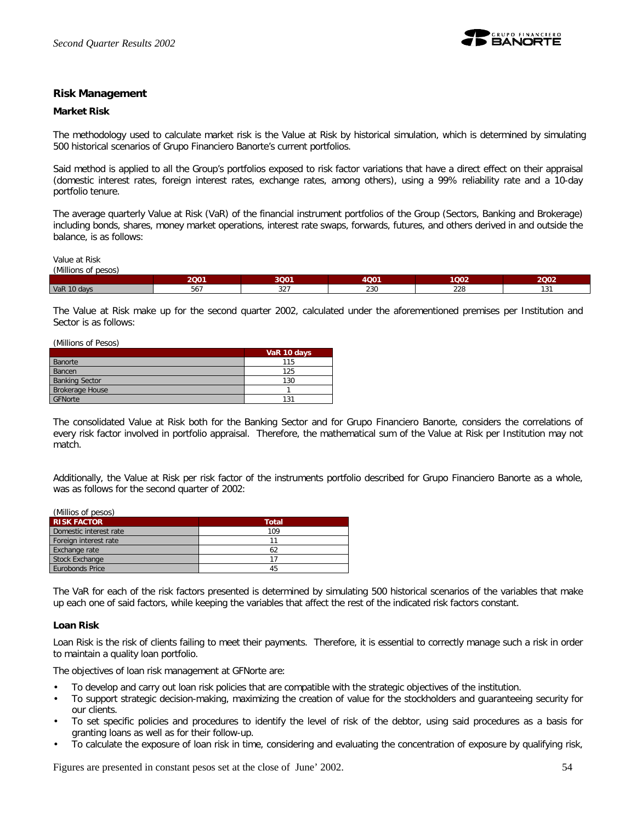

#### **Risk Management**

#### **Market Risk**

The methodology used to calculate market risk is the Value at Risk by historical simulation, which is determined by simulating 500 historical scenarios of Grupo Financiero Banorte's current portfolios.

Said method is applied to all the Group's portfolios exposed to risk factor variations that have a direct effect on their appraisal (domestic interest rates, foreign interest rates, exchange rates, among others), using a 99% reliability rate and a 10-day portfolio tenure.

The average quarterly Value at Risk (VaR) of the financial instrument portfolios of the Group (Sectors, Banking and Brokerage) including bonds, shares, money market operations, interest rate swaps, forwards, futures, and others derived in and outside the balance, is as follows:

Value at Risk

| (Millions<br><b>pesos</b><br>, υι |                                 |                              |      |      |             |
|-----------------------------------|---------------------------------|------------------------------|------|------|-------------|
|                                   | 2001                            | 3Q01                         | 4001 | 1Q02 | 2Q02        |
| VaR 10 days                       | $\overline{\phantom{a}}$<br>56/ | $\sim$ $\sim$ $\sim$<br>32 I | 230  | 228  | 12<br>1 J I |

The Value at Risk make up for the second quarter 2002, calculated under the aforementioned premises per Institution and Sector is as follows:

(Millions of Pesos)

|                        | VaR 10 days |
|------------------------|-------------|
| Banorte                | 115         |
| Bancen                 | 125         |
| <b>Banking Sector</b>  | 130         |
| <b>Brokerage House</b> |             |
| GFNorte                | 131         |

The consolidated Value at Risk both for the Banking Sector and for Grupo Financiero Banorte, considers the correlations of every risk factor involved in portfolio appraisal. Therefore, the mathematical sum of the Value at Risk per Institution may not match.

Additionally, the Value at Risk per risk factor of the instruments portfolio described for Grupo Financiero Banorte as a whole, was as follows for the second quarter of 2002:

| (Millios of pesos)     |              |  |  |  |
|------------------------|--------------|--|--|--|
| <b>RISK FACTOR</b>     | <b>Total</b> |  |  |  |
| Domestic interest rate | 109          |  |  |  |
| Foreign interest rate  |              |  |  |  |
| Exchange rate          | 62           |  |  |  |
| <b>Stock Exchange</b>  |              |  |  |  |
| Eurobonds Price        | 45           |  |  |  |

The VaR for each of the risk factors presented is determined by simulating 500 historical scenarios of the variables that make up each one of said factors, while keeping the variables that affect the rest of the indicated risk factors constant.

#### **Loan Risk**

Loan Risk is the risk of clients failing to meet their payments. Therefore, it is essential to correctly manage such a risk in order to maintain a quality loan portfolio.

The objectives of loan risk management at GFNorte are:

- To develop and carry out loan risk policies that are compatible with the strategic objectives of the institution.
- To support strategic decision-making, maximizing the creation of value for the stockholders and guaranteeing security for our clients.
- To set specific policies and procedures to identify the level of risk of the debtor, using said procedures as a basis for granting loans as well as for their follow-up.
- To calculate the exposure of loan risk in time, considering and evaluating the concentration of exposure by qualifying risk,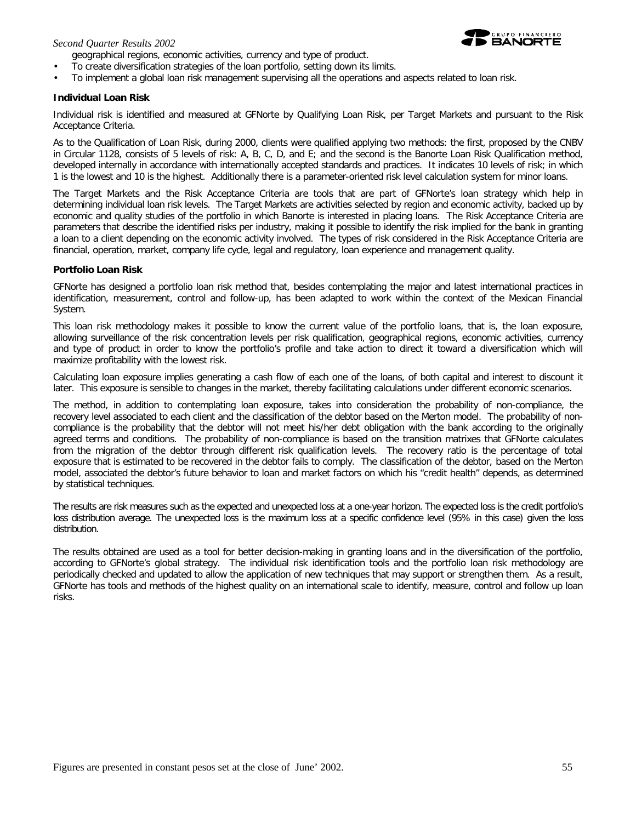#### *Second Quarter Results 2002*

geographical regions, economic activities, currency and type of product.

- To create diversification strategies of the loan portfolio, setting down its limits.
- To implement a global loan risk management supervising all the operations and aspects related to loan risk.

#### **Individual Loan Risk**

Individual risk is identified and measured at GFNorte by Qualifying Loan Risk, per Target Markets and pursuant to the Risk Acceptance Criteria.

As to the Qualification of Loan Risk, during 2000, clients were qualified applying two methods: the first, proposed by the CNBV in Circular 1128, consists of 5 levels of risk: A, B, C, D, and E; and the second is the Banorte Loan Risk Qualification method, developed internally in accordance with internationally accepted standards and practices. It indicates 10 levels of risk; in which 1 is the lowest and 10 is the highest. Additionally there is a parameter-oriented risk level calculation system for minor loans.

The Target Markets and the Risk Acceptance Criteria are tools that are part of GFNorte's loan strategy which help in determining individual loan risk levels. The Target Markets are activities selected by region and economic activity, backed up by economic and quality studies of the portfolio in which Banorte is interested in placing loans. The Risk Acceptance Criteria are parameters that describe the identified risks per industry, making it possible to identify the risk implied for the bank in granting a loan to a client depending on the economic activity involved. The types of risk considered in the Risk Acceptance Criteria are financial, operation, market, company life cycle, legal and regulatory, loan experience and management quality.

#### **Portfolio Loan Risk**

GFNorte has designed a portfolio loan risk method that, besides contemplating the major and latest international practices in identification, measurement, control and follow-up, has been adapted to work within the context of the Mexican Financial System.

This loan risk methodology makes it possible to know the current value of the portfolio loans, that is, *the loan exposure*, allowing surveillance of the risk concentration levels per risk qualification, geographical regions, economic activities, currency and type of product in order to know the portfolio's profile and take action to direct it toward a diversification which will maximize profitability with the lowest risk.

Calculating loan exposure implies generating a cash flow of each one of the loans, of both capital and interest to discount it later. This exposure is sensible to changes in the market, thereby facilitating calculations under different economic scenarios.

The method, in addition to contemplating loan exposure, takes into consideration the probability of non-compliance, the recovery level associated to each client and the classification of the debtor based on the Merton model. The *probability of noncompliance* is the probability that the debtor will not meet his/her debt obligation with the bank according to the originally agreed terms and conditions. The probability of non-compliance is based on the transition matrixes that GFNorte calculates from the migration of the debtor through different risk qualification levels. The *recovery ratio* is the percentage of total exposure that is estimated to be recovered in the debtor fails to comply. The *classification of the debtor*, based on the Merton model, associated the debtor's future behavior to loan and market factors on which his "credit health" depends, as determined by statistical techniques.

The results are risk measures such as the expected and unexpected loss at a one-year horizon. The expected loss is the credit portfolio's loss distribution average. The unexpected loss is the maximum loss at a specific confidence level (95% in this case) given the loss distribution.

The results obtained are used as a tool for better decision-making in granting loans and in the diversification of the portfolio, according to GFNorte's global strategy. The individual risk identification tools and the portfolio loan risk methodology are periodically checked and updated to allow the application of new techniques that may support or strengthen them. As a result, GFNorte has tools and methods of the highest quality on an international scale to identify, measure, control and follow up loan risks.

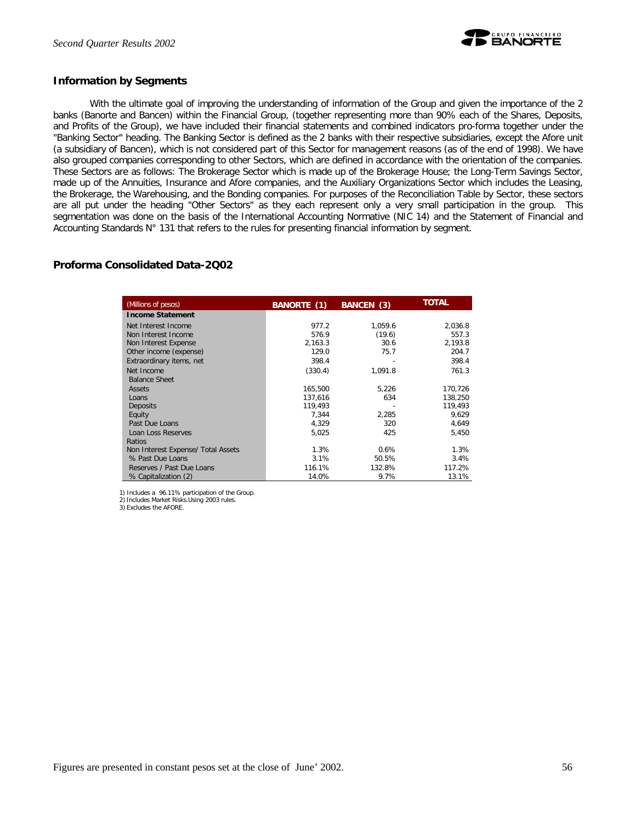

#### **Information by Segments**

With the ultimate goal of improving the understanding of information of the Group and given the importance of the 2 banks (Banorte and Bancen) within the Financial Group, (together representing more than 90% each of the Shares, Deposits, and Profits of the Group), we have included their financial statements and combined indicators pro-forma together under the "Banking Sector" heading. The Banking Sector is defined as the 2 banks with their respective subsidiaries, except the Afore unit (a subsidiary of Bancen), which is not considered part of this Sector for management reasons (as of the end of 1998). We have also grouped companies corresponding to other Sectors, which are defined in accordance with the orientation of the companies. These Sectors are as follows: The Brokerage Sector which is made up of the Brokerage House; the Long-Term Savings Sector, made up of the Annuities, Insurance and Afore companies, and the Auxiliary Organizations Sector which includes the Leasing, the Brokerage, the Warehousing, and the Bonding companies. For purposes of the Reconciliation Table by Sector, these sectors are all put under the heading "Other Sectors" as they each represent only a very small participation in the group. This segmentation was done on the basis of the International Accounting Normative (NIC 14) and the Statement of Financial and Accounting Standards N° 131 that refers to the rules for presenting financial information by segment.

# **Proforma Consolidated Data-2Q02**

| (Millions of pesos)                | BANCEN (3)<br>BANORTE (1) |         | <b>TOTAL</b> |  |
|------------------------------------|---------------------------|---------|--------------|--|
| <b>Income Statement</b>            |                           |         |              |  |
| Net Interest Income                | 977.2                     | 1.059.6 | 2,036.8      |  |
| Non Interest Income                | 576.9                     | (19.6)  | 557.3        |  |
| Non Interest Expense               | 2,163.3                   | 30.6    | 2,193.8      |  |
| Other income (expense)             | 129.0                     | 75.7    | 204.7        |  |
| Extraordinary items, net           | 398.4                     |         | 398.4        |  |
| Net Income                         | (330.4)                   | 1.091.8 | 761.3        |  |
| <b>Balance Sheet</b>               |                           |         |              |  |
| Assets                             | 165,500                   | 5,226   | 170,726      |  |
| Loans                              | 137.616                   | 634     | 138,250      |  |
| Deposits                           | 119.493                   |         | 119,493      |  |
| Equity                             | 7.344                     | 2.285   | 9.629        |  |
| Past Due Loans                     | 4,329                     | 320     | 4,649        |  |
| Loan Loss Reserves                 | 5,025                     | 425     | 5.450        |  |
| Ratios                             |                           |         |              |  |
| Non Interest Expense/ Total Assets | 1.3%                      | 0.6%    | 1.3%         |  |
| % Past Due Loans                   | 3.1%                      | 50.5%   | 3.4%         |  |
| Reserves / Past Due Loans          | 116.1%                    | 132.8%  | 117.2%       |  |
| % Capitalization (2)               | 14.0%                     | 9.7%    | 13.1%        |  |

1) Includes a 96.11% participation of the Group. 2) Includes Market Risks.Using 2003 rules.

3) Excludes the AFORE.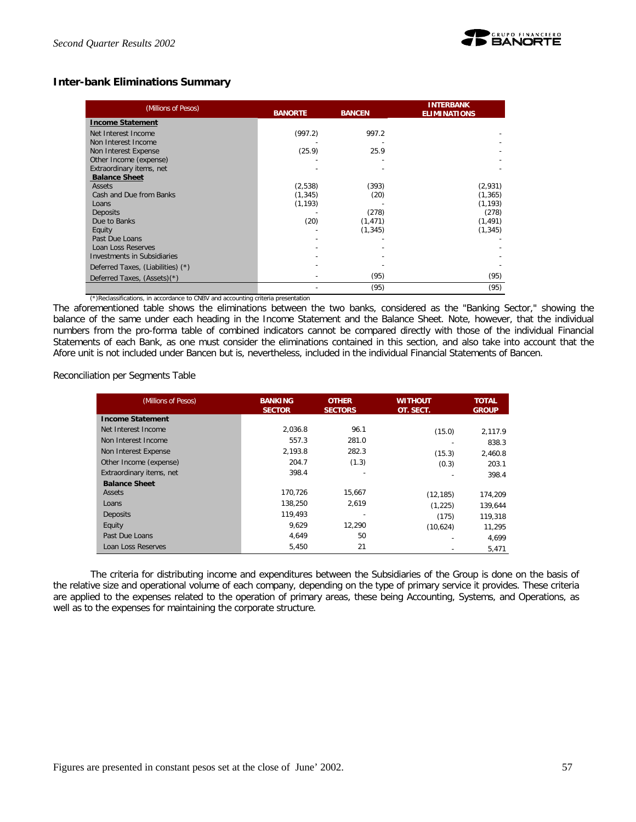

# **Inter-bank Eliminations Summary**

| (Millions of Pesos)                | <b>BANORTE</b><br><b>BANCEN</b> |          | <b>INTERBANK</b><br><b>ELIMINATIONS</b> |  |
|------------------------------------|---------------------------------|----------|-----------------------------------------|--|
| <b>Income Statement</b>            |                                 |          |                                         |  |
| Net Interest Income                | (997.2)                         | 997.2    |                                         |  |
| Non Interest Income                |                                 |          |                                         |  |
| Non Interest Expense               | (25.9)                          | 25.9     |                                         |  |
| Other Income (expense)             |                                 |          |                                         |  |
| Extraordinary items, net           |                                 |          |                                         |  |
| <b>Balance Sheet</b>               |                                 |          |                                         |  |
| Assets                             | (2,538)                         | (393)    | (2,931)                                 |  |
| Cash and Due from Banks            | (1, 345)                        | (20)     | (1, 365)                                |  |
| Loans                              | (1, 193)                        |          | (1, 193)                                |  |
| <b>Deposits</b>                    |                                 | (278)    | (278)                                   |  |
| Due to Banks                       | (20)                            | (1, 471) | (1, 491)                                |  |
| Equity                             |                                 | (1, 345) | (1, 345)                                |  |
| Past Due Loans                     |                                 |          |                                         |  |
| Loan Loss Reserves                 |                                 |          |                                         |  |
| <b>Investments in Subsidiaries</b> |                                 |          |                                         |  |
| Deferred Taxes, (Liabilities) (*)  |                                 |          |                                         |  |
| Deferred Taxes, (Assets)(*)        |                                 | (95)     | (95)                                    |  |
|                                    |                                 | (95)     | (95)                                    |  |

(\*)Reclassifications, in accordance to CNBV and accounting criteria presentation

The aforementioned table shows the eliminations between the two banks, considered as the "Banking Sector," showing the balance of the same under each heading in the Income Statement and the Balance Sheet. Note, however, that the individual numbers from the pro-forma table of combined indicators cannot be compared directly with those of the individual Financial Statements of each Bank, as one must consider the eliminations contained in this section, and also take into account that the Afore unit is not included under Bancen but *is*, nevertheless, included in the individual Financial Statements of Bancen.

Reconciliation per Segments Table

| (Millions of Pesos)      | <b>BANKING</b><br><b>SECTOR</b> | <b>OTHER</b><br><b>SECTORS</b> | WITHOUT<br>OT. SECT. | <b>TOTAL</b><br><b>GROUP</b> |
|--------------------------|---------------------------------|--------------------------------|----------------------|------------------------------|
| <b>Income Statement</b>  |                                 |                                |                      |                              |
| Net Interest Income      | 2.036.8                         | 96.1                           | (15.0)               | 2.117.9                      |
| Non Interest Income      | 557.3                           | 281.0                          |                      | 838.3                        |
| Non Interest Expense     | 2.193.8                         | 282.3                          | (15.3)               | 2.460.8                      |
| Other Income (expense)   | 204.7                           | (1.3)                          | (0.3)                | 203.1                        |
| Extraordinary items, net | 398.4                           |                                |                      | 398.4                        |
| <b>Balance Sheet</b>     |                                 |                                |                      |                              |
| Assets                   | 170.726                         | 15,667                         | (12, 185)            | 174,209                      |
| Loans                    | 138.250                         | 2,619                          | (1, 225)             | 139.644                      |
| <b>Deposits</b>          | 119.493                         |                                | (175)                | 119.318                      |
| Equity                   | 9.629                           | 12.290                         | (10,624)             | 11,295                       |
| Past Due Loans           | 4.649                           | 50                             |                      | 4.699                        |
| Loan Loss Reserves       | 5,450                           | 21                             |                      | 5,471                        |

The criteria for distributing income and expenditures between the Subsidiaries of the Group is done on the basis of the relative size and operational volume of each company, depending on the type of primary service it provides. These criteria are applied to the expenses related to the operation of primary areas, these being Accounting, Systems, and Operations, as well as to the expenses for maintaining the corporate structure.